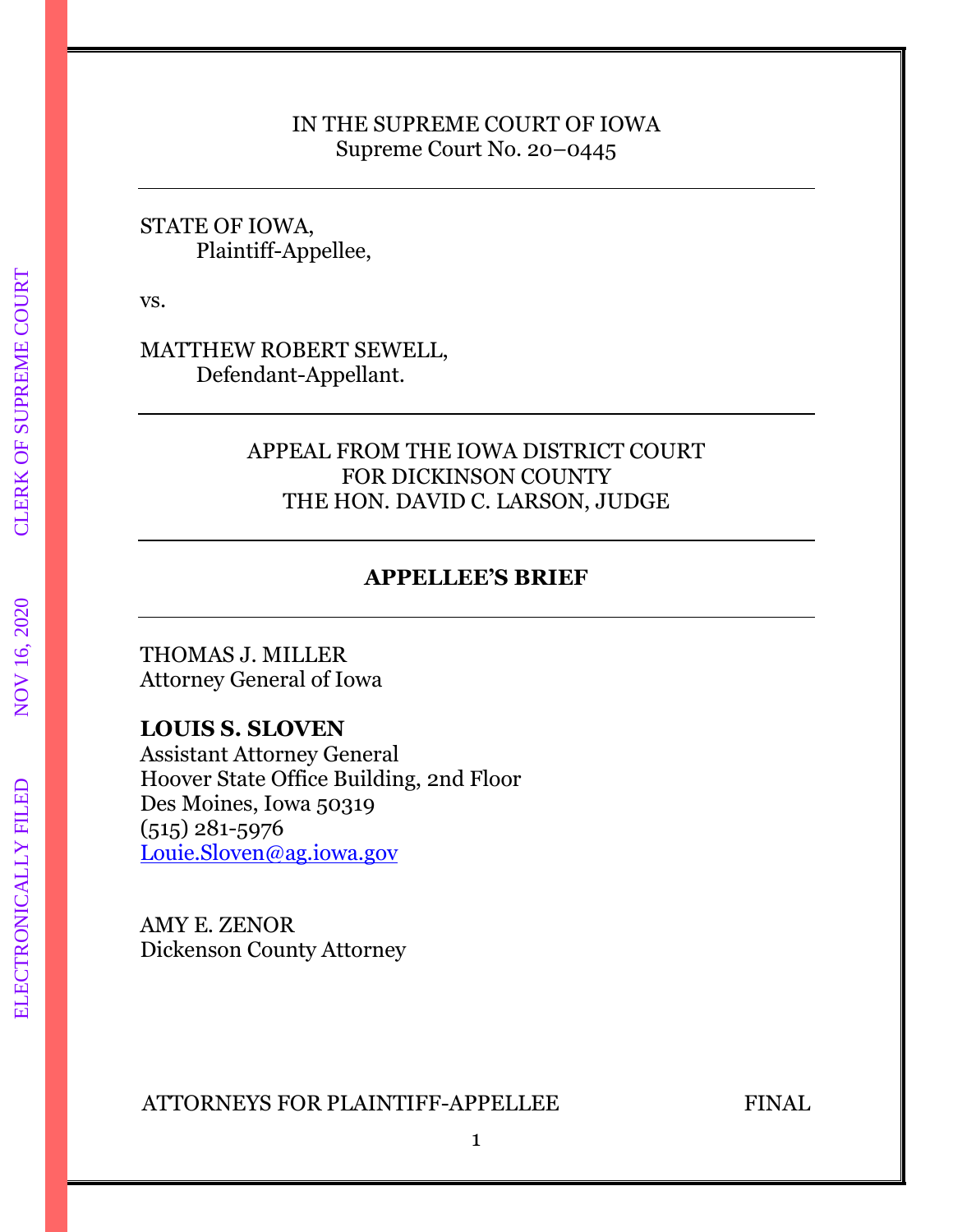## IN THE SUPREME COURT OF IOWA Supreme Court No. 20–0445

# STATE OF IOWA, Plaintiff-Appellee,

vs.

MATTHEW ROBERT SEWELL, Defendant-Appellant.

# APPEAL FROM THE IOWA DISTRICT COURT FOR DICKINSON COUNTY THE HON. DAVID C. LARSON, JUDGE

# **APPELLEE'S BRIEF**

# THOMAS J. MILLER Attorney General of Iowa

# **LOUIS S. SLOVEN**

Assistant Attorney General Hoover State Office Building, 2nd Floor Des Moines, Iowa 50319 (515) 281-5976 [Louie.Sloven@ag.iowa.gov](mailto:Louie.Sloven@ag.iowa.gov)

AMY E. ZENOR Dickenson County Attorney

ATTORNEYS FOR PLAINTIFF-APPELLEE FINAL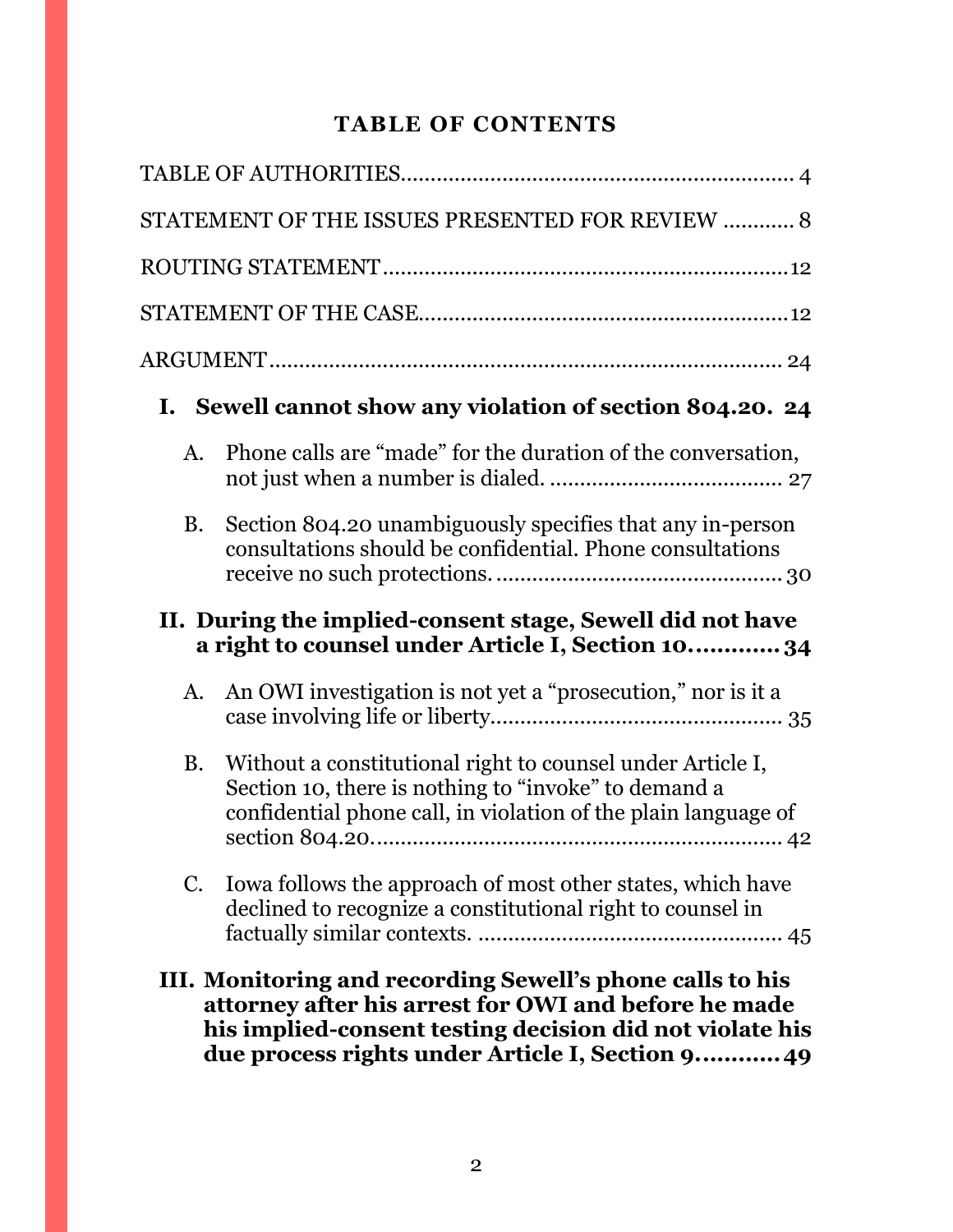# **TABLE OF CONTENTS**

|                                                                                                                                                                                                                                   | STATEMENT OF THE ISSUES PRESENTED FOR REVIEW  8                                                                                                                                      |  |
|-----------------------------------------------------------------------------------------------------------------------------------------------------------------------------------------------------------------------------------|--------------------------------------------------------------------------------------------------------------------------------------------------------------------------------------|--|
|                                                                                                                                                                                                                                   |                                                                                                                                                                                      |  |
|                                                                                                                                                                                                                                   |                                                                                                                                                                                      |  |
|                                                                                                                                                                                                                                   |                                                                                                                                                                                      |  |
| Sewell cannot show any violation of section 804.20. 24<br>I.                                                                                                                                                                      |                                                                                                                                                                                      |  |
| A.                                                                                                                                                                                                                                | Phone calls are "made" for the duration of the conversation,                                                                                                                         |  |
| <b>B.</b>                                                                                                                                                                                                                         | Section 804.20 unambiguously specifies that any in-person<br>consultations should be confidential. Phone consultations                                                               |  |
| II. During the implied-consent stage, Sewell did not have<br>a right to counsel under Article I, Section 10 34                                                                                                                    |                                                                                                                                                                                      |  |
| A.                                                                                                                                                                                                                                | An OWI investigation is not yet a "prosecution," nor is it a                                                                                                                         |  |
| B.                                                                                                                                                                                                                                | Without a constitutional right to counsel under Article I,<br>Section 10, there is nothing to "invoke" to demand a<br>confidential phone call, in violation of the plain language of |  |
|                                                                                                                                                                                                                                   | C. Iowa follows the approach of most other states, which have<br>declined to recognize a constitutional right to counsel in                                                          |  |
| III. Monitoring and recording Sewell's phone calls to his<br>attorney after his arrest for OWI and before he made<br>his implied-consent testing decision did not violate his<br>due process rights under Article I, Section 9 49 |                                                                                                                                                                                      |  |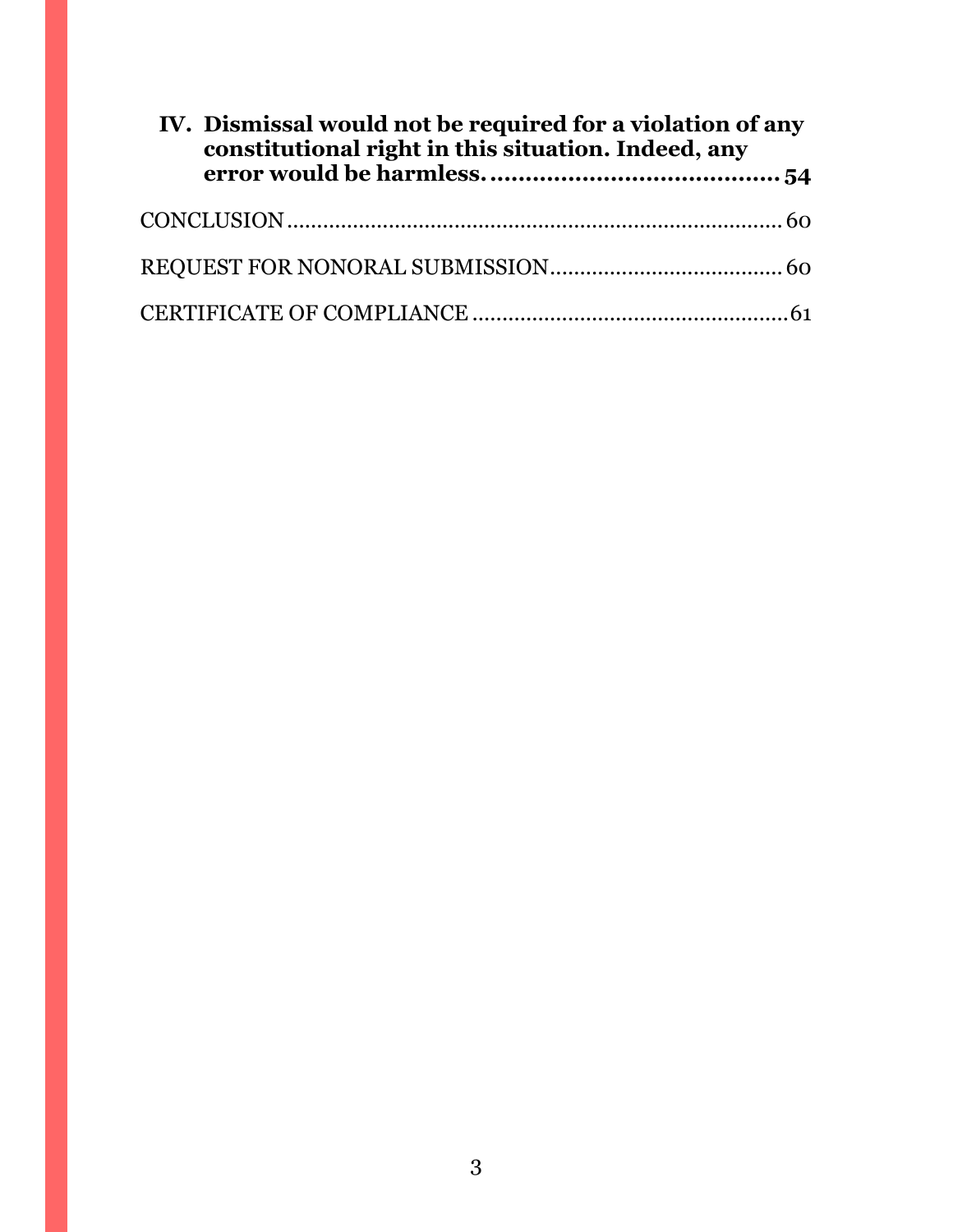| IV. Dismissal would not be required for a violation of any<br>constitutional right in this situation. Indeed, any |  |
|-------------------------------------------------------------------------------------------------------------------|--|
|                                                                                                                   |  |
|                                                                                                                   |  |
|                                                                                                                   |  |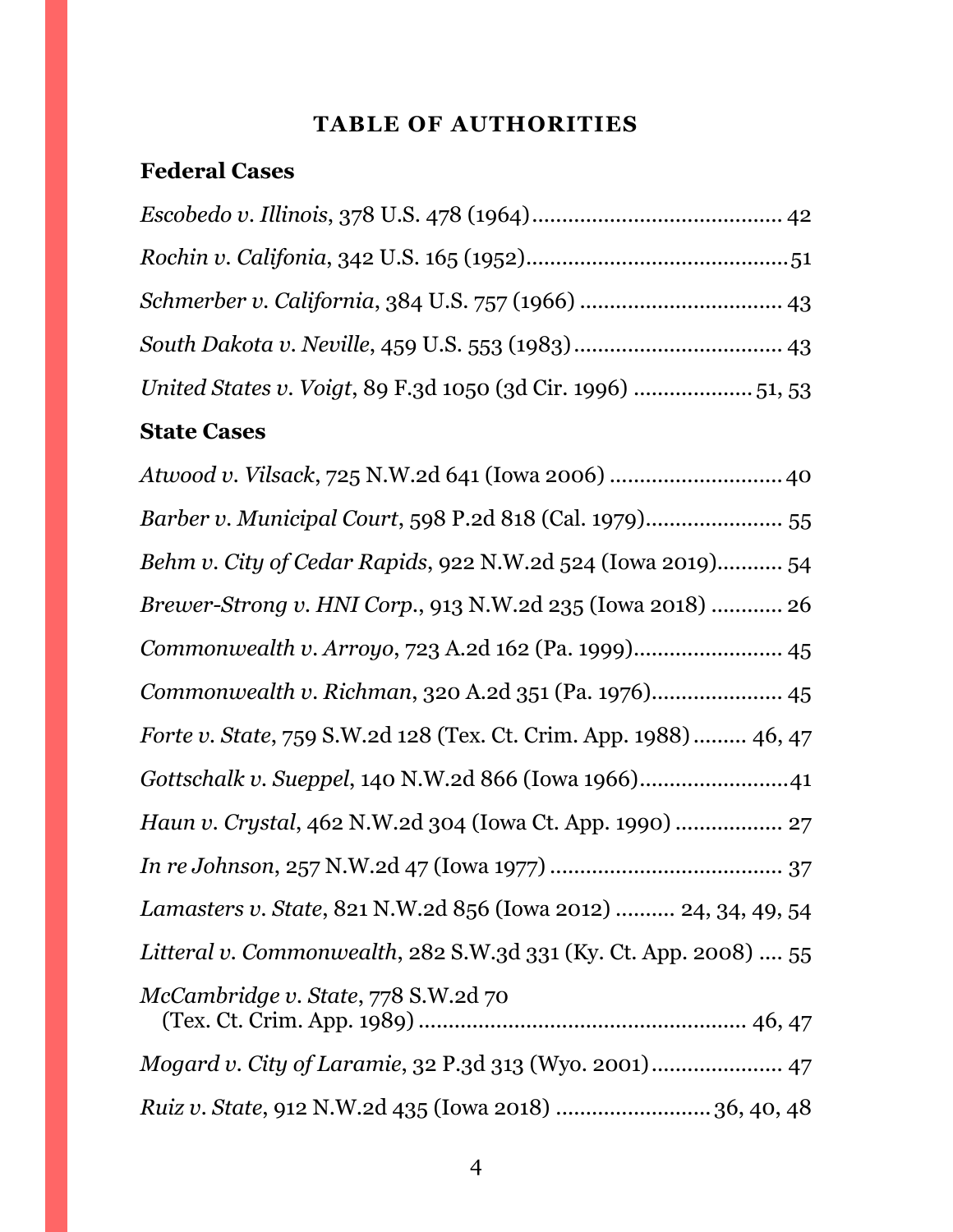# **TABLE OF AUTHORITIES**

# <span id="page-3-0"></span>**Federal Cases**

| $\mathbf{C}$                                               |
|------------------------------------------------------------|
| United States v. Voigt, 89 F.3d 1050 (3d Cir. 1996) 51, 53 |
|                                                            |
|                                                            |
|                                                            |
|                                                            |

# **State Cases**

| Atwood v. Vilsack, 725 N.W.2d 641 (Iowa 2006)  40                 |
|-------------------------------------------------------------------|
| Barber v. Municipal Court, 598 P.2d 818 (Cal. 1979) 55            |
| Behm v. City of Cedar Rapids, 922 N.W.2d 524 (Iowa 2019) 54       |
| Brewer-Strong v. HNI Corp., 913 N.W.2d 235 (Iowa 2018)  26        |
| Commonwealth v. Arroyo, 723 A.2d 162 (Pa. 1999) 45                |
| Commonwealth v. Richman, 320 A.2d 351 (Pa. 1976) 45               |
| Forte v. State, 759 S.W.2d 128 (Tex. Ct. Crim. App. 1988)  46, 47 |
| Gottschalk v. Sueppel, 140 N.W.2d 866 (Iowa 1966)41               |
| Haun v. Crystal, 462 N.W.2d 304 (Iowa Ct. App. 1990)  27          |
|                                                                   |
| Lamasters v. State, 821 N.W.2d 856 (Iowa 2012)  24, 34, 49, 54    |
| Litteral v. Commonwealth, 282 S.W.3d 331 (Ky. Ct. App. 2008)  55  |
| McCambridge v. State, 778 S.W.2d 70                               |
| Mogard v. City of Laramie, 32 P.3d 313 (Wyo. 2001) 47             |
| Ruiz v. State, 912 N.W.2d 435 (Iowa 2018)  36, 40, 48             |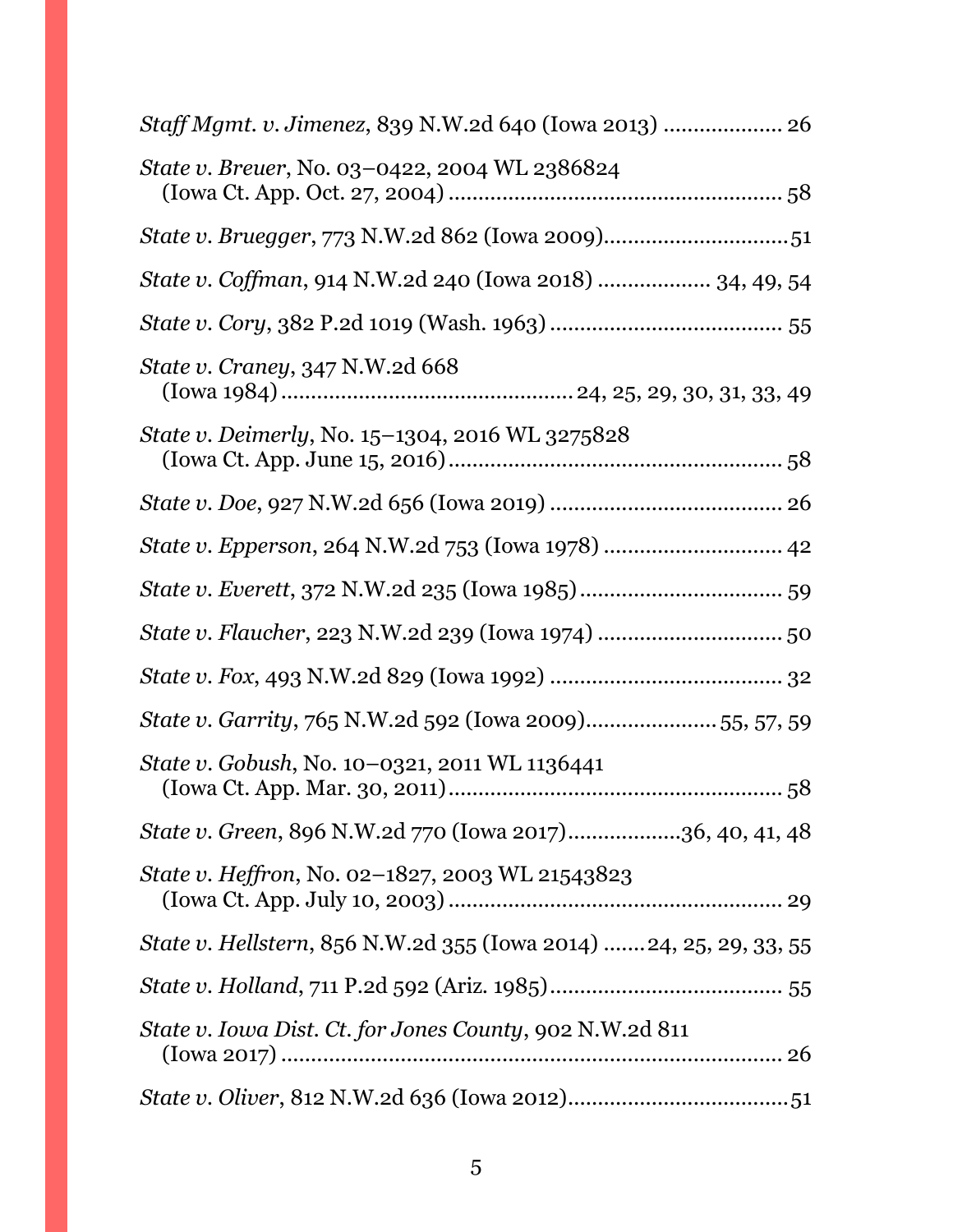| Staff Mgmt. v. Jimenez, 839 N.W.2d 640 (Iowa 2013)  26            |
|-------------------------------------------------------------------|
| State v. Breuer, No. 03-0422, 2004 WL 2386824                     |
| State v. Bruegger, 773 N.W.2d 862 (Iowa 2009)51                   |
| State v. Coffman, 914 N.W.2d 240 (Iowa 2018)  34, 49, 54          |
|                                                                   |
| State v. Craney, 347 N.W.2d 668                                   |
| State v. Deimerly, No. 15-1304, 2016 WL 3275828                   |
|                                                                   |
|                                                                   |
|                                                                   |
| State v. Flaucher, 223 N.W.2d 239 (Iowa 1974)  50                 |
|                                                                   |
| State v. Garrity, 765 N.W.2d 592 (Iowa 2009) 55, 57, 59           |
| State v. Gobush, No. 10-0321, 2011 WL 1136441                     |
| State v. Green, 896 N.W.2d 770 (Iowa 2017)36, 40, 41, 48          |
| State v. Heffron, No. 02-1827, 2003 WL 21543823                   |
| State v. Hellstern, 856 N.W.2d 355 (Iowa 2014) 24, 25, 29, 33, 55 |
|                                                                   |
| State v. Iowa Dist. Ct. for Jones County, 902 N.W.2d 811          |
|                                                                   |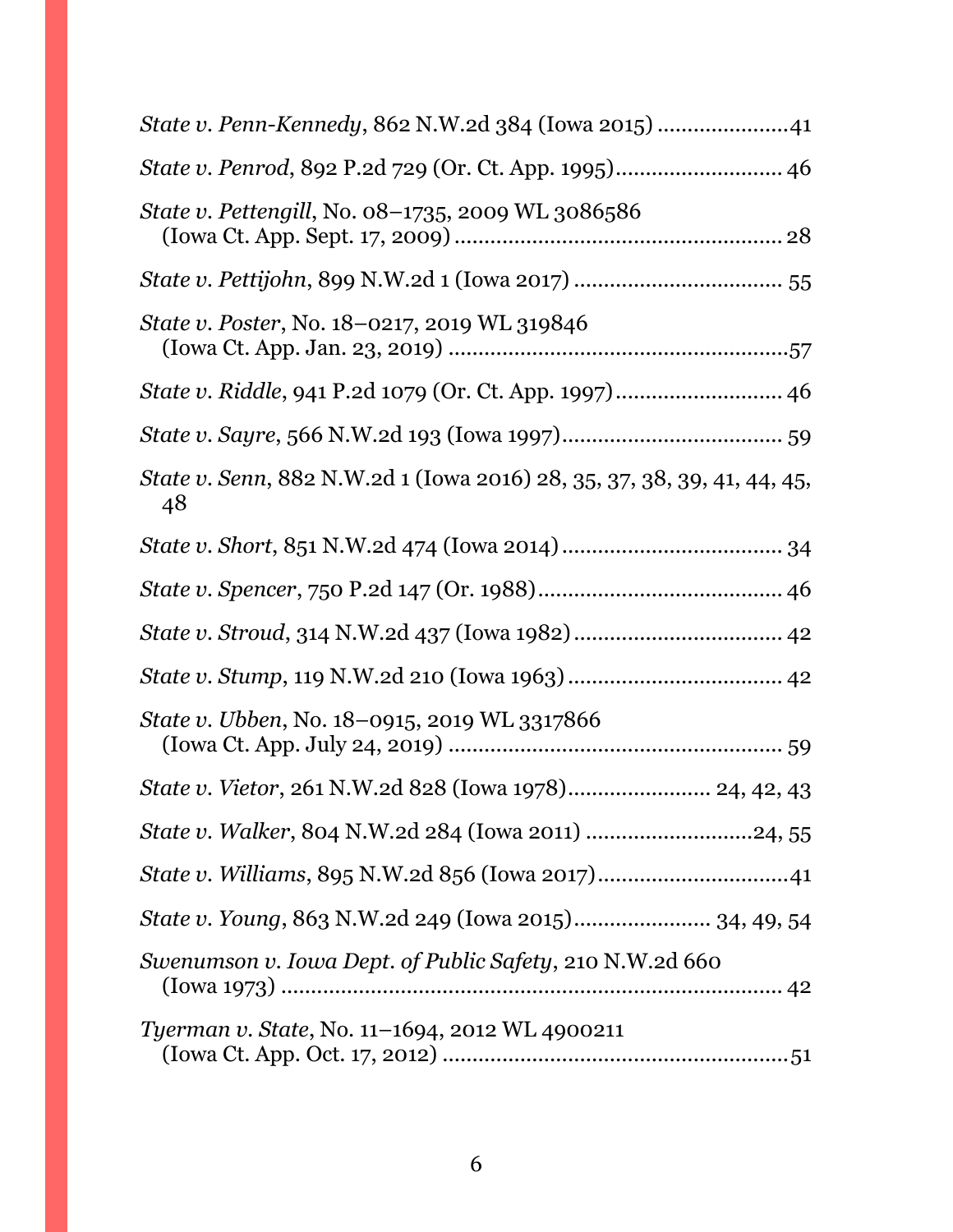| State v. Penn-Kennedy, 862 N.W.2d 384 (Iowa 2015) 41                          |
|-------------------------------------------------------------------------------|
| State v. Penrod, 892 P.2d 729 (Or. Ct. App. 1995) 46                          |
| <i>State v. Pettengill, No. 08–1735, 2009 WL 3086586</i>                      |
|                                                                               |
| <i>State v. Poster, No. 18-0217, 2019 WL 319846</i>                           |
|                                                                               |
|                                                                               |
| State v. Senn, 882 N.W.2d 1 (Iowa 2016) 28, 35, 37, 38, 39, 41, 44, 45,<br>48 |
|                                                                               |
|                                                                               |
|                                                                               |
|                                                                               |
| State v. Ubben, No. 18-0915, 2019 WL 3317866                                  |
|                                                                               |
| State v. Walker, 804 N.W.2d 284 (Iowa 2011) 24, 55                            |
|                                                                               |
| State v. Young, 863 N.W.2d 249 (Iowa 2015) 34, 49, 54                         |
| Swenumson v. Iowa Dept. of Public Safety, 210 N.W.2d 660                      |
| Tyerman v. State, No. 11-1694, 2012 WL 4900211                                |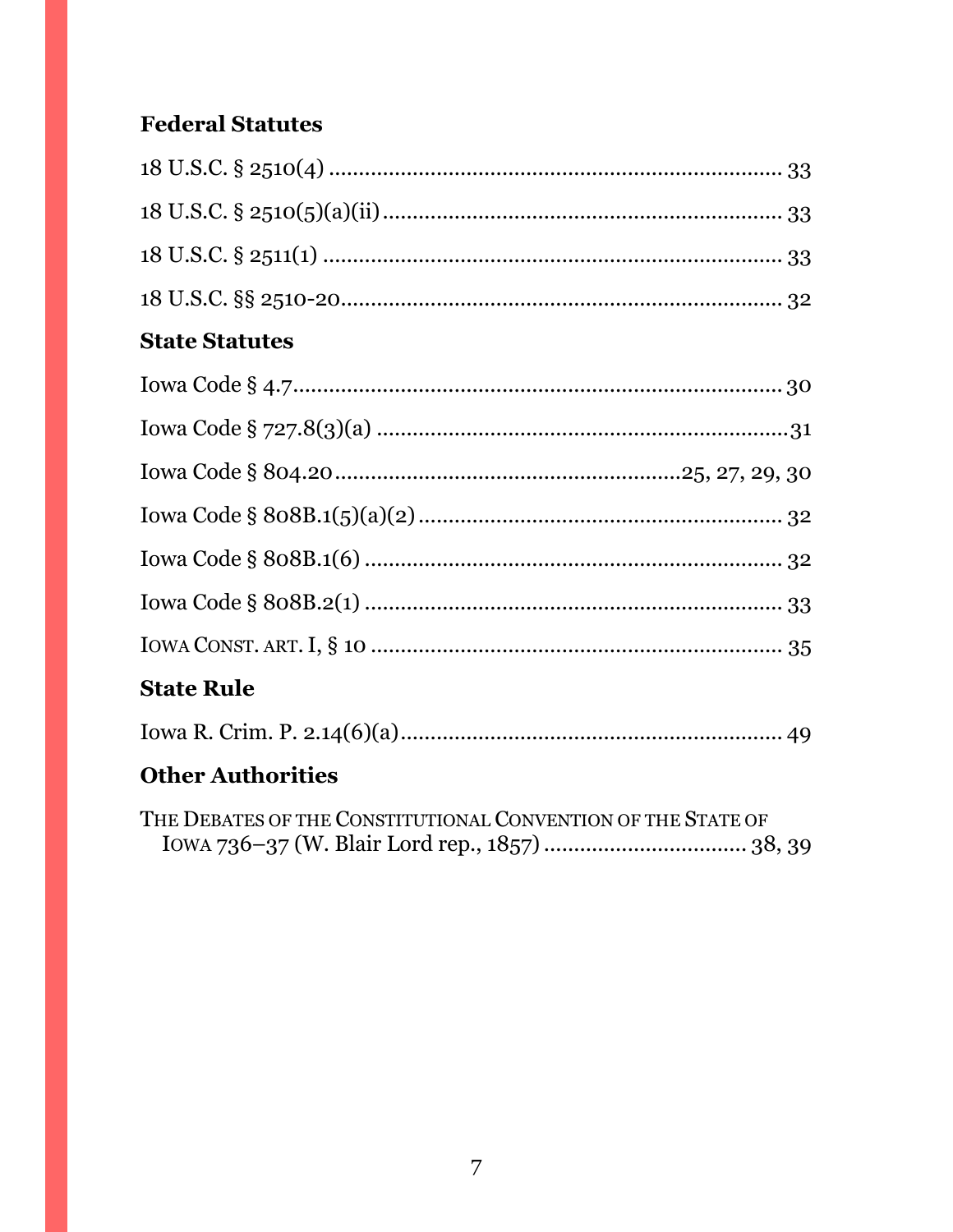# **Federal Statutes**

# **State Statutes**

| <b>State Rule</b> |  |
|-------------------|--|
|                   |  |

# **Other Authorities**

THE DEBATES OF THE CONSTITUTIONAL CONVENTION OF THE STATE OF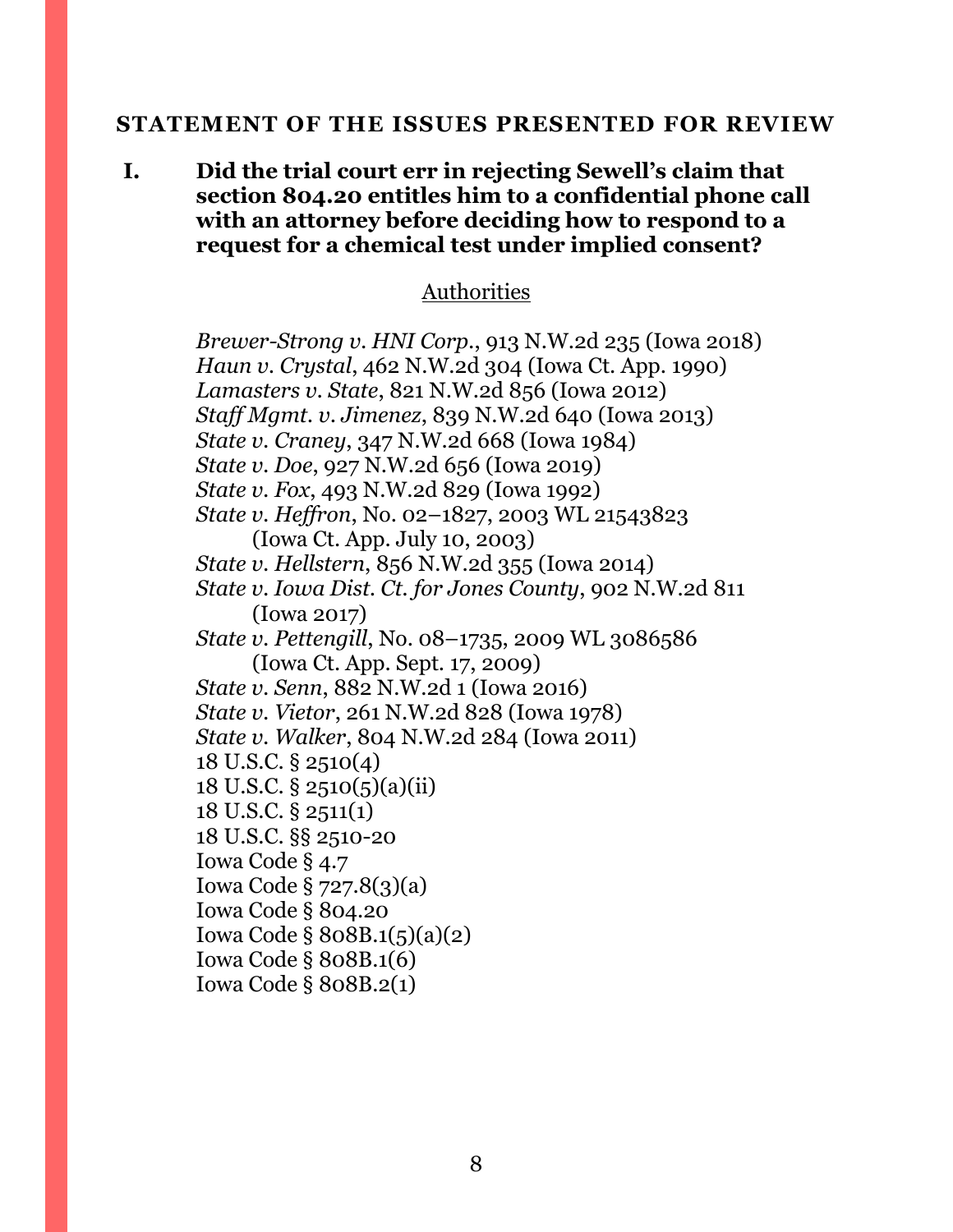#### <span id="page-7-0"></span>**STATEMENT OF THE ISSUES PRESENTED FOR REVIEW**

**I. Did the trial court err in rejecting Sewell's claim that section 804.20 entitles him to a confidential phone call with an attorney before deciding how to respond to a request for a chemical test under implied consent?** 

#### Authorities

*Brewer-Strong v. HNI Corp.*, 913 N.W.2d 235 (Iowa 2018) *Haun v. Crystal*, 462 N.W.2d 304 (Iowa Ct. App. 1990) *Lamasters v. State*, 821 N.W.2d 856 (Iowa 2012) *Staff Mgmt. v. Jimenez*, 839 N.W.2d 640 (Iowa 2013) *State v. Craney*, 347 N.W.2d 668 (Iowa 1984) *State v. Doe*, 927 N.W.2d 656 (Iowa 2019) *State v. Fox*, 493 N.W.2d 829 (Iowa 1992) *State v. Heffron*, No. 02–1827, 2003 WL 21543823 (Iowa Ct. App. July 10, 2003) *State v. Hellstern*, 856 N.W.2d 355 (Iowa 2014) *State v. Iowa Dist. Ct. for Jones County*, 902 N.W.2d 811 (Iowa 2017) *State v. Pettengill*, No. 08–1735, 2009 WL 3086586 (Iowa Ct. App. Sept. 17, 2009) *State v. Senn*, 882 N.W.2d 1 (Iowa 2016) *State v. Vietor*, 261 N.W.2d 828 (Iowa 1978) *State v. Walker*, 804 N.W.2d 284 (Iowa 2011) 18 U.S.C. § 2510(4) 18 U.S.C. § 2510(5)(a)(ii) 18 U.S.C. § 2511(1) 18 U.S.C. §§ 2510-20 Iowa Code § 4.7 Iowa Code § 727.8(3)(a) Iowa Code § 804.20 Iowa Code § 808B.1(5)(a)(2) Iowa Code § 808B.1(6) Iowa Code § 808B.2(1)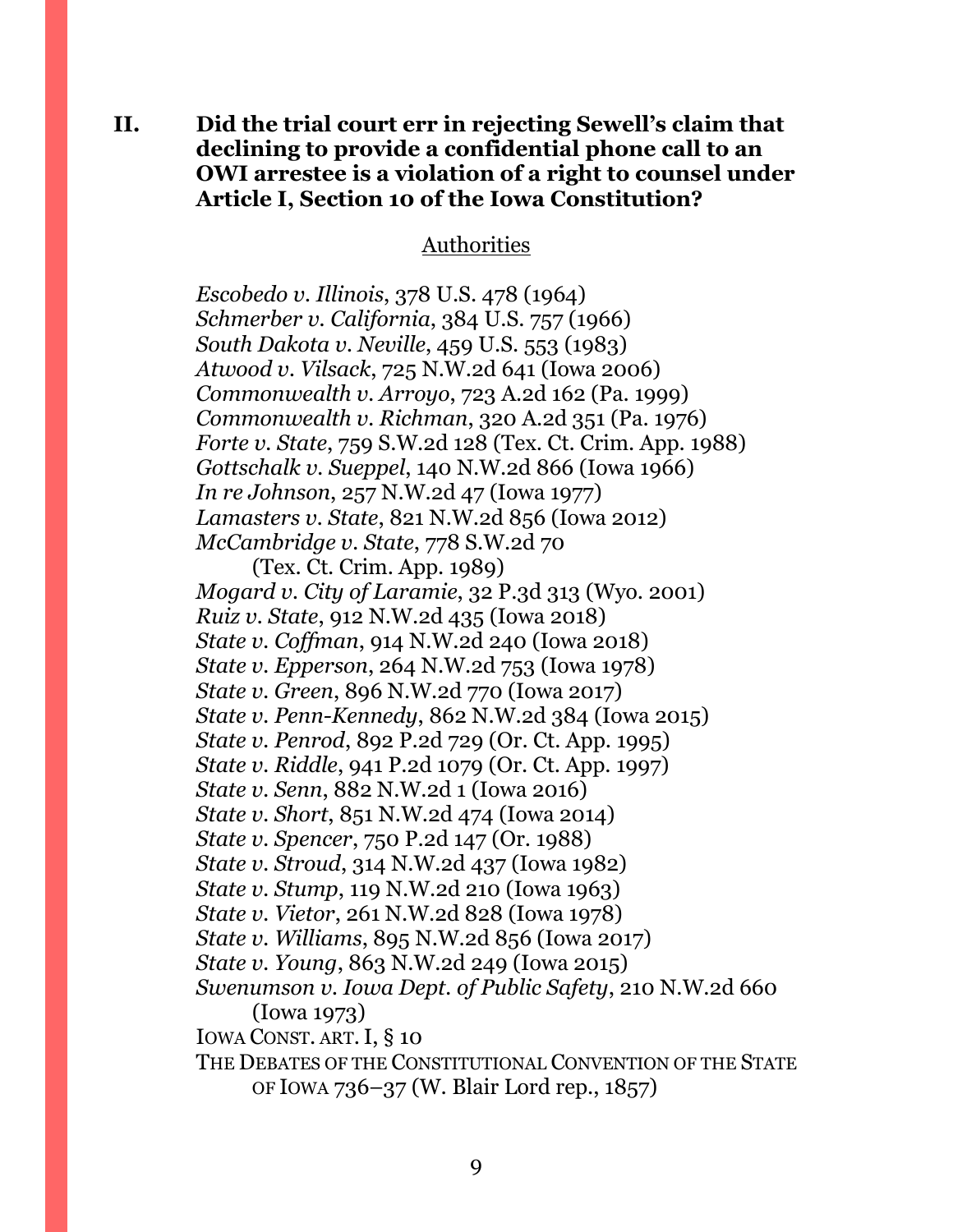**II. Did the trial court err in rejecting Sewell's claim that declining to provide a confidential phone call to an OWI arrestee is a violation of a right to counsel under Article I, Section 10 of the Iowa Constitution?** 

#### Authorities

*Escobedo v. Illinois*, 378 U.S. 478 (1964) *Schmerber v. California*, 384 U.S. 757 (1966) *South Dakota v. Neville*, 459 U.S. 553 (1983) *Atwood v. Vilsack*, 725 N.W.2d 641 (Iowa 2006) *Commonwealth v. Arroyo*, 723 A.2d 162 (Pa. 1999) *Commonwealth v. Richman*, 320 A.2d 351 (Pa. 1976) *Forte v. State*, 759 S.W.2d 128 (Tex. Ct. Crim. App. 1988) *Gottschalk v. Sueppel*, 140 N.W.2d 866 (Iowa 1966) *In re Johnson*, 257 N.W.2d 47 (Iowa 1977) *Lamasters v. State*, 821 N.W.2d 856 (Iowa 2012) *McCambridge v. State*, 778 S.W.2d 70 (Tex. Ct. Crim. App. 1989) *Mogard v. City of Laramie*, 32 P.3d 313 (Wyo. 2001)

*Ruiz v. State*, 912 N.W.2d 435 (Iowa 2018) *State v. Coffman*, 914 N.W.2d 240 (Iowa 2018) *State v. Epperson*, 264 N.W.2d 753 (Iowa 1978) *State v. Green*, 896 N.W.2d 770 (Iowa 2017) *State v. Penn-Kennedy*, 862 N.W.2d 384 (Iowa 2015) *State v. Penrod*, 892 P.2d 729 (Or. Ct. App. 1995) *State v. Riddle*, 941 P.2d 1079 (Or. Ct. App. 1997) *State v. Senn*, 882 N.W.2d 1 (Iowa 2016) *State v. Short*, 851 N.W.2d 474 (Iowa 2014) *State v. Spencer*, 750 P.2d 147 (Or. 1988) *State v. Stroud*, 314 N.W.2d 437 (Iowa 1982) *State v. Stump*, 119 N.W.2d 210 (Iowa 1963) *State v. Vietor*, 261 N.W.2d 828 (Iowa 1978) *State v. Williams*, 895 N.W.2d 856 (Iowa 2017) *State v. Young*, 863 N.W.2d 249 (Iowa 2015) *Swenumson v. Iowa Dept. of Public Safety*, 210 N.W.2d 660 (Iowa 1973) IOWA CONST. ART.I, § 10 THE DEBATES OF THE CONSTITUTIONAL CONVENTION OF THE STATE

OF IOWA 736–37 (W. Blair Lord rep., 1857)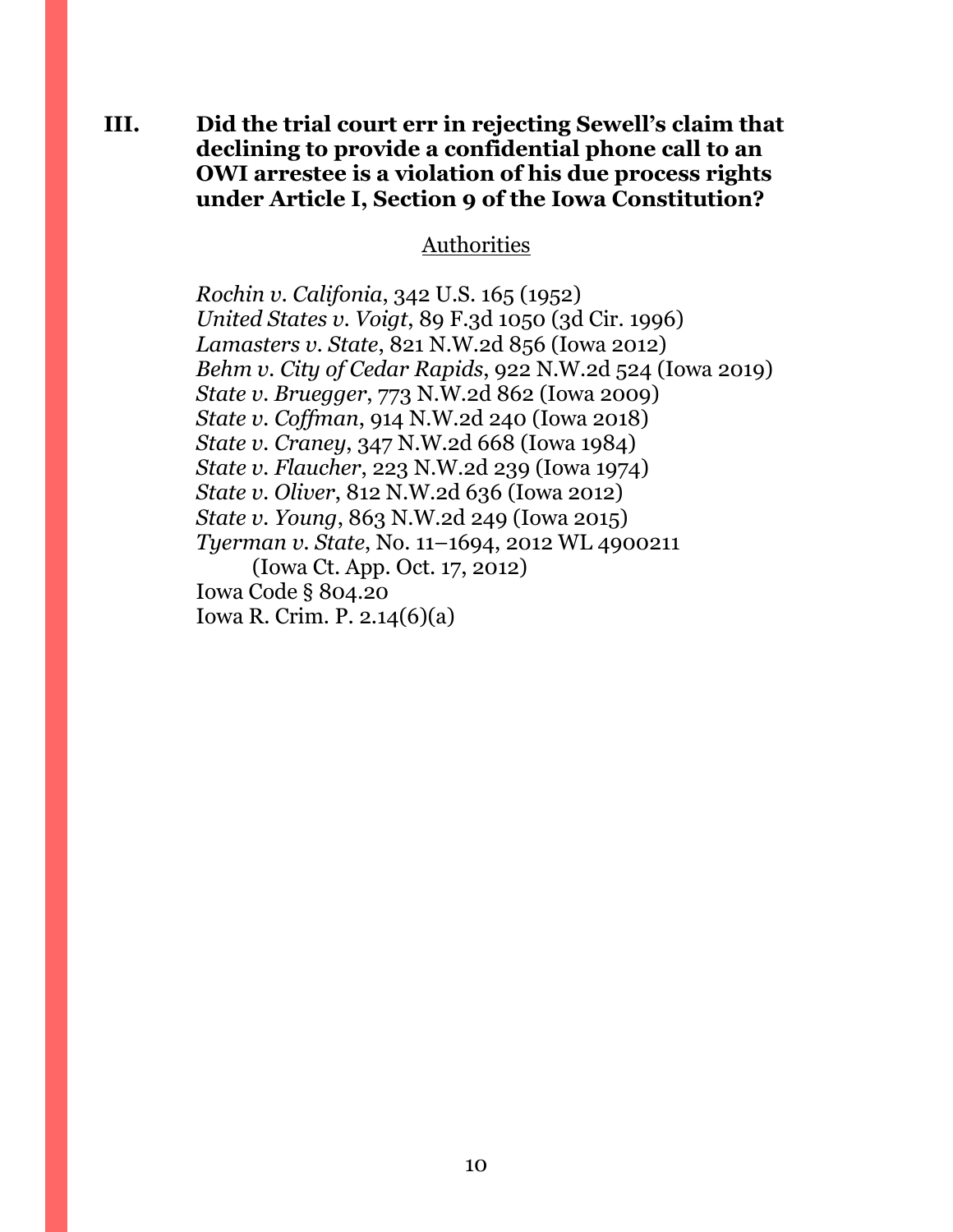**III. Did the trial court err in rejecting Sewell's claim that declining to provide a confidential phone call to an OWI arrestee is a violation of his due process rights under Article I, Section 9 of the Iowa Constitution?** 

#### Authorities

*Rochin v. Califonia*, 342 U.S. 165 (1952) *United States v. Voigt*, 89 F.3d 1050 (3d Cir. 1996) *Lamasters v. State*, 821 N.W.2d 856 (Iowa 2012) *Behm v. City of Cedar Rapids*, 922 N.W.2d 524 (Iowa 2019) *State v. Bruegger*, 773 N.W.2d 862 (Iowa 2009) *State v. Coffman*, 914 N.W.2d 240 (Iowa 2018) *State v. Craney*, 347 N.W.2d 668 (Iowa 1984) *State v. Flaucher*, 223 N.W.2d 239 (Iowa 1974) *State v. Oliver*, 812 N.W.2d 636 (Iowa 2012) *State v. Young*, 863 N.W.2d 249 (Iowa 2015) *Tyerman v. State*, No. 11–1694, 2012 WL 4900211 (Iowa Ct. App. Oct. 17, 2012) Iowa Code § 804.20 Iowa R. Crim. P. 2.14(6)(a)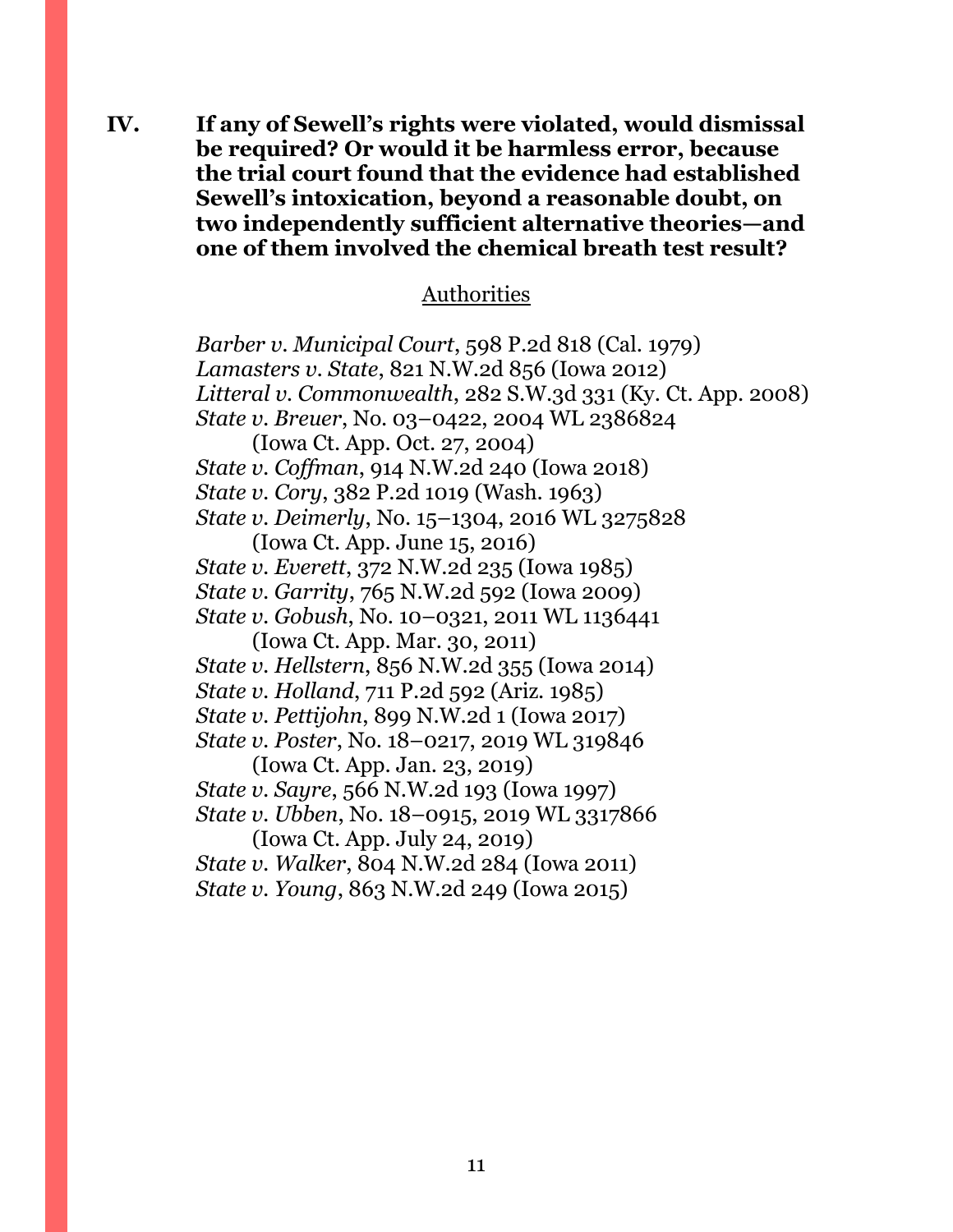**IV. If any of Sewell's rights were violated, would dismissal be required? Or would it be harmless error, because the trial court found that the evidence had established Sewell's intoxication, beyond a reasonable doubt, on two independently sufficient alternative theories—and one of them involved the chemical breath test result?** 

#### Authorities

*Barber v. Municipal Court*, 598 P.2d 818 (Cal. 1979) *Lamasters v. State*, 821 N.W.2d 856 (Iowa 2012) *Litteral v. Commonwealth*, 282 S.W.3d 331 (Ky. Ct. App. 2008) *State v. Breuer*, No. 03–0422, 2004 WL 2386824 (Iowa Ct. App. Oct. 27, 2004) *State v. Coffman*, 914 N.W.2d 240 (Iowa 2018) *State v. Cory*, 382 P.2d 1019 (Wash. 1963) *State v. Deimerly*, No. 15–1304, 2016 WL 3275828 (Iowa Ct. App. June 15, 2016) *State v. Everett*, 372 N.W.2d 235 (Iowa 1985) *State v. Garrity*, 765 N.W.2d 592 (Iowa 2009) *State v. Gobush*, No. 10–0321, 2011 WL 1136441 (Iowa Ct. App. Mar. 30, 2011) *State v. Hellstern*, 856 N.W.2d 355 (Iowa 2014) *State v. Holland*, 711 P.2d 592 (Ariz. 1985) *State v. Pettijohn*, 899 N.W.2d 1 (Iowa 2017) *State v. Poster*, No. 18–0217, 2019 WL 319846 (Iowa Ct. App. Jan. 23, 2019) *State v. Sayre*, 566 N.W.2d 193 (Iowa 1997) *State v. Ubben*, No. 18–0915, 2019 WL 3317866 (Iowa Ct. App. July 24, 2019) *State v. Walker*, 804 N.W.2d 284 (Iowa 2011) *State v. Young*, 863 N.W.2d 249 (Iowa 2015)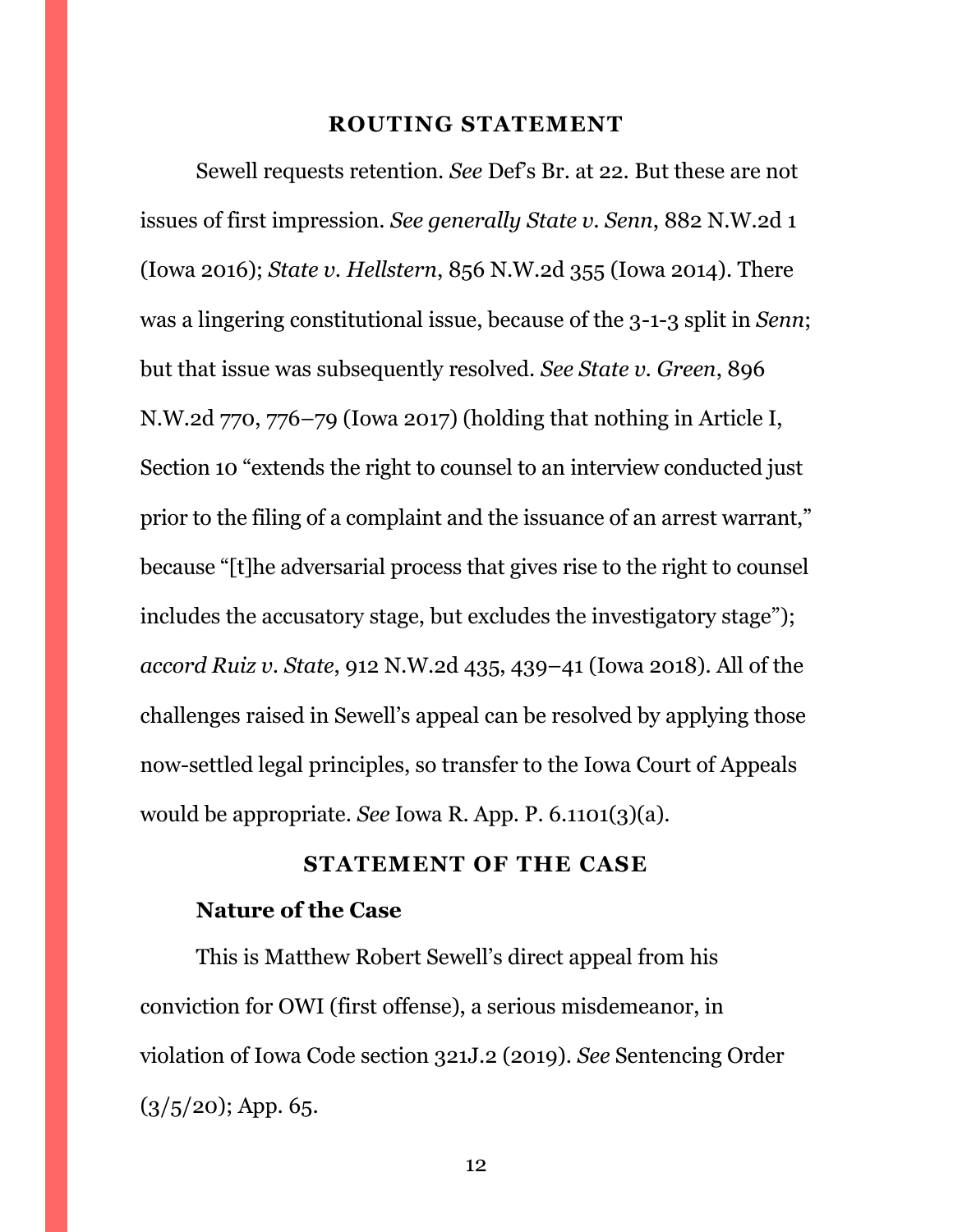#### **ROUTING STATEMENT**

<span id="page-11-0"></span>Sewell requests retention. *See* Def's Br. at 22. But these are not issues of first impression. *See generally State v. Senn*, 882 N.W.2d 1 (Iowa 2016); *State v. Hellstern*, 856 N.W.2d 355 (Iowa 2014). There was a lingering constitutional issue, because of the 3-1-3 split in *Senn*; but that issue was subsequently resolved. *See State v. Green*, 896 N.W.2d 770, 776–79 (Iowa 2017) (holding that nothing in Article I, Section 10 "extends the right to counsel to an interview conducted just prior to the filing of a complaint and the issuance of an arrest warrant," because "[t]he adversarial process that gives rise to the right to counsel includes the accusatory stage, but excludes the investigatory stage"); *accord Ruiz v. State*, 912 N.W.2d 435, 439–41 (Iowa 2018). All of the challenges raised in Sewell's appeal can be resolved by applying those now-settled legal principles, so transfer to the Iowa Court of Appeals would be appropriate. *See* Iowa R. App. P. 6.1101(3)(a).

#### **STATEMENT OF THE CASE**

#### <span id="page-11-1"></span>**Nature of the Case**

This is Matthew Robert Sewell's direct appeal from his conviction for OWI (first offense), a serious misdemeanor, in violation of Iowa Code section 321J.2 (2019). *See* Sentencing Order  $(3/5/20)$ ; App. 65.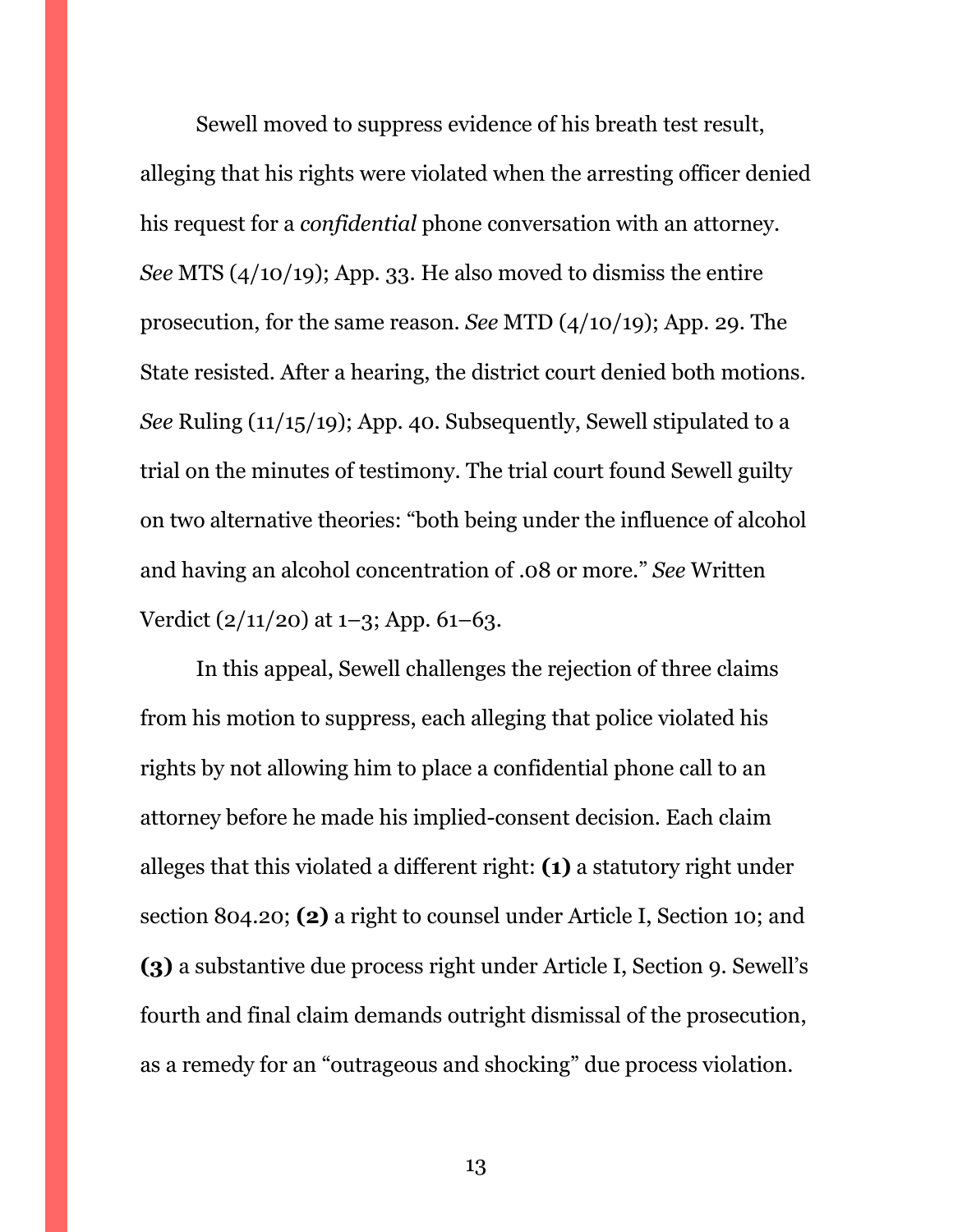Sewell moved to suppress evidence of his breath test result, alleging that his rights were violated when the arresting officer denied his request for a *confidential* phone conversation with an attorney. *See* MTS (4/10/19); App. 33. He also moved to dismiss the entire prosecution, for the same reason. *See* MTD (4/10/19); App. 29. The State resisted. After a hearing, the district court denied both motions. *See* Ruling (11/15/19); App. 40. Subsequently, Sewell stipulated to a trial on the minutes of testimony. The trial court found Sewell guilty on two alternative theories: "both being under the influence of alcohol and having an alcohol concentration of .08 or more." *See* Written Verdict (2/11/20) at 1–3; App. 61–63.

In this appeal, Sewell challenges the rejection of three claims from his motion to suppress, each alleging that police violated his rights by not allowing him to place a confidential phone call to an attorney before he made his implied-consent decision. Each claim alleges that this violated a different right: **(1)** a statutory right under section 804.20; **(2)** a right to counsel under Article I, Section 10; and **(3)** a substantive due process right under Article I, Section 9. Sewell's fourth and final claim demands outright dismissal of the prosecution, as a remedy for an "outrageous and shocking" due process violation.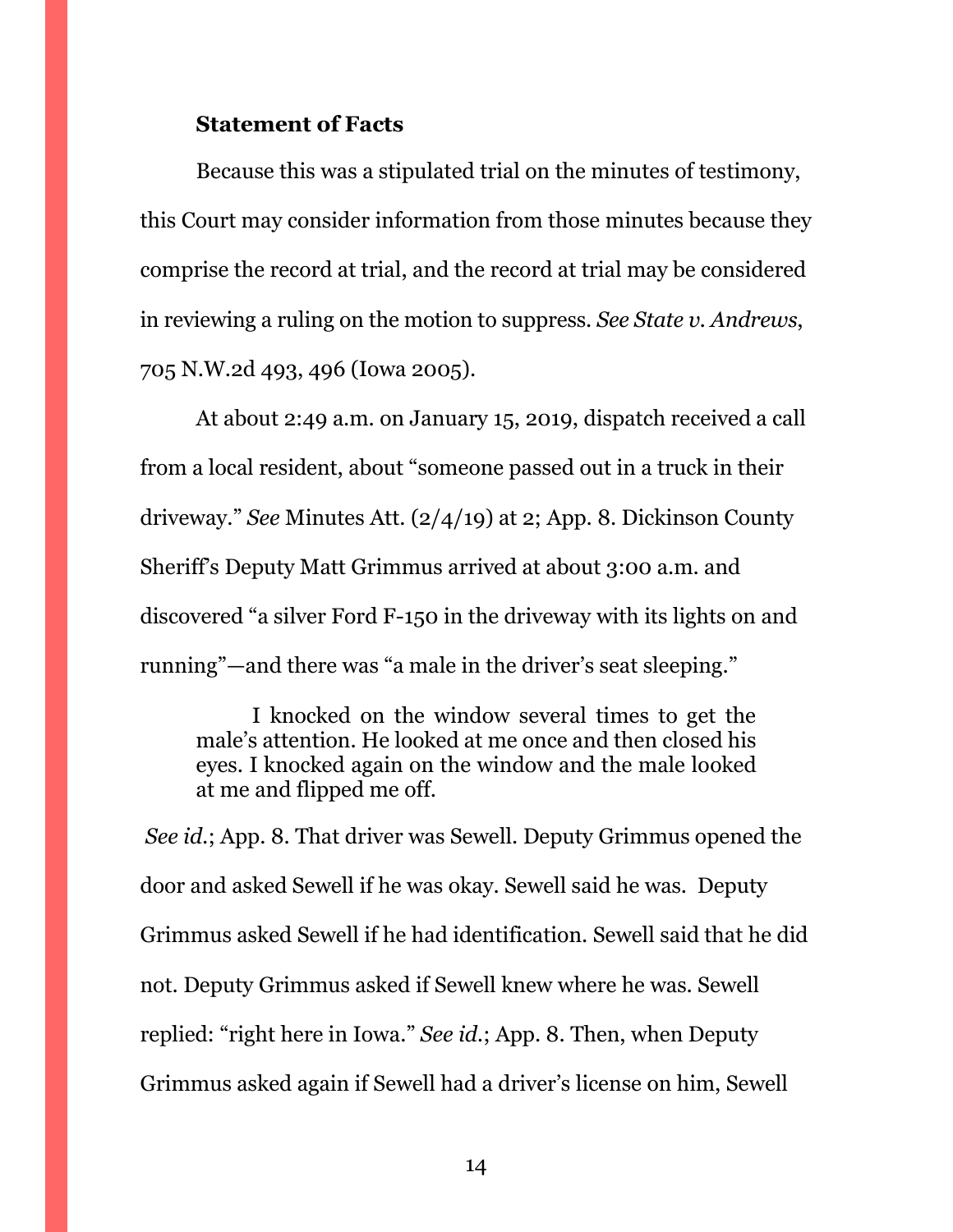# **Statement of Facts**

Because this was a stipulated trial on the minutes of testimony, this Court may consider information from those minutes because they comprise the record at trial, and the record at trial may be considered in reviewing a ruling on the motion to suppress. *See State v. Andrews*, 705 N.W.2d 493, 496 (Iowa 2005).

At about 2:49 a.m. on January 15, 2019, dispatch received a call from a local resident, about "someone passed out in a truck in their driveway." *See* Minutes Att. (2/4/19) at 2; App. 8. Dickinson County Sheriff's Deputy Matt Grimmus arrived at about 3:00 a.m. and discovered "a silver Ford F-150 in the driveway with its lights on and running"—and there was "a male in the driver's seat sleeping."

I knocked on the window several times to get the male's attention. He looked at me once and then closed his eyes. I knocked again on the window and the male looked at me and flipped me off.

*See id.*; App. 8. That driver was Sewell. Deputy Grimmus opened the door and asked Sewell if he was okay. Sewell said he was. Deputy Grimmus asked Sewell if he had identification. Sewell said that he did not. Deputy Grimmus asked if Sewell knew where he was. Sewell replied: "right here in Iowa." *See id.*; App. 8. Then, when Deputy Grimmus asked again if Sewell had a driver's license on him, Sewell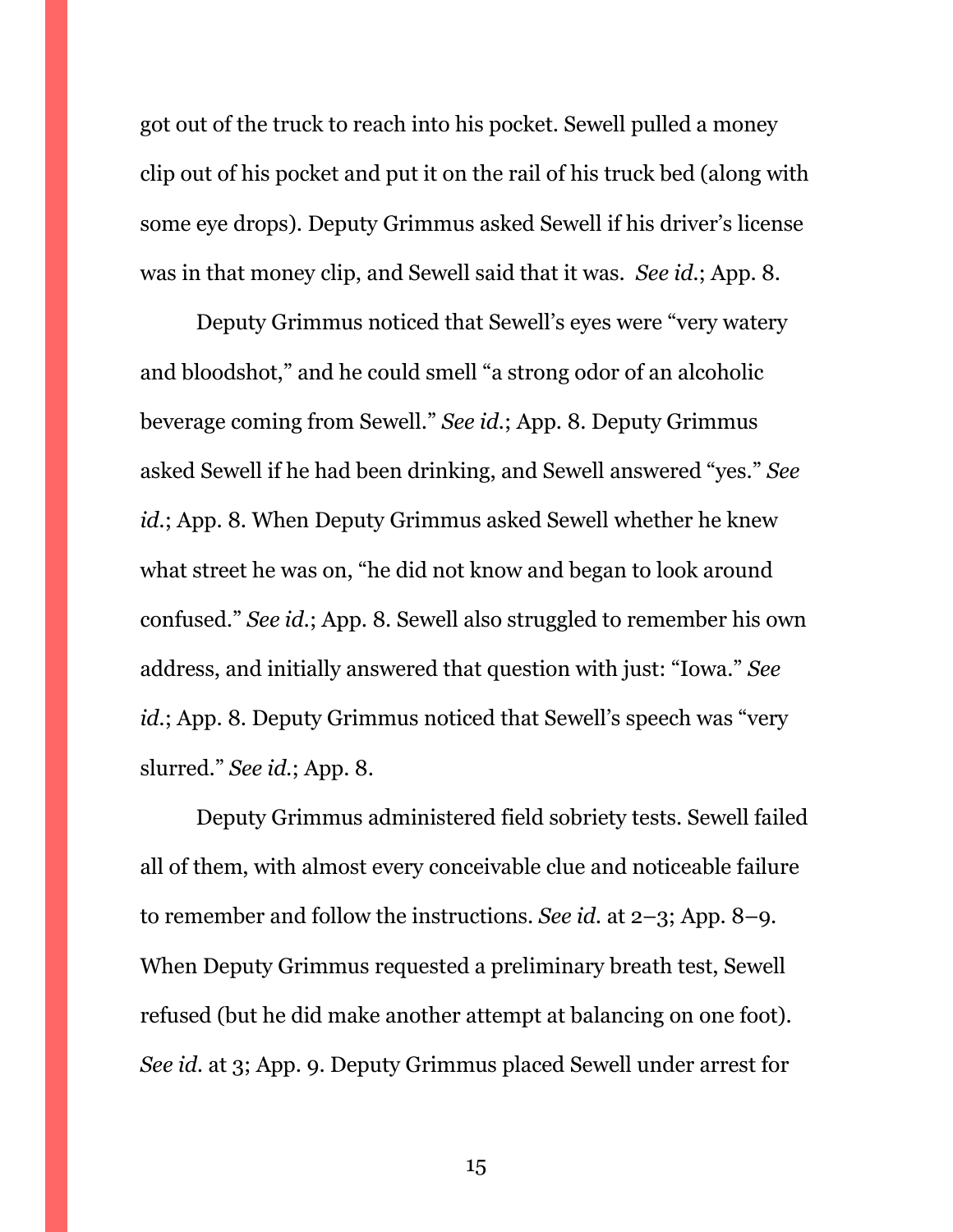got out of the truck to reach into his pocket. Sewell pulled a money clip out of his pocket and put it on the rail of his truck bed (along with some eye drops). Deputy Grimmus asked Sewell if his driver's license was in that money clip, and Sewell said that it was. *See id.*; App. 8.

Deputy Grimmus noticed that Sewell's eyes were "very watery and bloodshot," and he could smell "a strong odor of an alcoholic beverage coming from Sewell." *See id.*; App. 8. Deputy Grimmus asked Sewell if he had been drinking, and Sewell answered "yes." *See id.*; App. 8. When Deputy Grimmus asked Sewell whether he knew what street he was on, "he did not know and began to look around confused." *See id.*; App. 8. Sewell also struggled to remember his own address, and initially answered that question with just: "Iowa." *See id.*; App. 8. Deputy Grimmus noticed that Sewell's speech was "very" slurred." *See id.*; App. 8.

Deputy Grimmus administered field sobriety tests. Sewell failed all of them, with almost every conceivable clue and noticeable failure to remember and follow the instructions. *See id.* at 2–3; App. 8–9. When Deputy Grimmus requested a preliminary breath test, Sewell refused (but he did make another attempt at balancing on one foot). *See id.* at 3; App. 9. Deputy Grimmus placed Sewell under arrest for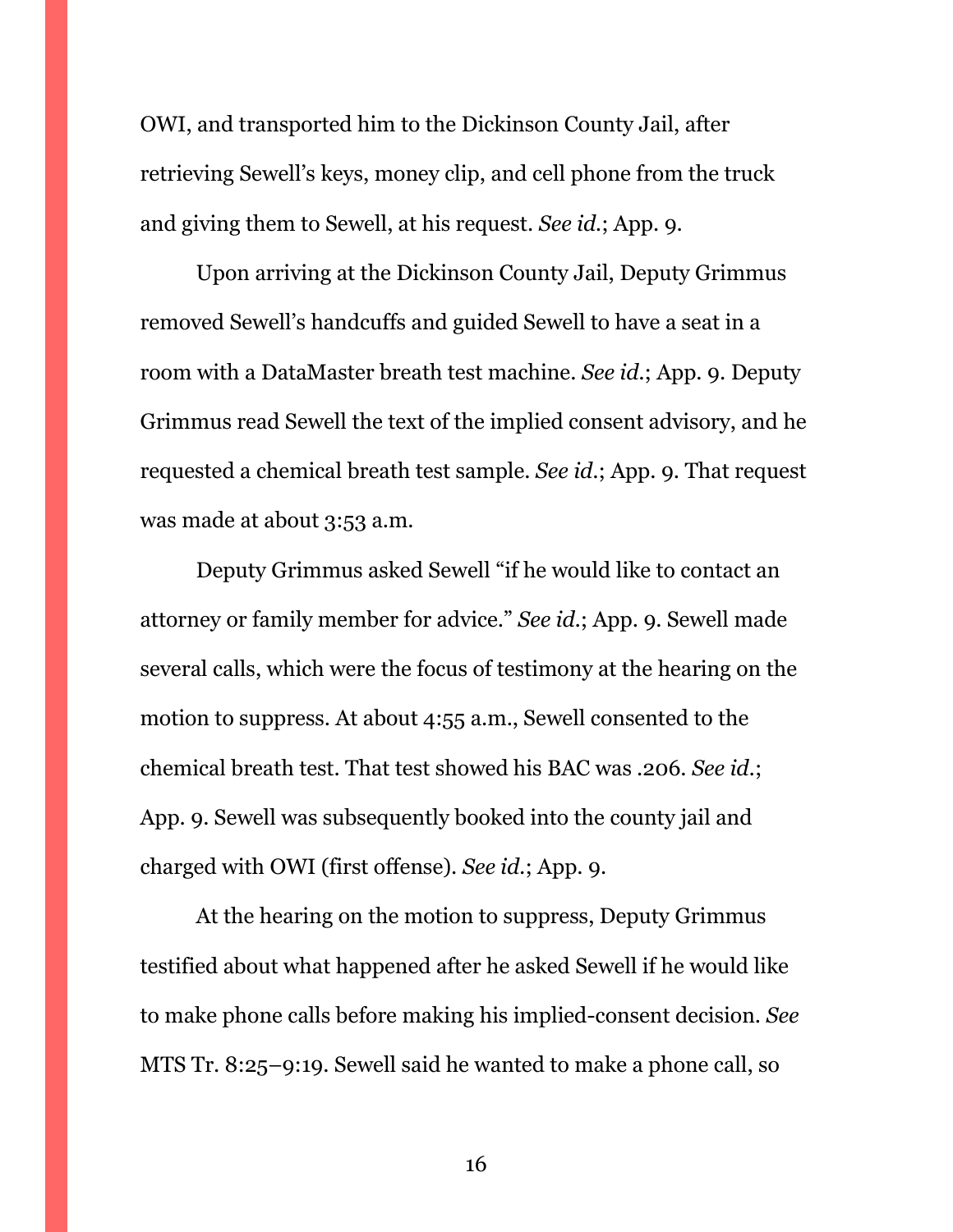OWI, and transported him to the Dickinson County Jail, after retrieving Sewell's keys, money clip, and cell phone from the truck and giving them to Sewell, at his request. *See id.*; App. 9.

Upon arriving at the Dickinson County Jail, Deputy Grimmus removed Sewell's handcuffs and guided Sewell to have a seat in a room with a DataMaster breath test machine. *See id.*; App. 9. Deputy Grimmus read Sewell the text of the implied consent advisory, and he requested a chemical breath test sample. *See id.*; App. 9. That request was made at about 3:53 a.m.

Deputy Grimmus asked Sewell "if he would like to contact an attorney or family member for advice." *See id.*; App. 9. Sewell made several calls, which were the focus of testimony at the hearing on the motion to suppress. At about 4:55 a.m., Sewell consented to the chemical breath test. That test showed his BAC was .206. *See id.*; App. 9. Sewell was subsequently booked into the county jail and charged with OWI (first offense). *See id.*; App. 9.

At the hearing on the motion to suppress, Deputy Grimmus testified about what happened after he asked Sewell if he would like to make phone calls before making his implied-consent decision. *See*  MTS Tr. 8:25–9:19. Sewell said he wanted to make a phone call, so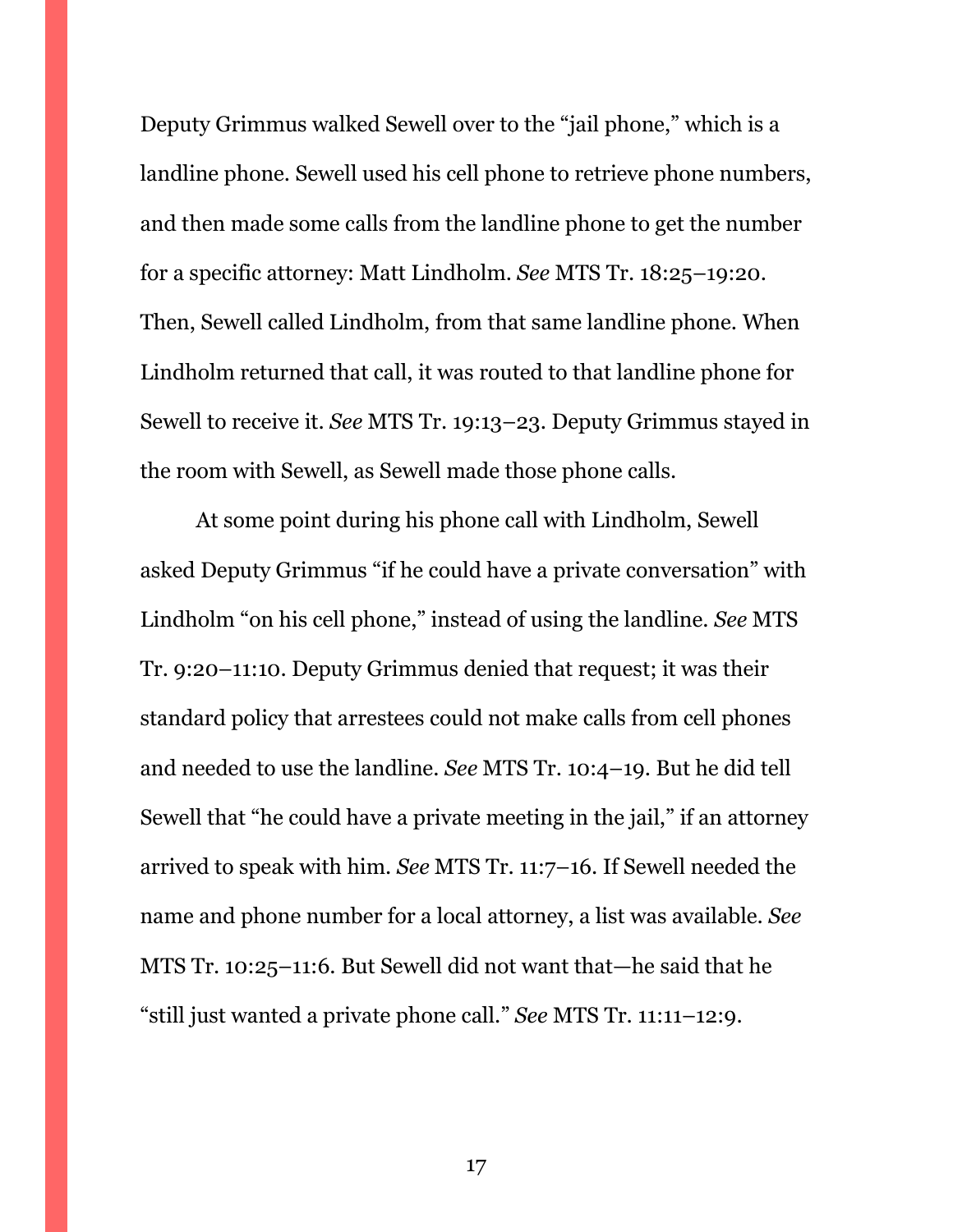Deputy Grimmus walked Sewell over to the "jail phone," which is a landline phone. Sewell used his cell phone to retrieve phone numbers, and then made some calls from the landline phone to get the number for a specific attorney: Matt Lindholm. *See* MTS Tr. 18:25–19:20. Then, Sewell called Lindholm, from that same landline phone. When Lindholm returned that call, it was routed to that landline phone for Sewell to receive it. *See* MTS Tr. 19:13–23. Deputy Grimmus stayed in the room with Sewell, as Sewell made those phone calls.

At some point during his phone call with Lindholm, Sewell asked Deputy Grimmus "if he could have a private conversation" with Lindholm "on his cell phone," instead of using the landline. *See* MTS Tr. 9:20–11:10. Deputy Grimmus denied that request; it was their standard policy that arrestees could not make calls from cell phones and needed to use the landline. *See* MTS Tr. 10:4–19. But he did tell Sewell that "he could have a private meeting in the jail," if an attorney arrived to speak with him. *See* MTS Tr. 11:7–16. If Sewell needed the name and phone number for a local attorney, a list was available. *See*  MTS Tr. 10:25–11:6. But Sewell did not want that—he said that he "still just wanted a private phone call." *See* MTS Tr. 11:11–12:9.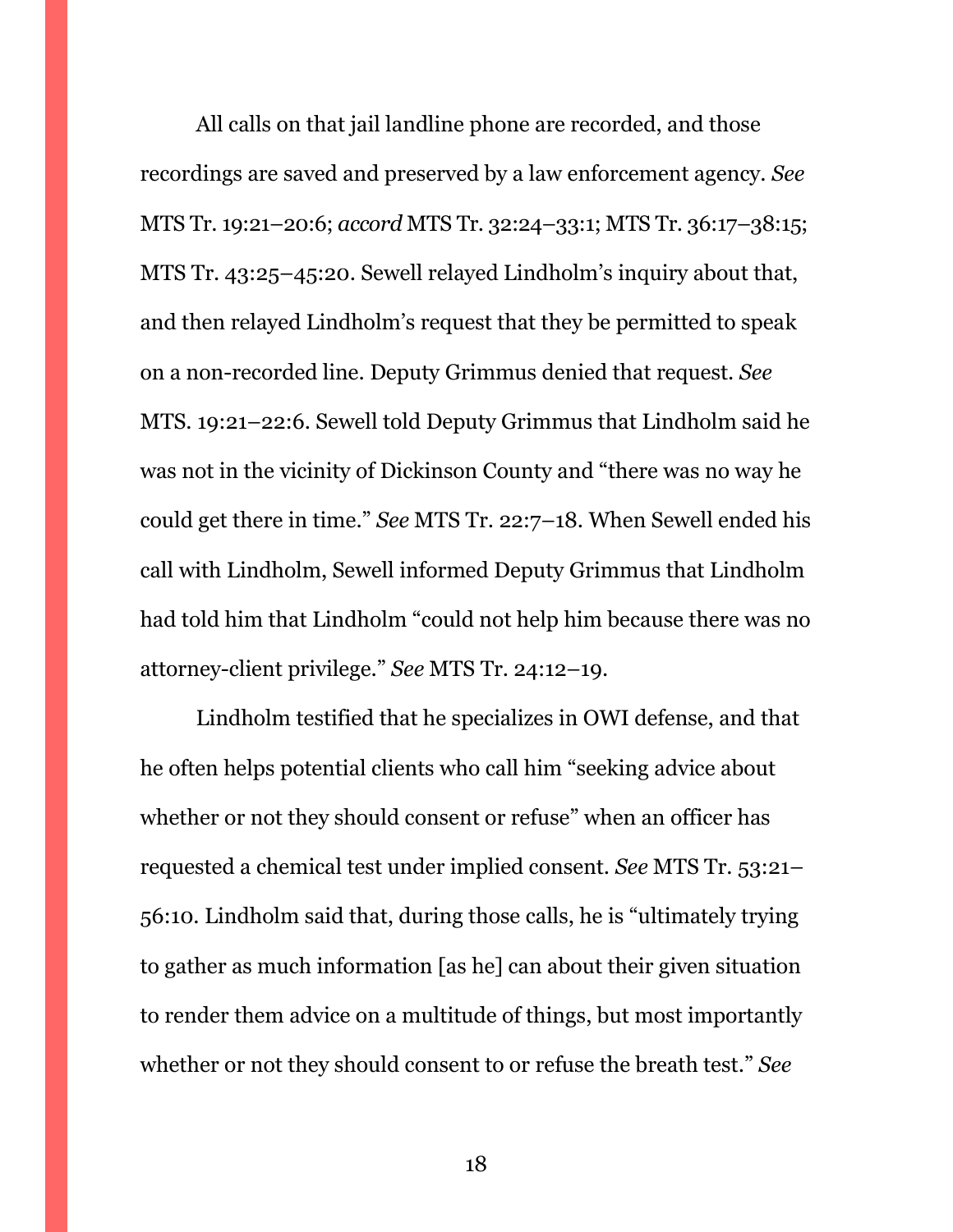All calls on that jail landline phone are recorded, and those recordings are saved and preserved by a law enforcement agency. *See*  MTS Tr. 19:21–20:6; *accord* MTS Tr. 32:24–33:1; MTS Tr. 36:17–38:15; MTS Tr. 43:25–45:20. Sewell relayed Lindholm's inquiry about that, and then relayed Lindholm's request that they be permitted to speak on a non-recorded line. Deputy Grimmus denied that request. *See*  MTS. 19:21–22:6. Sewell told Deputy Grimmus that Lindholm said he was not in the vicinity of Dickinson County and "there was no way he could get there in time." *See* MTS Tr. 22:7–18. When Sewell ended his call with Lindholm, Sewell informed Deputy Grimmus that Lindholm had told him that Lindholm "could not help him because there was no attorney-client privilege." *See* MTS Tr. 24:12–19.

Lindholm testified that he specializes in OWI defense, and that he often helps potential clients who call him "seeking advice about whether or not they should consent or refuse" when an officer has requested a chemical test under implied consent. *See* MTS Tr. 53:21– 56:10. Lindholm said that, during those calls, he is "ultimately trying to gather as much information [as he] can about their given situation to render them advice on a multitude of things, but most importantly whether or not they should consent to or refuse the breath test." *See*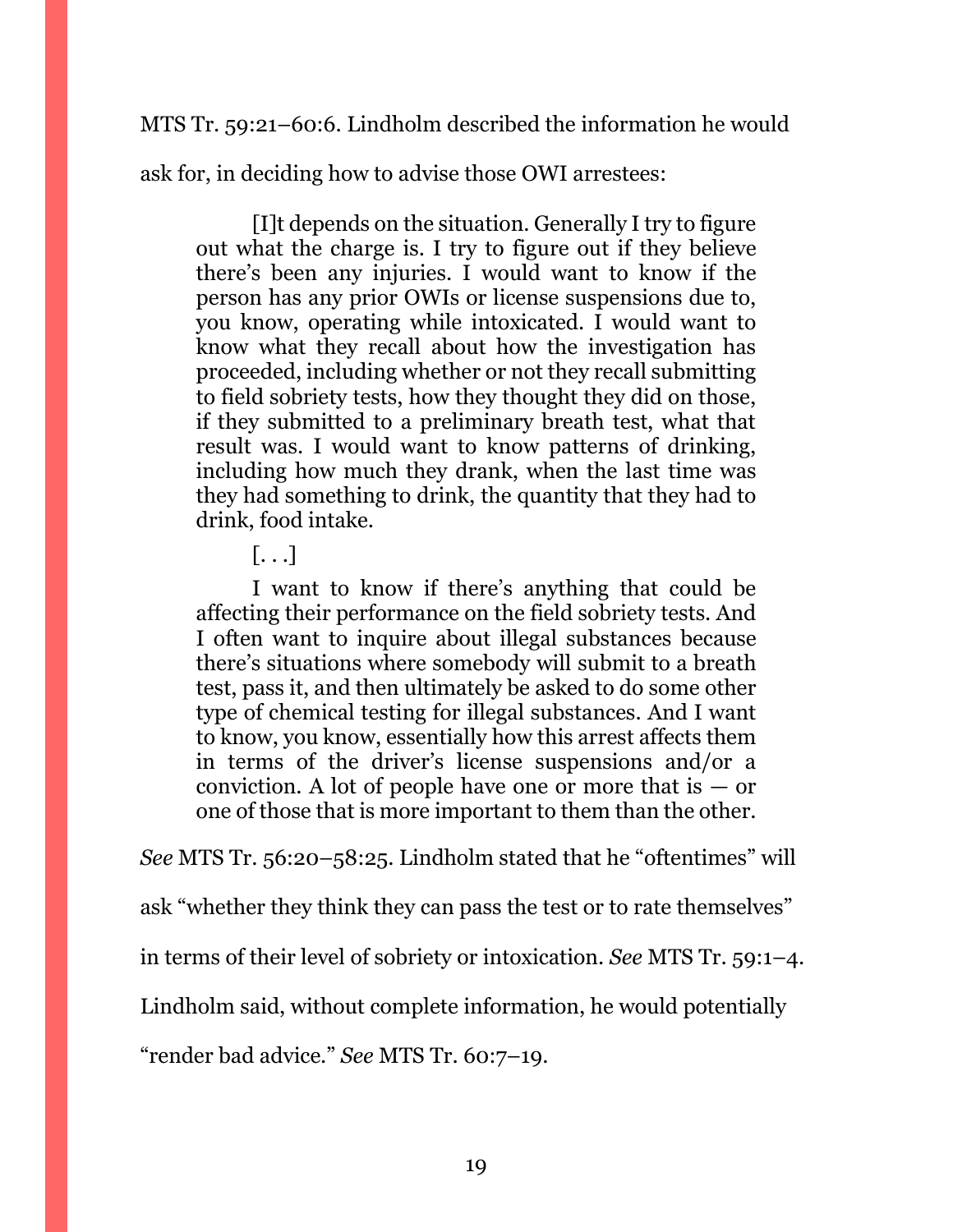MTS Tr. 59:21–60:6. Lindholm described the information he would

ask for, in deciding how to advise those OWI arrestees:

[I]t depends on the situation. Generally I try to figure out what the charge is. I try to figure out if they believe there's been any injuries. I would want to know if the person has any prior OWIs or license suspensions due to, you know, operating while intoxicated. I would want to know what they recall about how the investigation has proceeded, including whether or not they recall submitting to field sobriety tests, how they thought they did on those, if they submitted to a preliminary breath test, what that result was. I would want to know patterns of drinking, including how much they drank, when the last time was they had something to drink, the quantity that they had to drink, food intake.

 $\left[\ldots\right]$ 

I want to know if there's anything that could be affecting their performance on the field sobriety tests. And I often want to inquire about illegal substances because there's situations where somebody will submit to a breath test, pass it, and then ultimately be asked to do some other type of chemical testing for illegal substances. And I want to know, you know, essentially how this arrest affects them in terms of the driver's license suspensions and/or a conviction. A lot of people have one or more that is  $-$  or one of those that is more important to them than the other.

*See* MTS Tr. 56:20–58:25. Lindholm stated that he "oftentimes" will

ask "whether they think they can pass the test or to rate themselves"

in terms of their level of sobriety or intoxication. *See* MTS Tr. 59:1–4.

Lindholm said, without complete information, he would potentially

"render bad advice." *See* MTS Tr. 60:7–19.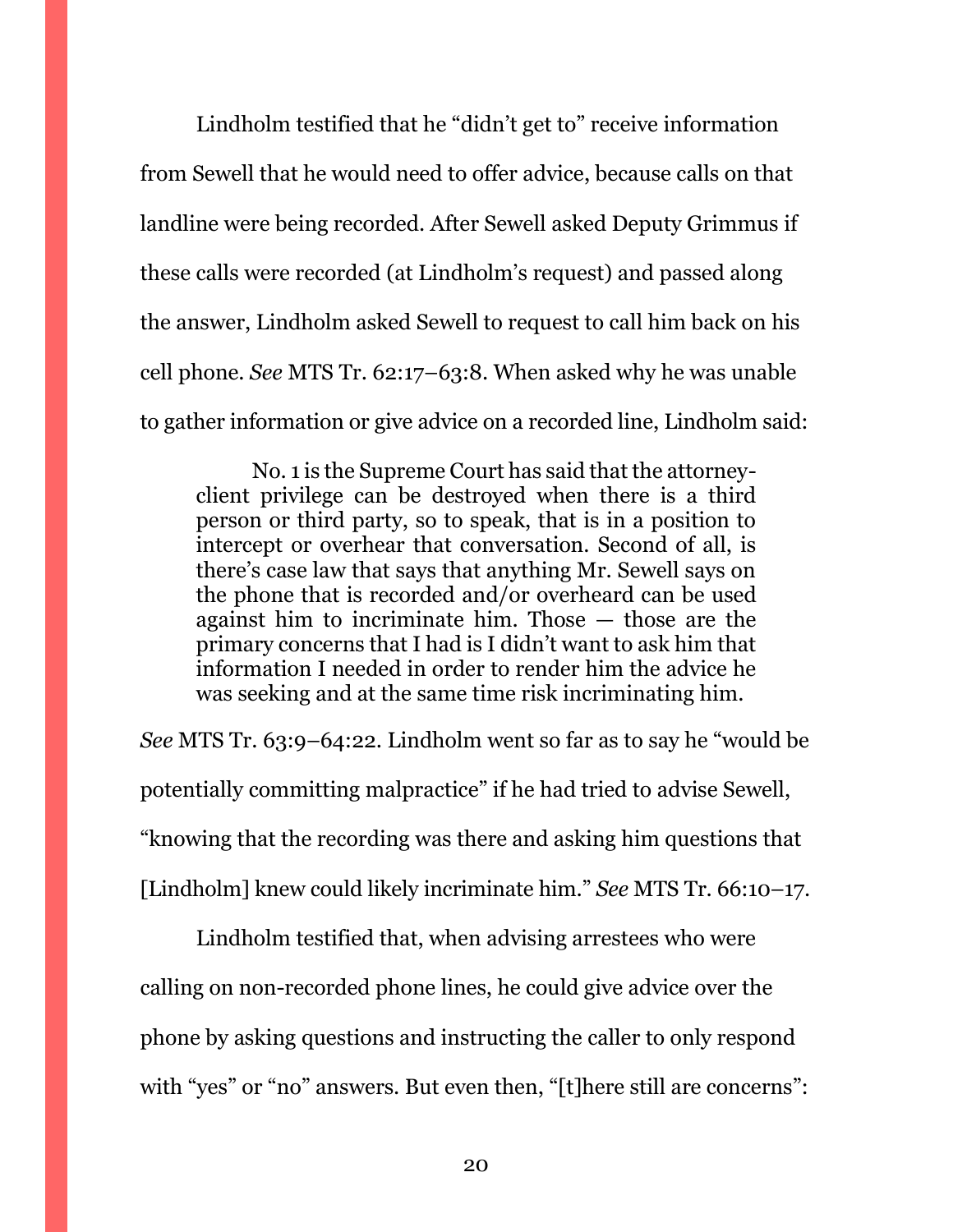Lindholm testified that he "didn't get to" receive information from Sewell that he would need to offer advice, because calls on that landline were being recorded. After Sewell asked Deputy Grimmus if these calls were recorded (at Lindholm's request) and passed along the answer, Lindholm asked Sewell to request to call him back on his cell phone. *See* MTS Tr. 62:17–63:8. When asked why he was unable to gather information or give advice on a recorded line, Lindholm said:

No. 1 is the Supreme Court has said that the attorneyclient privilege can be destroyed when there is a third person or third party, so to speak, that is in a position to intercept or overhear that conversation. Second of all, is there's case law that says that anything Mr. Sewell says on the phone that is recorded and/or overheard can be used against him to incriminate him. Those — those are the primary concerns that I had is I didn't want to ask him that information I needed in order to render him the advice he was seeking and at the same time risk incriminating him.

*See* MTS Tr. 63:9–64:22. Lindholm went so far as to say he "would be potentially committing malpractice" if he had tried to advise Sewell, "knowing that the recording was there and asking him questions that [Lindholm] knew could likely incriminate him." *See* MTS Tr. 66:10–17.

Lindholm testified that, when advising arrestees who were calling on non-recorded phone lines, he could give advice over the phone by asking questions and instructing the caller to only respond with "yes" or "no" answers. But even then, "[t]here still are concerns":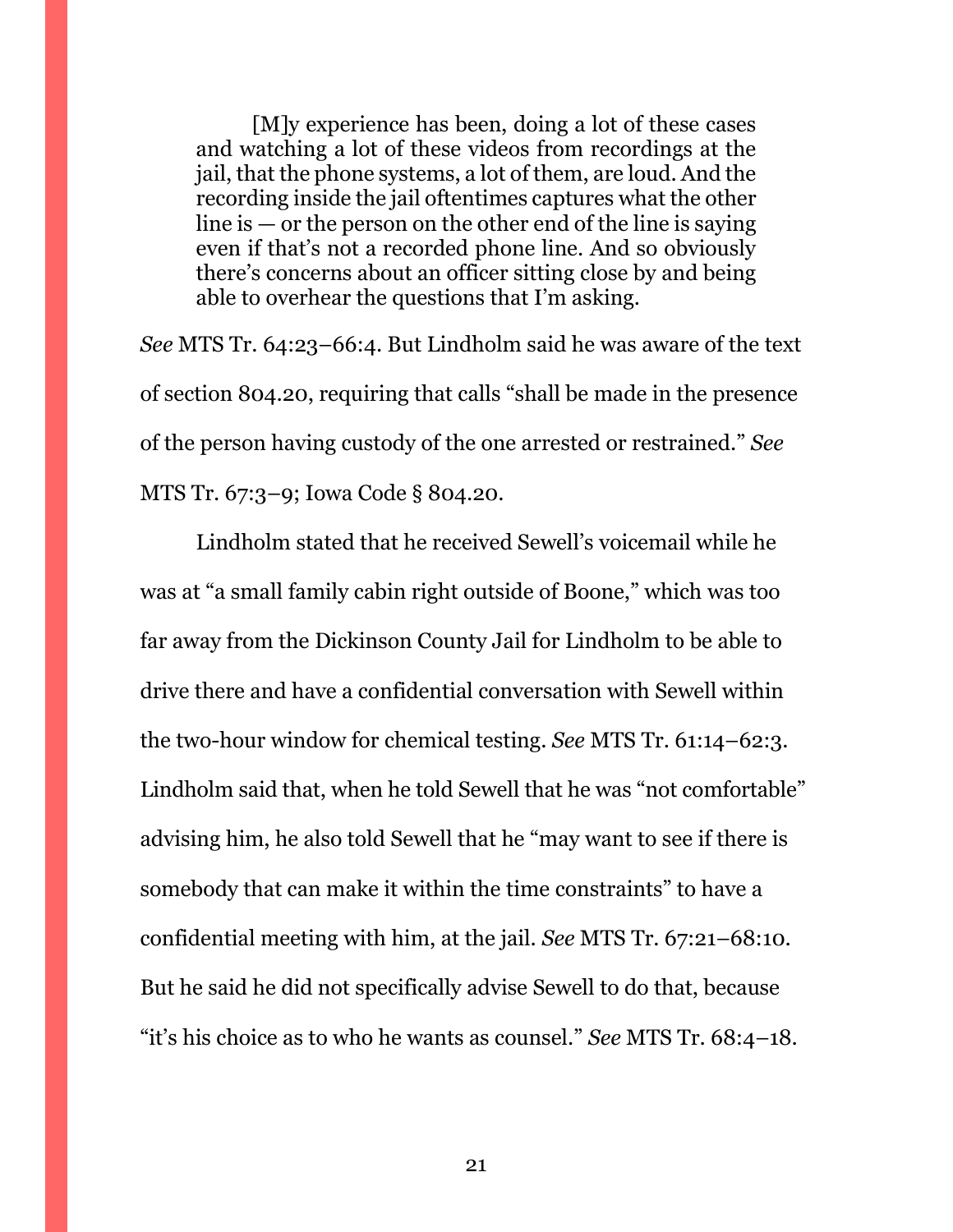[M]y experience has been, doing a lot of these cases and watching a lot of these videos from recordings at the jail, that the phone systems, a lot of them, are loud. And the recording inside the jail oftentimes captures what the other line is — or the person on the other end of the line is saying even if that's not a recorded phone line. And so obviously there's concerns about an officer sitting close by and being able to overhear the questions that I'm asking.

*See* MTS Tr. 64:23–66:4. But Lindholm said he was aware of the text of section 804.20, requiring that calls "shall be made in the presence of the person having custody of the one arrested or restrained." *See*  MTS Tr. 67:3–9; Iowa Code § 804.20.

Lindholm stated that he received Sewell's voicemail while he was at "a small family cabin right outside of Boone," which was too far away from the Dickinson County Jail for Lindholm to be able to drive there and have a confidential conversation with Sewell within the two-hour window for chemical testing. *See* MTS Tr. 61:14–62:3. Lindholm said that, when he told Sewell that he was "not comfortable" advising him, he also told Sewell that he "may want to see if there is somebody that can make it within the time constraints" to have a confidential meeting with him, at the jail. *See* MTS Tr. 67:21–68:10. But he said he did not specifically advise Sewell to do that, because "it's his choice as to who he wants as counsel." *See* MTS Tr. 68:4–18.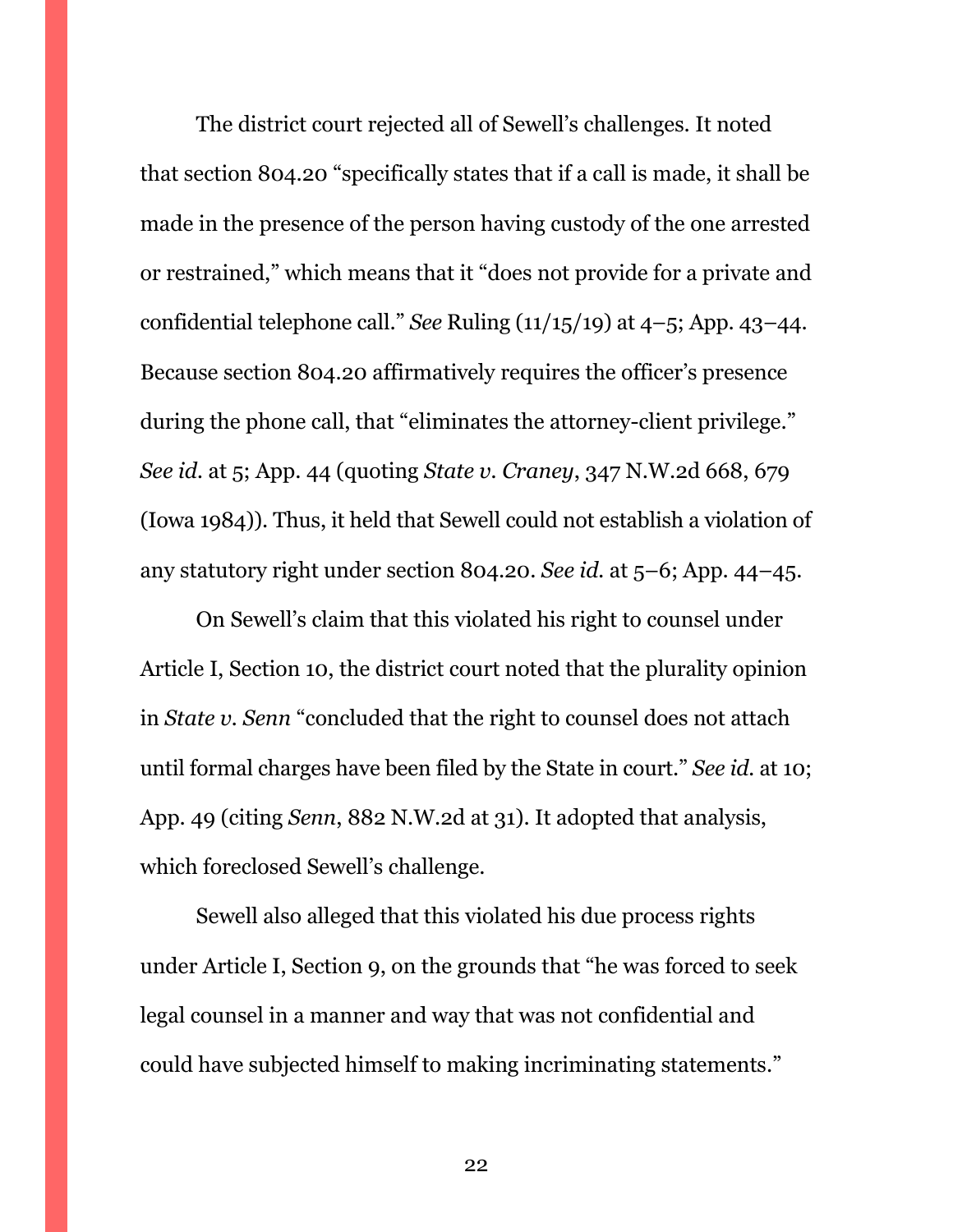The district court rejected all of Sewell's challenges. It noted that section 804.20 "specifically states that if a call is made, it shall be made in the presence of the person having custody of the one arrested or restrained," which means that it "does not provide for a private and confidential telephone call." *See* Ruling (11/15/19) at 4–5; App. 43–44. Because section 804.20 affirmatively requires the officer's presence during the phone call, that "eliminates the attorney-client privilege." *See id.* at 5; App. 44 (quoting *State v. Craney*, 347 N.W.2d 668, 679 (Iowa 1984)). Thus, it held that Sewell could not establish a violation of any statutory right under section 804.20. *See id.* at 5–6; App. 44–45.

On Sewell's claim that this violated his right to counsel under Article I, Section 10, the district court noted that the plurality opinion in *State v. Senn* "concluded that the right to counsel does not attach until formal charges have been filed by the State in court." *See id.* at 10; App. 49 (citing *Senn*, 882 N.W.2d at 31). It adopted that analysis, which foreclosed Sewell's challenge.

Sewell also alleged that this violated his due process rights under Article I, Section 9, on the grounds that "he was forced to seek legal counsel in a manner and way that was not confidential and could have subjected himself to making incriminating statements."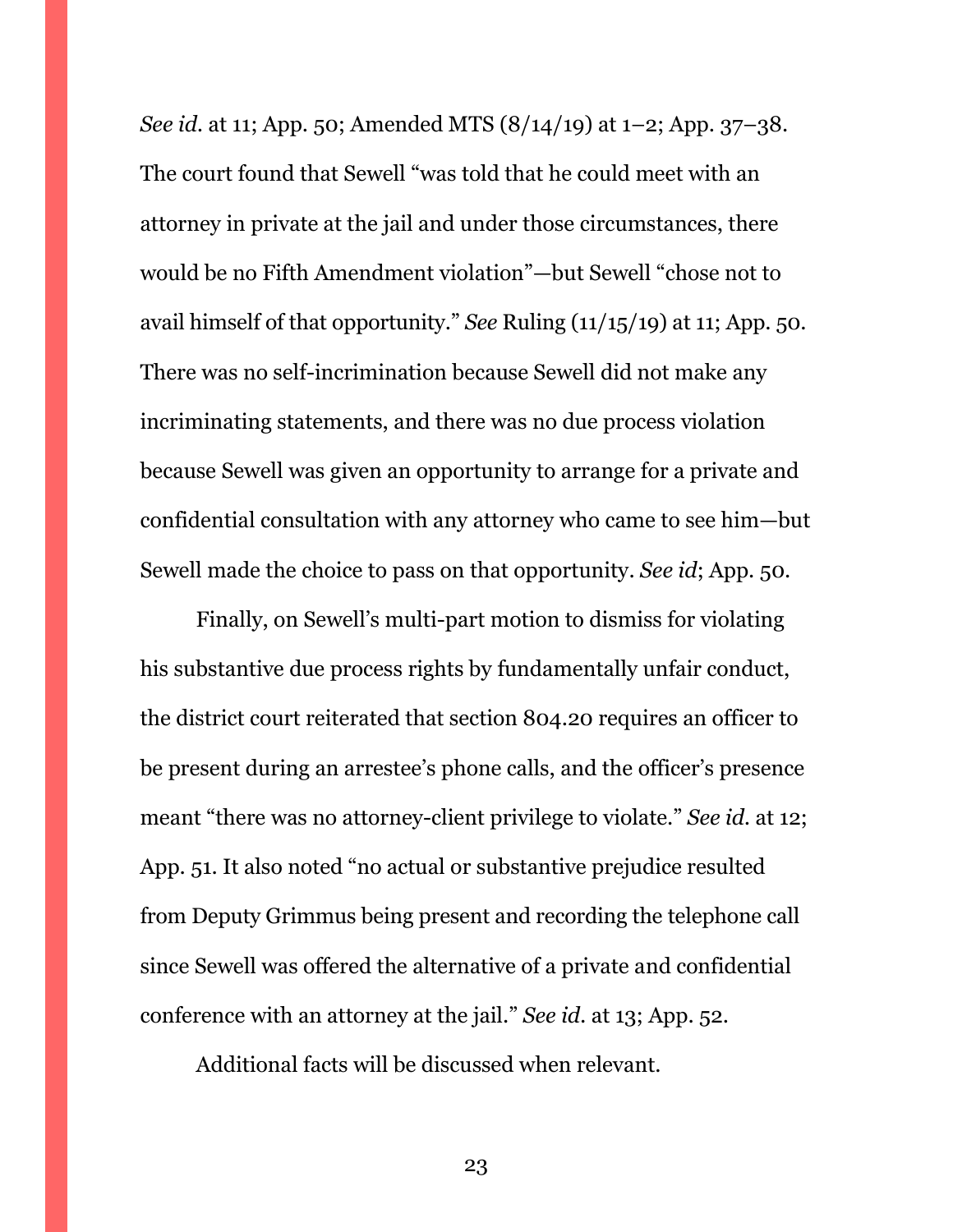*See id.* at 11; App. 50; Amended MTS (8/14/19) at 1–2; App. 37–38. The court found that Sewell "was told that he could meet with an attorney in private at the jail and under those circumstances, there would be no Fifth Amendment violation"—but Sewell "chose not to avail himself of that opportunity." *See* Ruling (11/15/19) at 11; App. 50. There was no self-incrimination because Sewell did not make any incriminating statements, and there was no due process violation because Sewell was given an opportunity to arrange for a private and confidential consultation with any attorney who came to see him—but Sewell made the choice to pass on that opportunity. *See id*; App. 50.

Finally, on Sewell's multi-part motion to dismiss for violating his substantive due process rights by fundamentally unfair conduct, the district court reiterated that section 804.20 requires an officer to be present during an arrestee's phone calls, and the officer's presence meant "there was no attorney-client privilege to violate." *See id.* at 12; App. 51. It also noted "no actual or substantive prejudice resulted from Deputy Grimmus being present and recording the telephone call since Sewell was offered the alternative of a private and confidential conference with an attorney at the jail." *See id.* at 13; App. 52.

Additional facts will be discussed when relevant.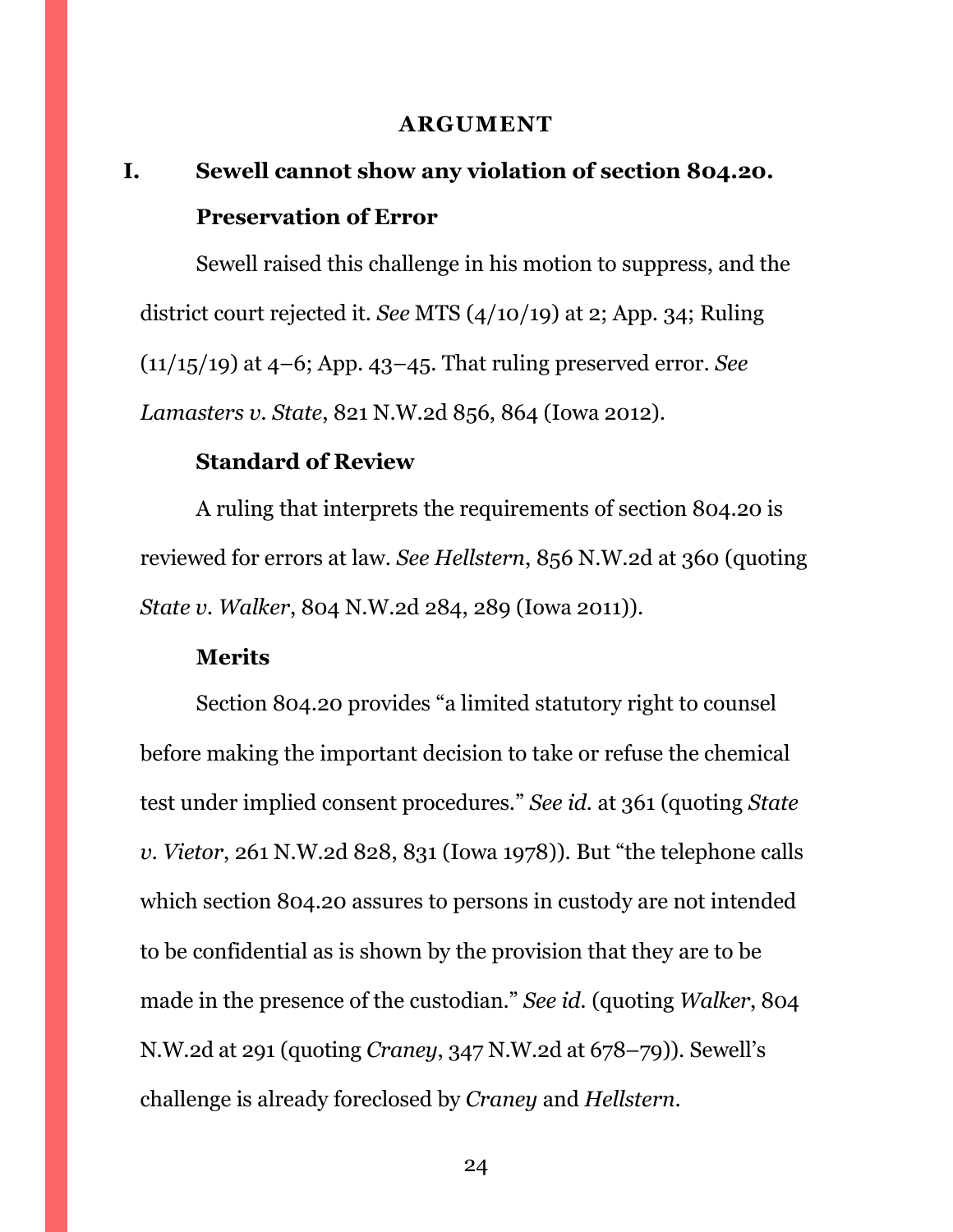#### **ARGUMENT**

# <span id="page-23-1"></span><span id="page-23-0"></span>**I. Sewell cannot show any violation of section 804.20. Preservation of Error**

Sewell raised this challenge in his motion to suppress, and the district court rejected it. *See* MTS (4/10/19) at 2; App. 34; Ruling (11/15/19) at 4–6; App. 43–45. That ruling preserved error. *See Lamasters v. State*, 821 N.W.2d 856, 864 (Iowa 2012).

## **Standard of Review**

A ruling that interprets the requirements of section 804.20 is reviewed for errors at law. *See Hellstern*, 856 N.W.2d at 360 (quoting *State v. Walker*, 804 N.W.2d 284, 289 (Iowa 2011)).

#### **Merits**

Section 804.20 provides "a limited statutory right to counsel before making the important decision to take or refuse the chemical test under implied consent procedures." *See id.* at 361 (quoting *State v. Vietor*, 261 N.W.2d 828, 831 (Iowa 1978)). But "the telephone calls which section 804.20 assures to persons in custody are not intended to be confidential as is shown by the provision that they are to be made in the presence of the custodian." *See id.* (quoting *Walker*, 804 N.W.2d at 291 (quoting *Craney*, 347 N.W.2d at 678–79)). Sewell's challenge is already foreclosed by *Craney* and *Hellstern*.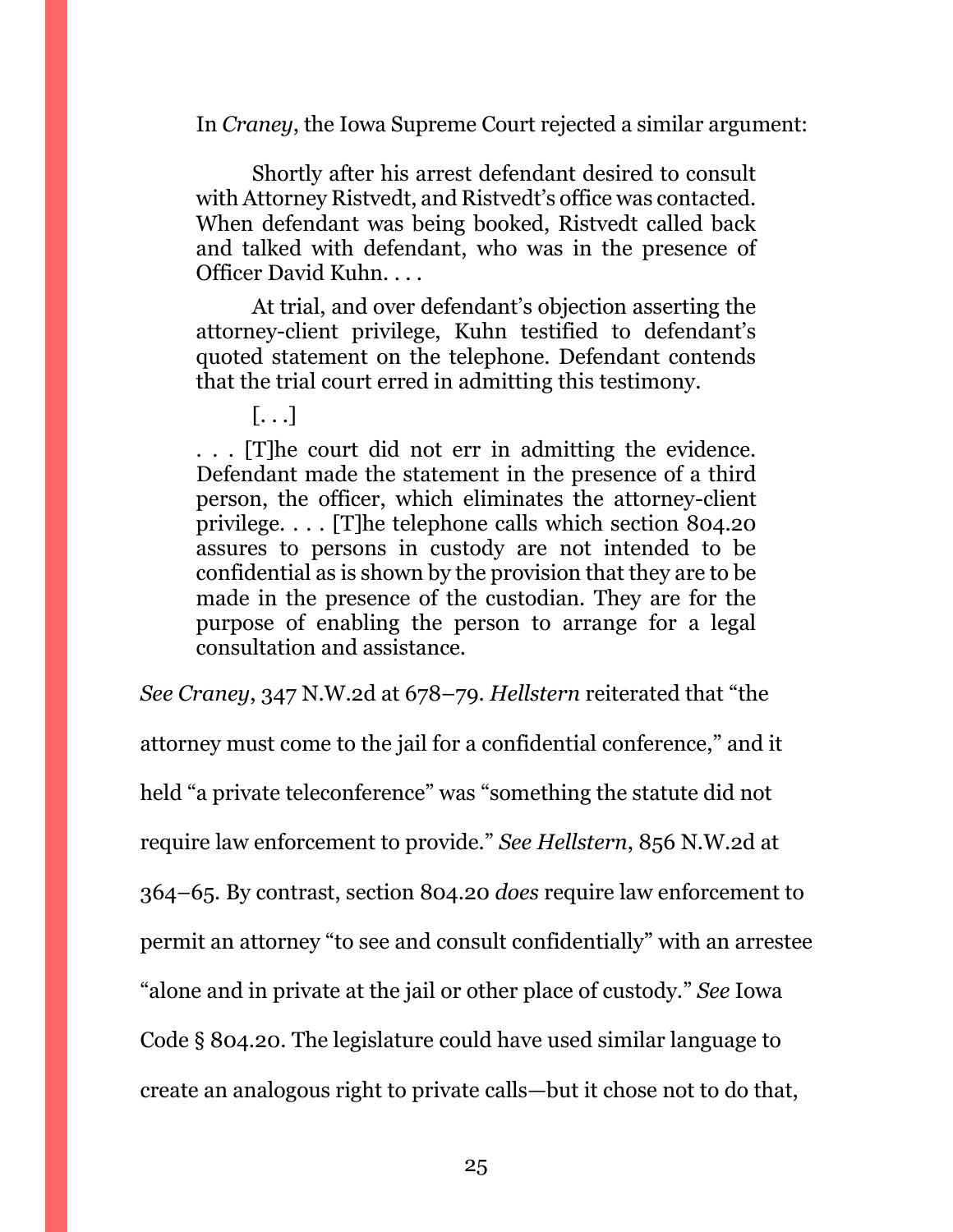In *Craney*, the Iowa Supreme Court rejected a similar argument:

Shortly after his arrest defendant desired to consult with Attorney Ristvedt, and Ristvedt's office was contacted. When defendant was being booked, Ristvedt called back and talked with defendant, who was in the presence of Officer David Kuhn. . . .

At trial, and over defendant's objection asserting the attorney-client privilege, Kuhn testified to defendant's quoted statement on the telephone. Defendant contends that the trial court erred in admitting this testimony.

[. . .]

. . . [T]he court did not err in admitting the evidence. Defendant made the statement in the presence of a third person, the officer, which eliminates the attorney-client privilege. . . . [T]he telephone calls which section 804.20 assures to persons in custody are not intended to be confidential as is shown by the provision that they are to be made in the presence of the custodian. They are for the purpose of enabling the person to arrange for a legal consultation and assistance.

*See Craney*, 347 N.W.2d at 678–79. *Hellstern* reiterated that "the

attorney must come to the jail for a confidential conference," and it

held "a private teleconference" was "something the statute did not

require law enforcement to provide." *See Hellstern*, 856 N.W.2d at

364–65. By contrast, section 804.20 *does* require law enforcement to

permit an attorney "to see and consult confidentially" with an arrestee

"alone and in private at the jail or other place of custody." *See* Iowa

Code § 804.20. The legislature could have used similar language to

create an analogous right to private calls—but it chose not to do that,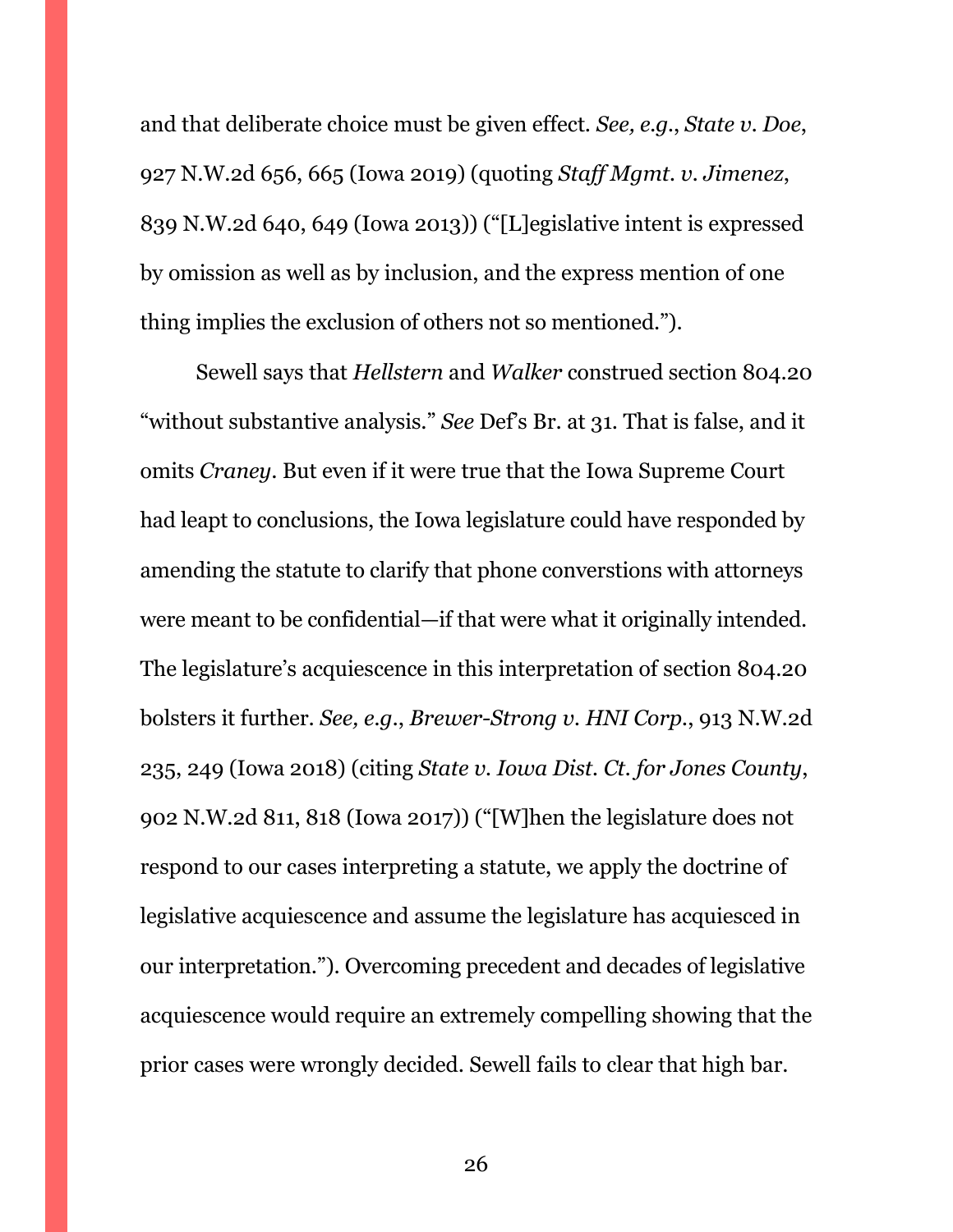and that deliberate choice must be given effect. *See, e.g.*, *State v. Doe*, 927 N.W.2d 656, 665 (Iowa 2019) (quoting *Staff Mgmt. v. Jimenez*, 839 N.W.2d 640, 649 (Iowa 2013)) ("[L]egislative intent is expressed by omission as well as by inclusion, and the express mention of one thing implies the exclusion of others not so mentioned.").

Sewell says that *Hellstern* and *Walker* construed section 804.20 "without substantive analysis." *See* Def's Br. at 31. That is false, and it omits *Craney*. But even if it were true that the Iowa Supreme Court had leapt to conclusions, the Iowa legislature could have responded by amending the statute to clarify that phone converstions with attorneys were meant to be confidential—if that were what it originally intended. The legislature's acquiescence in this interpretation of section 804.20 bolsters it further. *See, e.g.*, *Brewer-Strong v. HNI Corp.*, 913 N.W.2d 235, 249 (Iowa 2018) (citing *State v. Iowa Dist. Ct. for Jones County*, 902 N.W.2d 811, 818 (Iowa 2017)) ("[W]hen the legislature does not respond to our cases interpreting a statute, we apply the doctrine of legislative acquiescence and assume the legislature has acquiesced in our interpretation."). Overcoming precedent and decades of legislative acquiescence would require an extremely compelling showing that the prior cases were wrongly decided. Sewell fails to clear that high bar.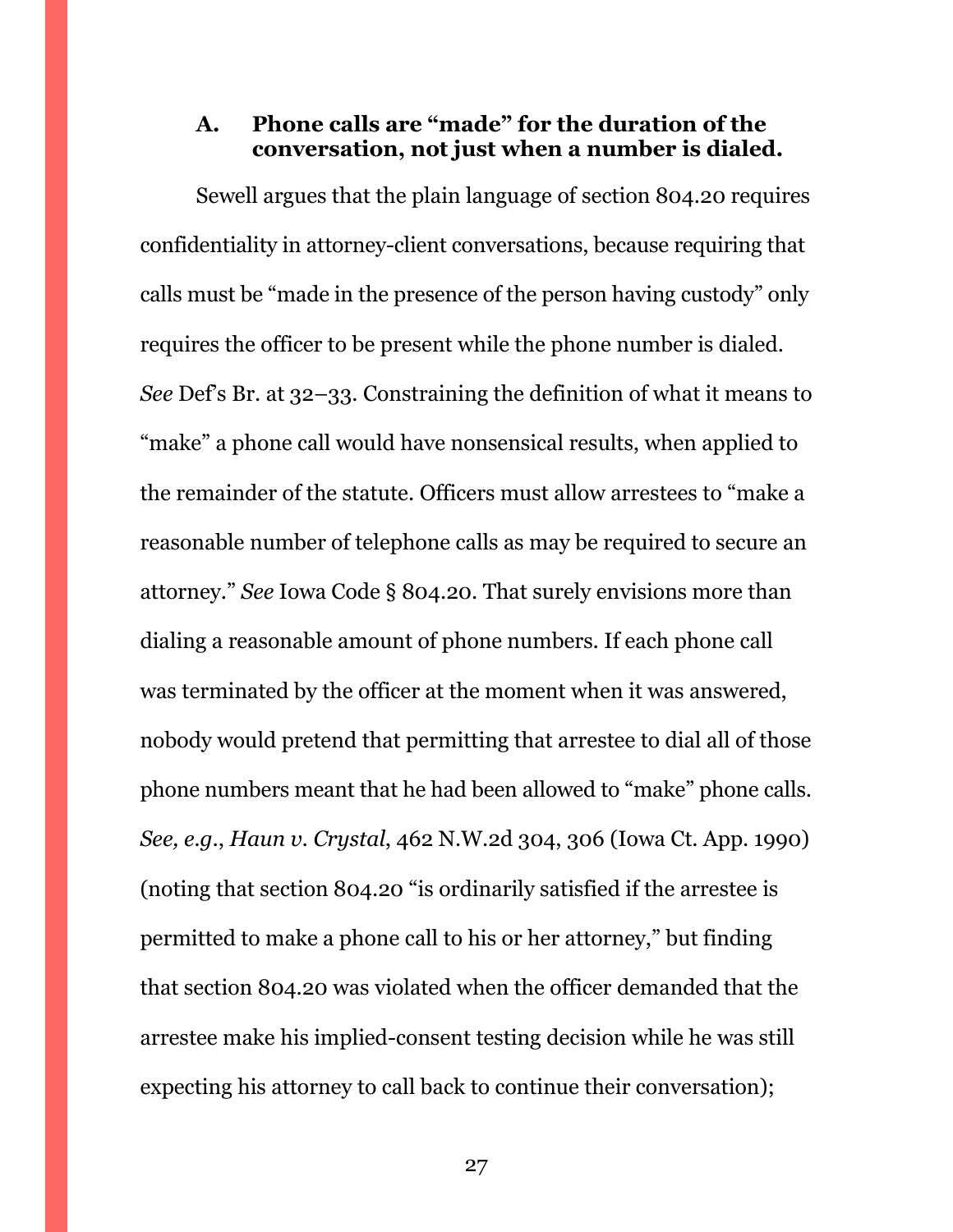# <span id="page-26-0"></span>**A. Phone calls are "made" for the duration of the conversation, not just when a number is dialed.**

Sewell argues that the plain language of section 804.20 requires confidentiality in attorney-client conversations, because requiring that calls must be "made in the presence of the person having custody" only requires the officer to be present while the phone number is dialed. *See* Def's Br. at 32–33. Constraining the definition of what it means to "make" a phone call would have nonsensical results, when applied to the remainder of the statute. Officers must allow arrestees to "make a reasonable number of telephone calls as may be required to secure an attorney." *See* Iowa Code § 804.20. That surely envisions more than dialing a reasonable amount of phone numbers. If each phone call was terminated by the officer at the moment when it was answered, nobody would pretend that permitting that arrestee to dial all of those phone numbers meant that he had been allowed to "make" phone calls. *See, e.g.*, *Haun v. Crystal*, 462 N.W.2d 304, 306 (Iowa Ct. App. 1990) (noting that section 804.20 "is ordinarily satisfied if the arrestee is permitted to make a phone call to his or her attorney," but finding that section 804.20 was violated when the officer demanded that the arrestee make his implied-consent testing decision while he was still expecting his attorney to call back to continue their conversation);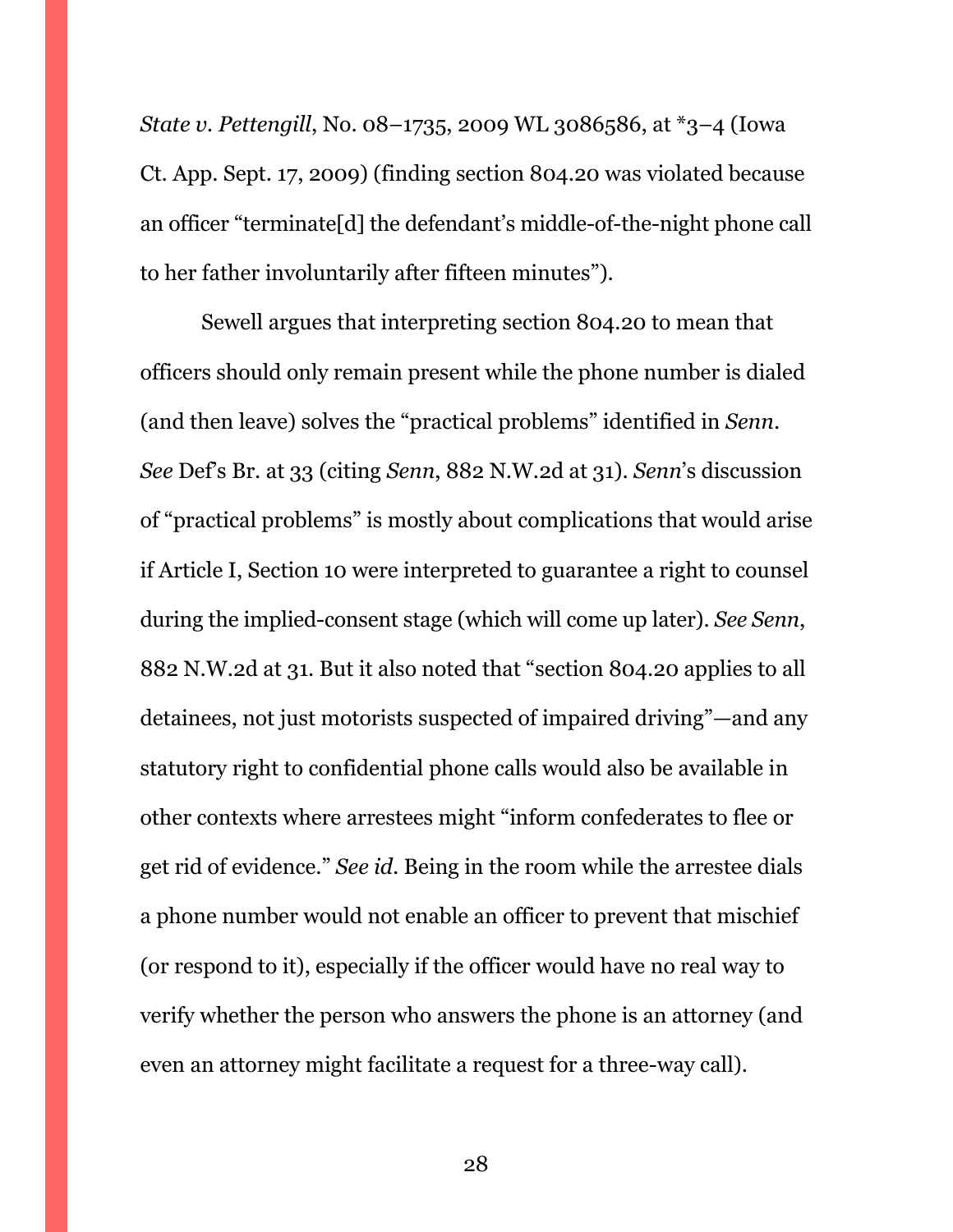*State v. Pettengill*, No. 08–1735, 2009 WL 3086586, at \*3–4 (Iowa Ct. App. Sept. 17, 2009) (finding section 804.20 was violated because an officer "terminate[d] the defendant's middle-of-the-night phone call to her father involuntarily after fifteen minutes").

Sewell argues that interpreting section 804.20 to mean that officers should only remain present while the phone number is dialed (and then leave) solves the "practical problems" identified in *Senn*. *See* Def's Br. at 33 (citing *Senn*, 882 N.W.2d at 31). *Senn*'s discussion of "practical problems" is mostly about complications that would arise if Article I, Section 10 were interpreted to guarantee a right to counsel during the implied-consent stage (which will come up later). *See Senn*, 882 N.W.2d at 31. But it also noted that "section 804.20 applies to all detainees, not just motorists suspected of impaired driving"—and any statutory right to confidential phone calls would also be available in other contexts where arrestees might "inform confederates to flee or get rid of evidence." *See id.* Being in the room while the arrestee dials a phone number would not enable an officer to prevent that mischief (or respond to it), especially if the officer would have no real way to verify whether the person who answers the phone is an attorney (and even an attorney might facilitate a request for a three-way call).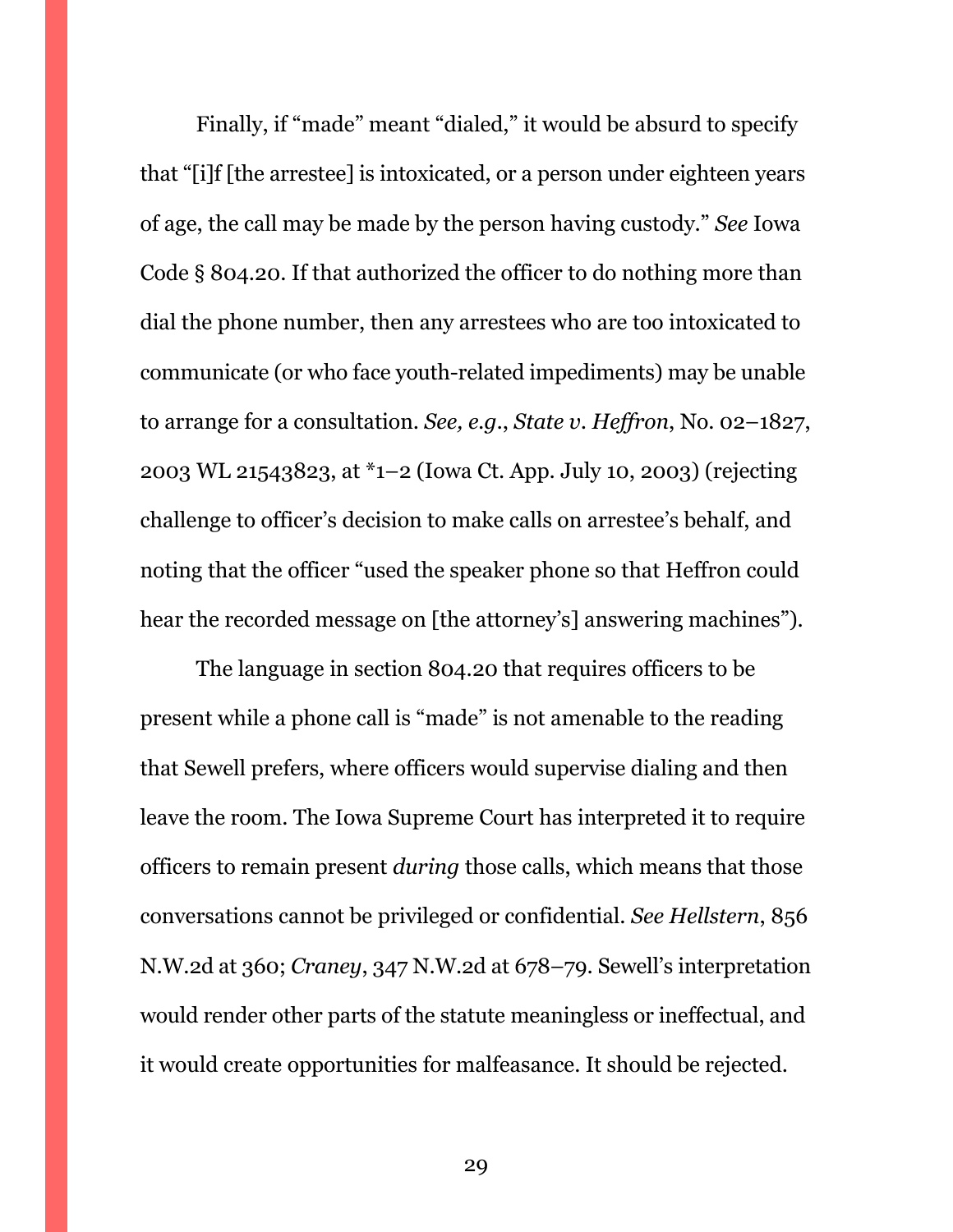Finally, if "made" meant "dialed," it would be absurd to specify that "[i]f [the arrestee] is intoxicated, or a person under eighteen years of age, the call may be made by the person having custody." *See* Iowa Code § 804.20. If that authorized the officer to do nothing more than dial the phone number, then any arrestees who are too intoxicated to communicate (or who face youth-related impediments) may be unable to arrange for a consultation. *See, e.g.*, *State v. Heffron*, No. 02–1827, 2003 WL 21543823, at \*1–2 (Iowa Ct. App. July 10, 2003) (rejecting challenge to officer's decision to make calls on arrestee's behalf, and noting that the officer "used the speaker phone so that Heffron could hear the recorded message on [the attorney's] answering machines").

The language in section 804.20 that requires officers to be present while a phone call is "made" is not amenable to the reading that Sewell prefers, where officers would supervise dialing and then leave the room. The Iowa Supreme Court has interpreted it to require officers to remain present *during* those calls, which means that those conversations cannot be privileged or confidential. *See Hellstern*, 856 N.W.2d at 360; *Craney*, 347 N.W.2d at 678–79. Sewell's interpretation would render other parts of the statute meaningless or ineffectual, and it would create opportunities for malfeasance. It should be rejected.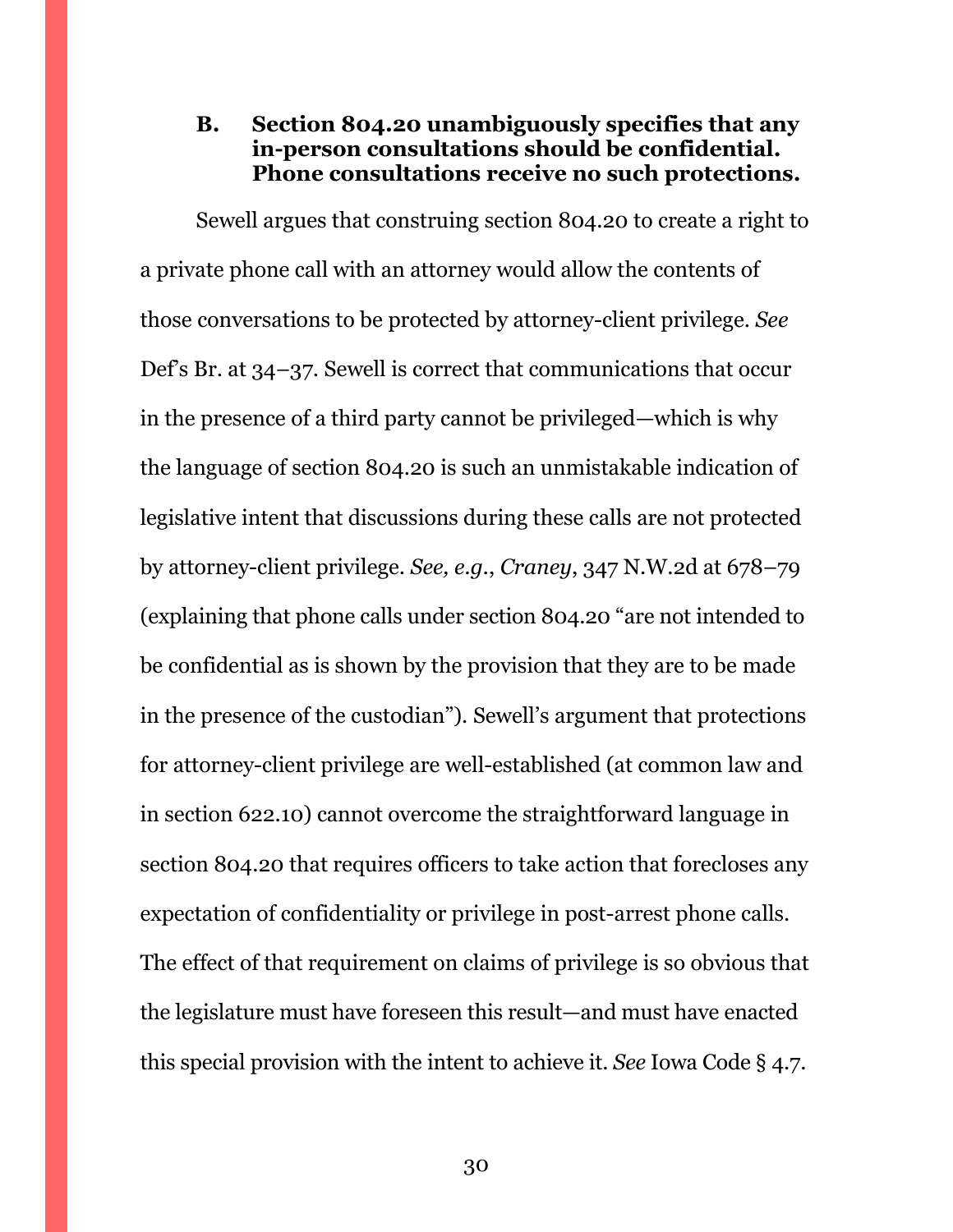# <span id="page-29-0"></span>**B. Section 804.20 unambiguously specifies that any in-person consultations should be confidential. Phone consultations receive no such protections.**

Sewell argues that construing section 804.20 to create a right to a private phone call with an attorney would allow the contents of those conversations to be protected by attorney-client privilege. *See*  Def's Br. at 34–37. Sewell is correct that communications that occur in the presence of a third party cannot be privileged—which is why the language of section 804.20 is such an unmistakable indication of legislative intent that discussions during these calls are not protected by attorney-client privilege. *See, e.g.*, *Craney*, 347 N.W.2d at 678–79 (explaining that phone calls under section 804.20 "are not intended to be confidential as is shown by the provision that they are to be made in the presence of the custodian"). Sewell's argument that protections for attorney-client privilege are well-established (at common law and in section 622.10) cannot overcome the straightforward language in section 804.20 that requires officers to take action that forecloses any expectation of confidentiality or privilege in post-arrest phone calls. The effect of that requirement on claims of privilege is so obvious that the legislature must have foreseen this result—and must have enacted this special provision with the intent to achieve it. *See* Iowa Code § 4.7.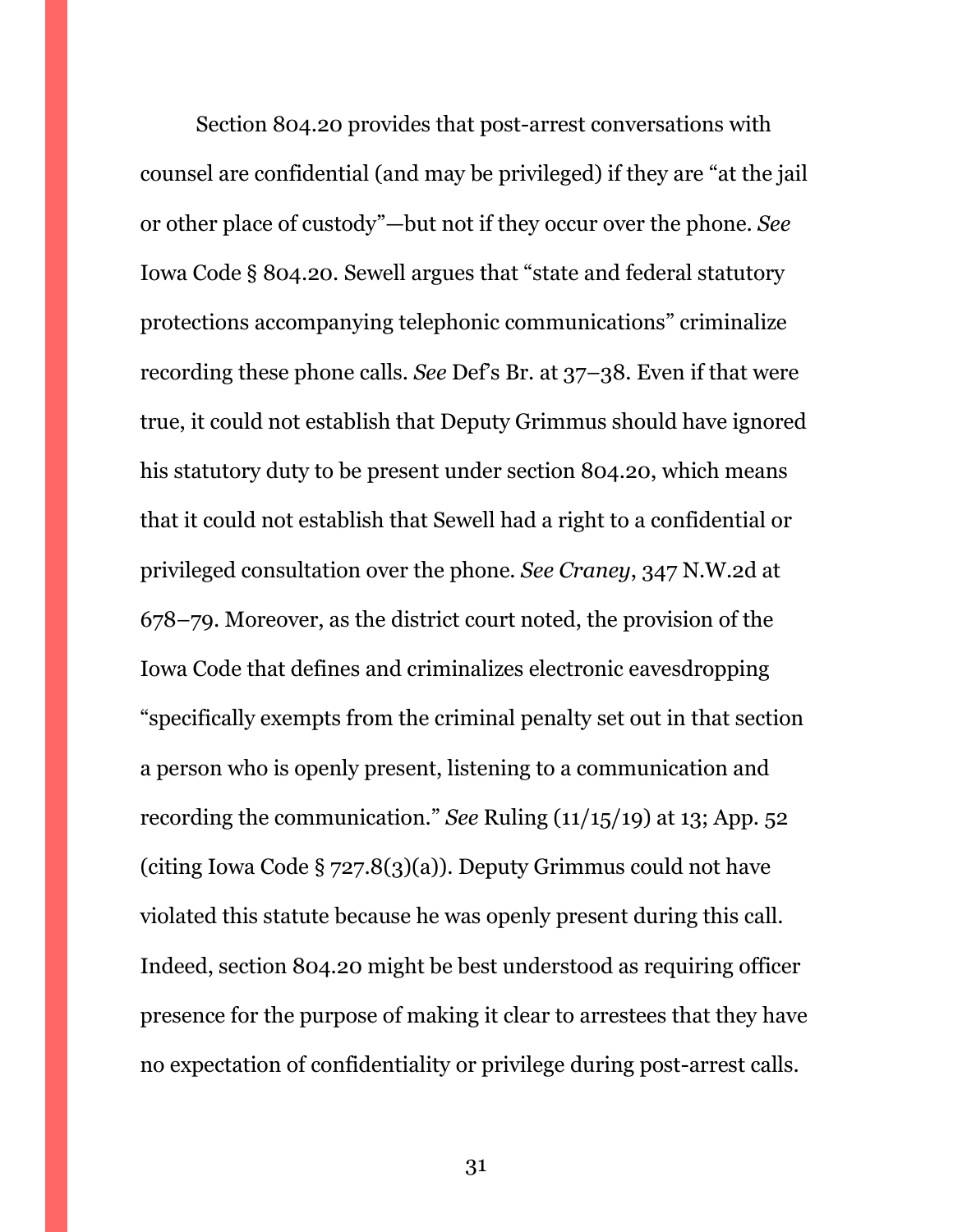Section 804.20 provides that post-arrest conversations with counsel are confidential (and may be privileged) if they are "at the jail or other place of custody"—but not if they occur over the phone. *See*  Iowa Code § 804.20. Sewell argues that "state and federal statutory protections accompanying telephonic communications" criminalize recording these phone calls. *See* Def's Br. at 37–38. Even if that were true, it could not establish that Deputy Grimmus should have ignored his statutory duty to be present under section 804.20, which means that it could not establish that Sewell had a right to a confidential or privileged consultation over the phone. *See Craney*, 347 N.W.2d at 678–79. Moreover, as the district court noted, the provision of the Iowa Code that defines and criminalizes electronic eavesdropping "specifically exempts from the criminal penalty set out in that section a person who is openly present, listening to a communication and recording the communication." *See* Ruling (11/15/19) at 13; App. 52 (citing Iowa Code  $\S 727.8(3)(a)$ ). Deputy Grimmus could not have violated this statute because he was openly present during this call. Indeed, section 804.20 might be best understood as requiring officer presence for the purpose of making it clear to arrestees that they have no expectation of confidentiality or privilege during post-arrest calls.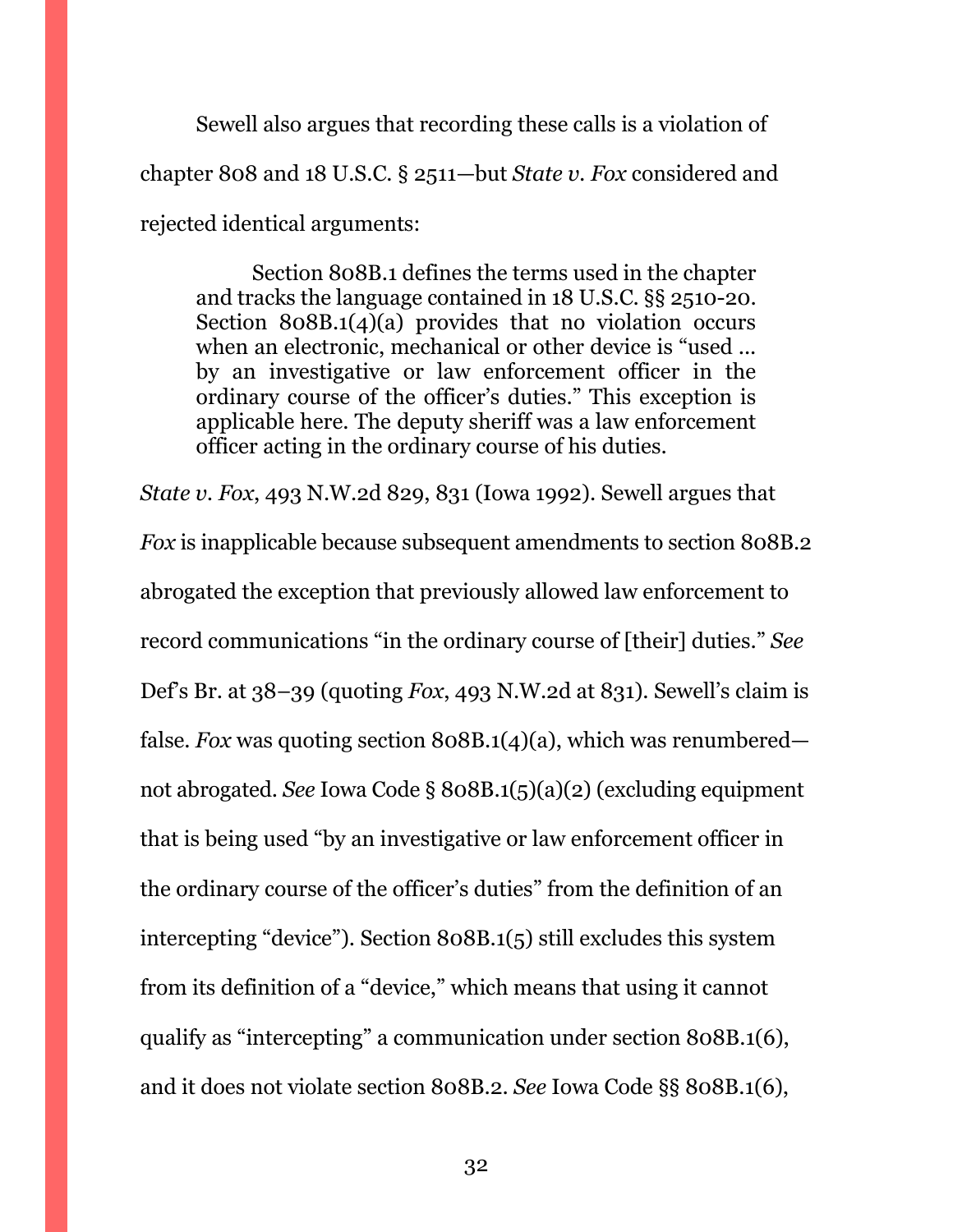Sewell also argues that recording these calls is a violation of chapter 808 and 18 U.S.C. § 2511—but *State v. Fox* considered and rejected identical arguments:

Section 808B.1 defines the terms used in the chapter and tracks the language contained in 18 U.S.C. §§ 2510-20. Section 808B.1(4)(a) provides that no violation occurs when an electronic, mechanical or other device is "used ... by an investigative or law enforcement officer in the ordinary course of the officer's duties." This exception is applicable here. The deputy sheriff was a law enforcement officer acting in the ordinary course of his duties.

*State v. Fox*, 493 N.W.2d 829, 831 (Iowa 1992). Sewell argues that *Fox* is inapplicable because subsequent amendments to section 808B.2 abrogated the exception that previously allowed law enforcement to record communications "in the ordinary course of [their] duties." *See*  Def's Br. at 38–39 (quoting *Fox*, 493 N.W.2d at 831). Sewell's claim is false. *Fox* was quoting section 808B.1(4)(a), which was renumbered not abrogated. *See* Iowa Code § 808B.1(5)(a)(2) (excluding equipment that is being used "by an investigative or law enforcement officer in the ordinary course of the officer's duties" from the definition of an intercepting "device"). Section 808B.1(5) still excludes this system from its definition of a "device," which means that using it cannot qualify as "intercepting" a communication under section 808B.1(6), and it does not violate section 808B.2. *See* Iowa Code §§ 808B.1(6),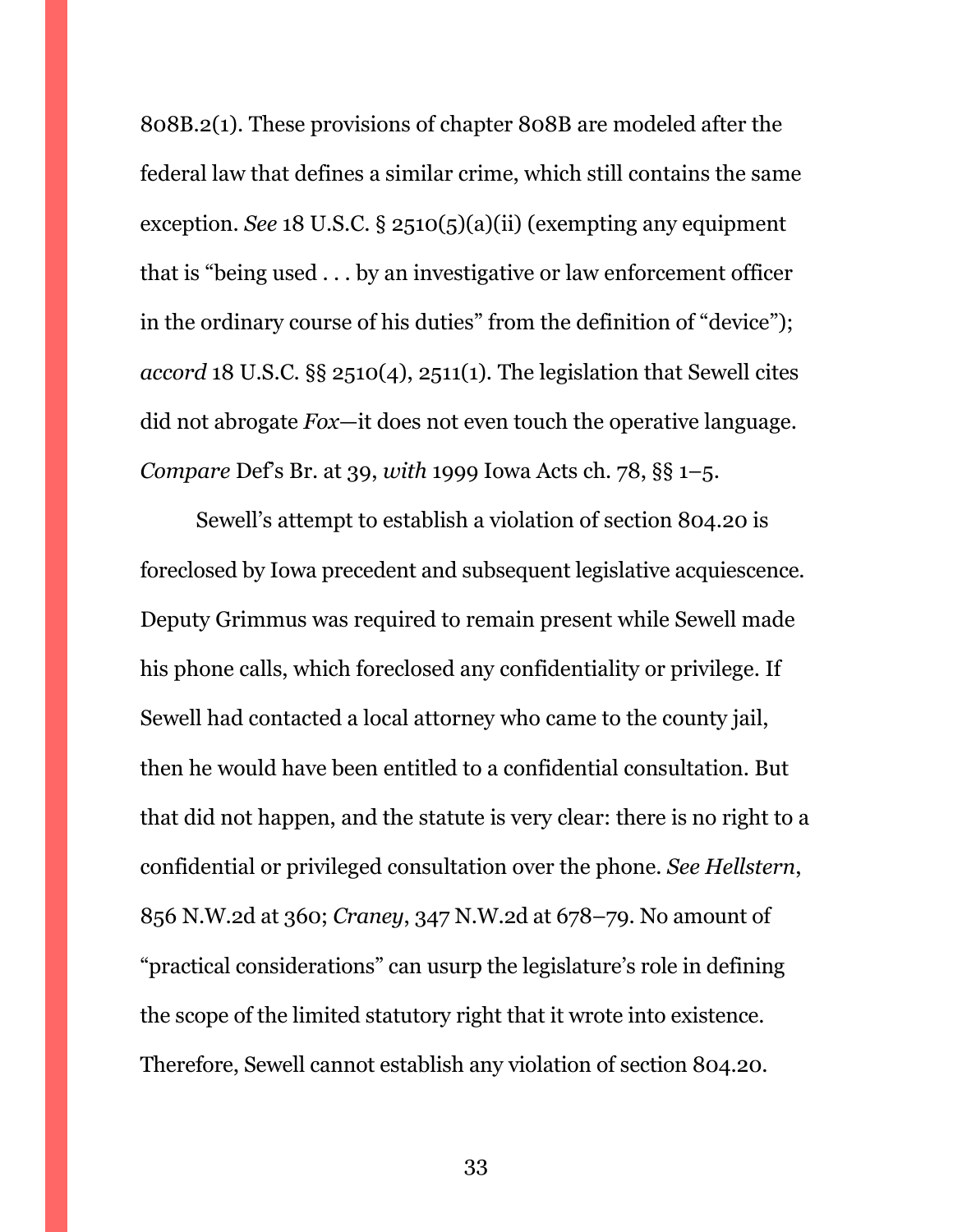808B.2(1). These provisions of chapter 808B are modeled after the federal law that defines a similar crime, which still contains the same exception. *See* 18 U.S.C. § 2510(5)(a)(ii) (exempting any equipment that is "being used . . . by an investigative or law enforcement officer in the ordinary course of his duties" from the definition of "device"); *accord* 18 U.S.C.  $\S$  2510(4), 2511(1). The legislation that Sewell cites did not abrogate *Fox*—it does not even touch the operative language. *Compare* Def's Br. at 39, *with* 1999 Iowa Acts ch. 78, §§ 1–5.

Sewell's attempt to establish a violation of section 804.20 is foreclosed by Iowa precedent and subsequent legislative acquiescence. Deputy Grimmus was required to remain present while Sewell made his phone calls, which foreclosed any confidentiality or privilege. If Sewell had contacted a local attorney who came to the county jail, then he would have been entitled to a confidential consultation. But that did not happen, and the statute is very clear: there is no right to a confidential or privileged consultation over the phone. *See Hellstern*, 856 N.W.2d at 360; *Craney*, 347 N.W.2d at 678–79. No amount of "practical considerations" can usurp the legislature's role in defining the scope of the limited statutory right that it wrote into existence. Therefore, Sewell cannot establish any violation of section 804.20.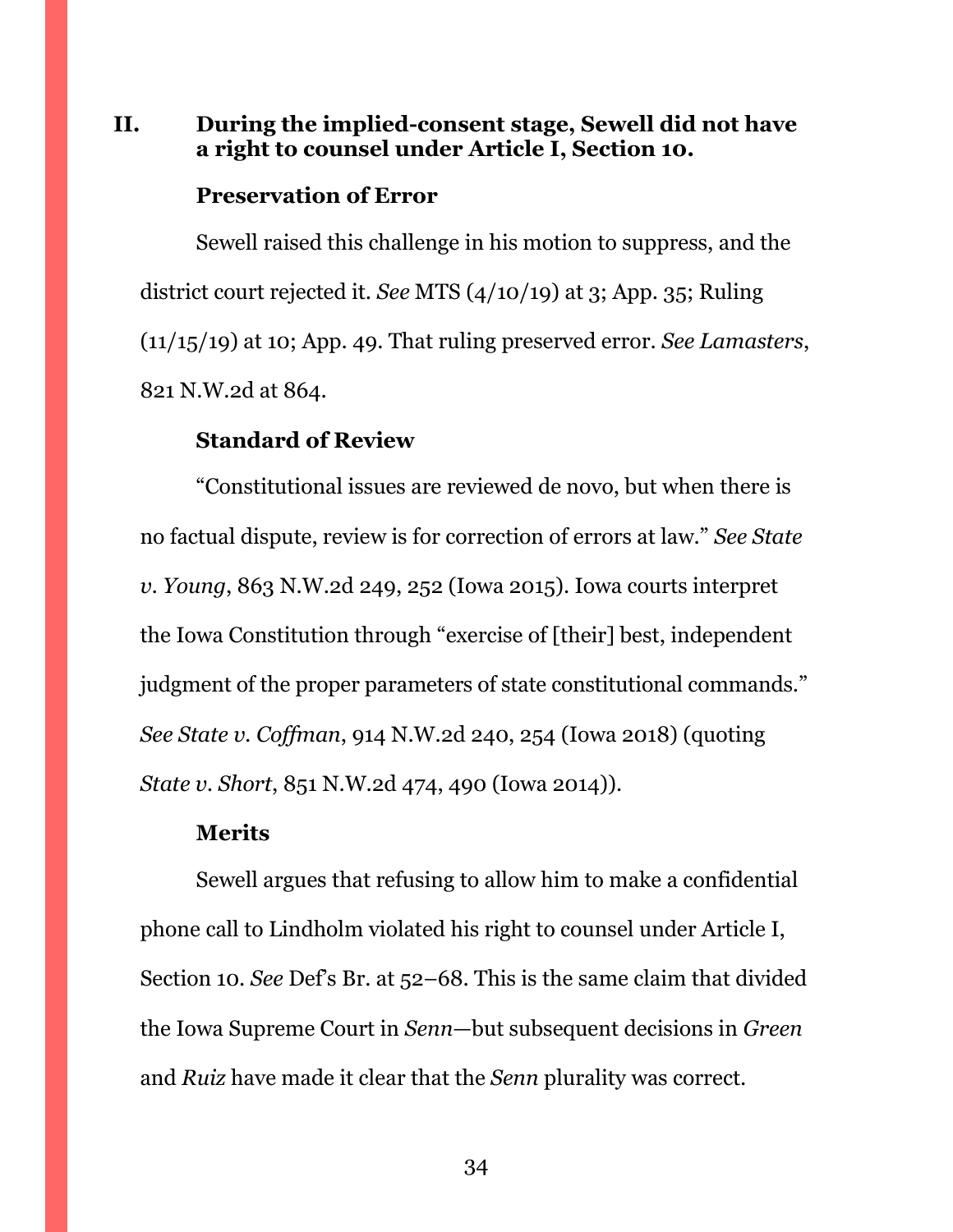## <span id="page-33-0"></span>**II. During the implied-consent stage, Sewell did not have a right to counsel under Article I, Section 10.**

#### **Preservation of Error**

Sewell raised this challenge in his motion to suppress, and the district court rejected it. *See* MTS (4/10/19) at 3; App. 35; Ruling (11/15/19) at 10; App. 49. That ruling preserved error. *See Lamasters*, 821 N.W.2d at 864.

#### **Standard of Review**

"Constitutional issues are reviewed de novo, but when there is no factual dispute, review is for correction of errors at law." *See State v. Young*, 863 N.W.2d 249, 252 (Iowa 2015). Iowa courts interpret the Iowa Constitution through "exercise of [their] best, independent judgment of the proper parameters of state constitutional commands." *See State v. Coffman*, 914 N.W.2d 240, 254 (Iowa 2018) (quoting *State v. Short*, 851 N.W.2d 474, 490 (Iowa 2014)).

#### **Merits**

Sewell argues that refusing to allow him to make a confidential phone call to Lindholm violated his right to counsel under Article I, Section 10. *See* Def's Br. at 52–68. This is the same claim that divided the Iowa Supreme Court in *Senn*—but subsequent decisions in *Green* and *Ruiz* have made it clear that the *Senn* plurality was correct.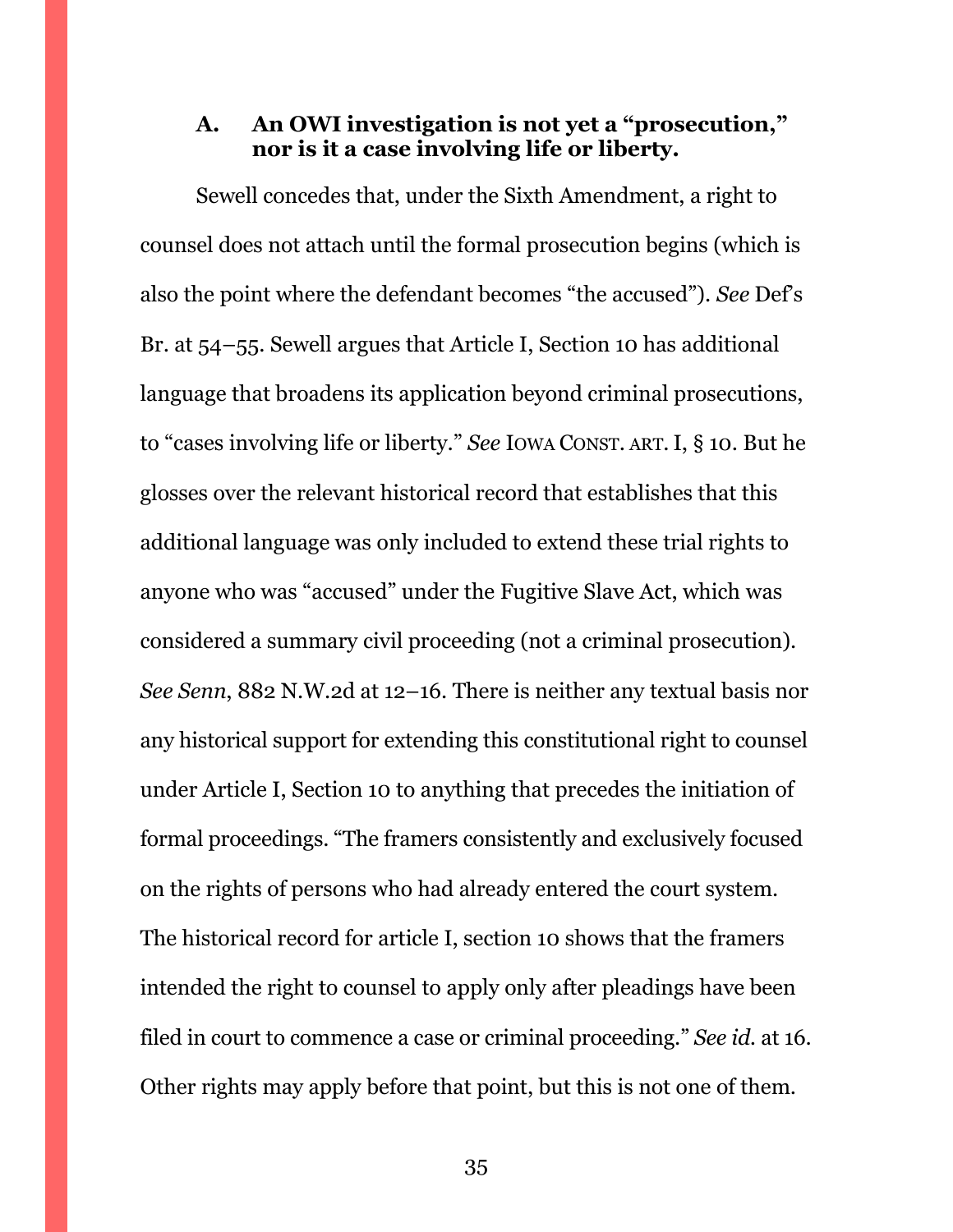# <span id="page-34-0"></span>**A. An OWI investigation is not yet a "prosecution," nor is it a case involving life or liberty.**

Sewell concedes that, under the Sixth Amendment, a right to counsel does not attach until the formal prosecution begins (which is also the point where the defendant becomes "the accused"). *See* Def's Br. at 54–55. Sewell argues that Article I, Section 10 has additional language that broadens its application beyond criminal prosecutions, to "cases involving life or liberty." *See* IOWA CONST. ART.I, § 10. But he glosses over the relevant historical record that establishes that this additional language was only included to extend these trial rights to anyone who was "accused" under the Fugitive Slave Act, which was considered a summary civil proceeding (not a criminal prosecution). *See Senn*, 882 N.W.2d at 12–16. There is neither any textual basis nor any historical support for extending this constitutional right to counsel under Article I, Section 10 to anything that precedes the initiation of formal proceedings. "The framers consistently and exclusively focused on the rights of persons who had already entered the court system. The historical record for article I, section 10 shows that the framers intended the right to counsel to apply only after pleadings have been filed in court to commence a case or criminal proceeding." *See id.* at 16. Other rights may apply before that point, but this is not one of them.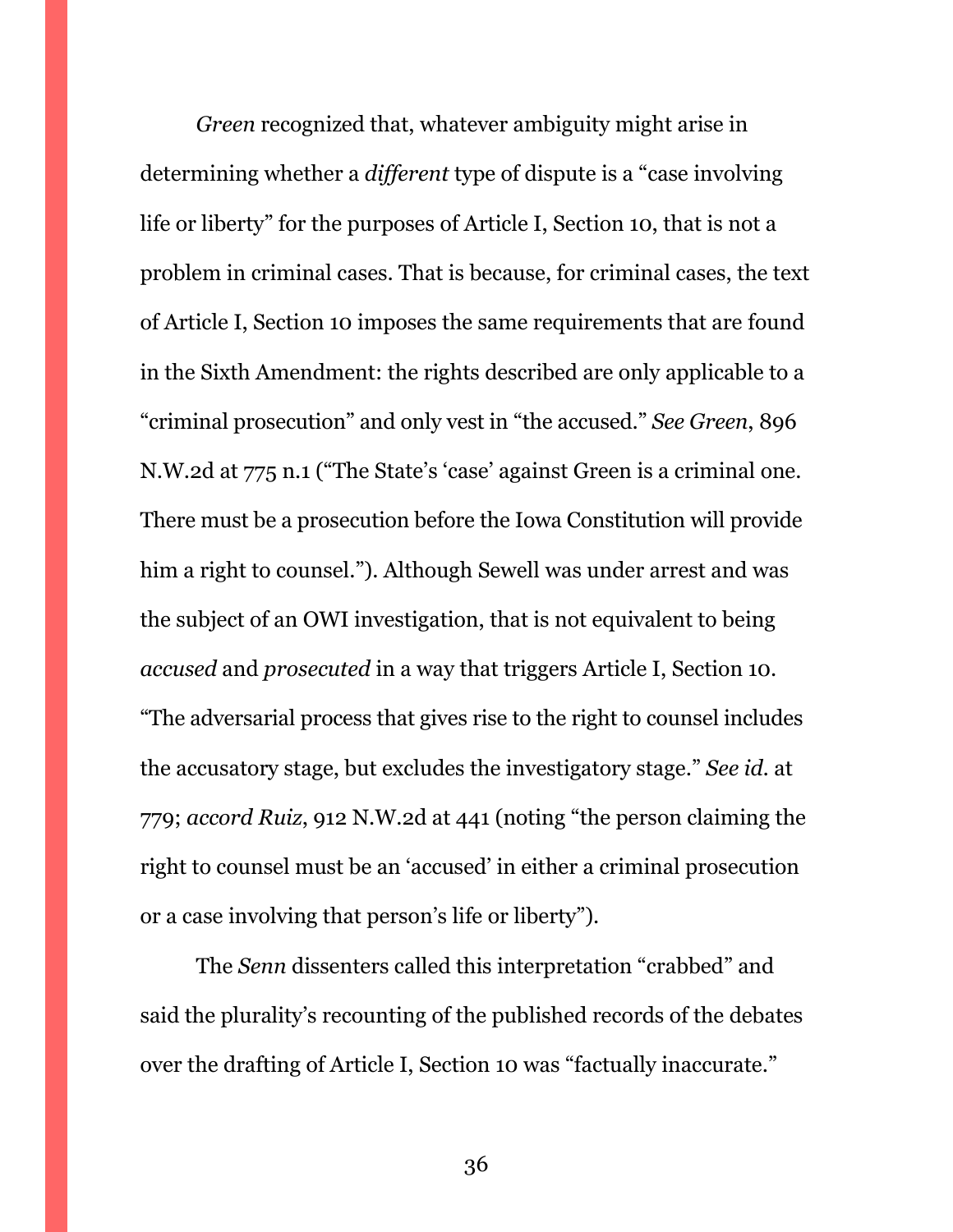*Green* recognized that, whatever ambiguity might arise in determining whether a *different* type of dispute is a "case involving life or liberty" for the purposes of Article I, Section 10, that is not a problem in criminal cases. That is because, for criminal cases, the text of Article I, Section 10 imposes the same requirements that are found in the Sixth Amendment: the rights described are only applicable to a "criminal prosecution" and only vest in "the accused." *See Green*, 896 N.W.2d at 775 n.1 ("The State's 'case' against Green is a criminal one. There must be a prosecution before the Iowa Constitution will provide him a right to counsel."). Although Sewell was under arrest and was the subject of an OWI investigation, that is not equivalent to being *accused* and *prosecuted* in a way that triggers Article I, Section 10. "The adversarial process that gives rise to the right to counsel includes the accusatory stage, but excludes the investigatory stage." *See id.* at 779; *accord Ruiz*, 912 N.W.2d at 441 (noting "the person claiming the right to counsel must be an 'accused' in either a criminal prosecution or a case involving that person's life or liberty").

The *Senn* dissenters called this interpretation "crabbed" and said the plurality's recounting of the published records of the debates over the drafting of Article I, Section 10 was "factually inaccurate."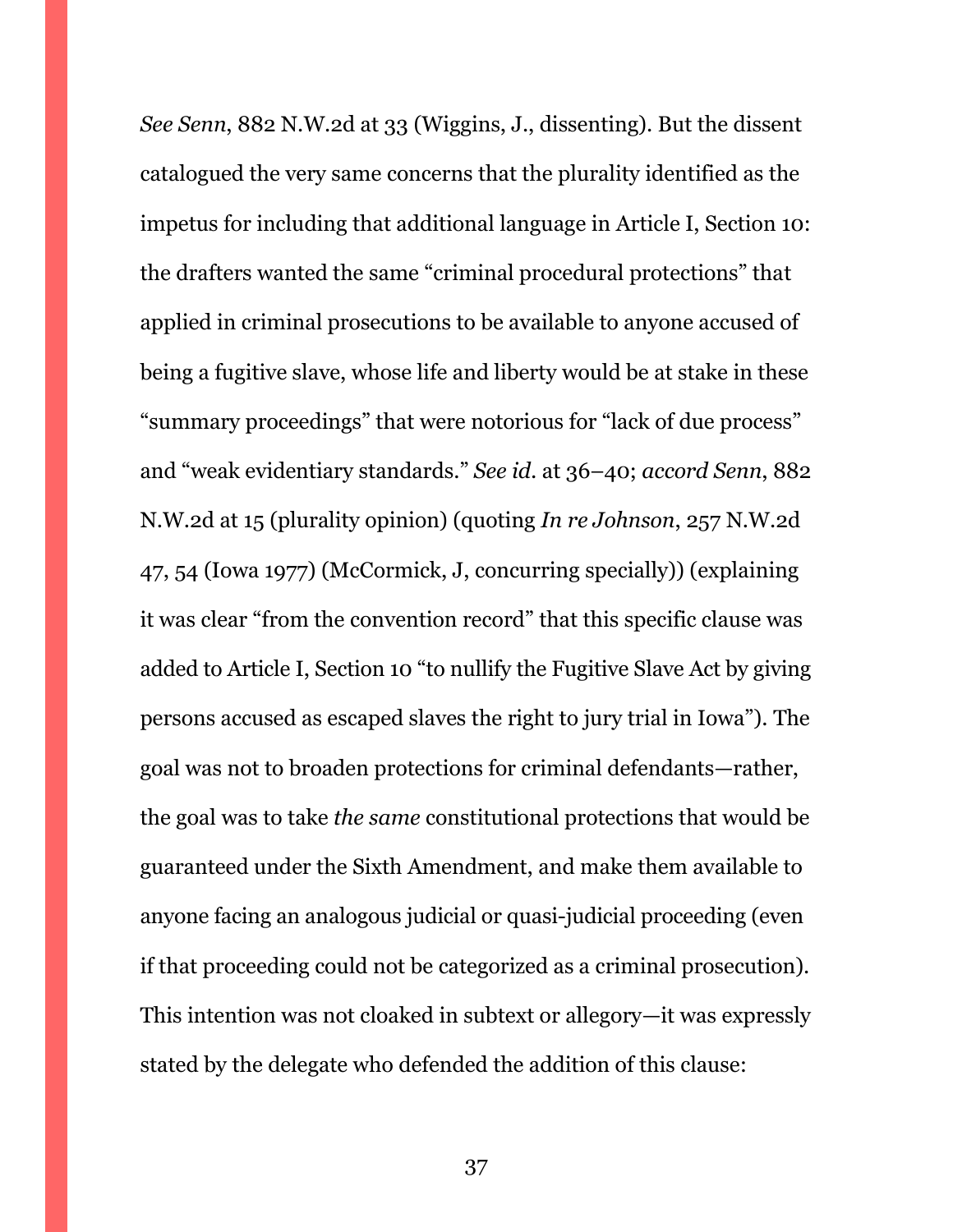*See Senn*, 882 N.W.2d at 33 (Wiggins, J., dissenting). But the dissent catalogued the very same concerns that the plurality identified as the impetus for including that additional language in Article I, Section 10: the drafters wanted the same "criminal procedural protections" that applied in criminal prosecutions to be available to anyone accused of being a fugitive slave, whose life and liberty would be at stake in these "summary proceedings" that were notorious for "lack of due process" and "weak evidentiary standards." *See id.* at 36–40; *accord Senn*, 882 N.W.2d at 15 (plurality opinion) (quoting *In re Johnson*, 257 N.W.2d 47, 54 (Iowa 1977) (McCormick, J, concurring specially)) (explaining it was clear "from the convention record" that this specific clause was added to Article I, Section 10 "to nullify the Fugitive Slave Act by giving persons accused as escaped slaves the right to jury trial in Iowa"). The goal was not to broaden protections for criminal defendants—rather, the goal was to take *the same* constitutional protections that would be guaranteed under the Sixth Amendment, and make them available to anyone facing an analogous judicial or quasi-judicial proceeding (even if that proceeding could not be categorized as a criminal prosecution). This intention was not cloaked in subtext or allegory—it was expressly stated by the delegate who defended the addition of this clause: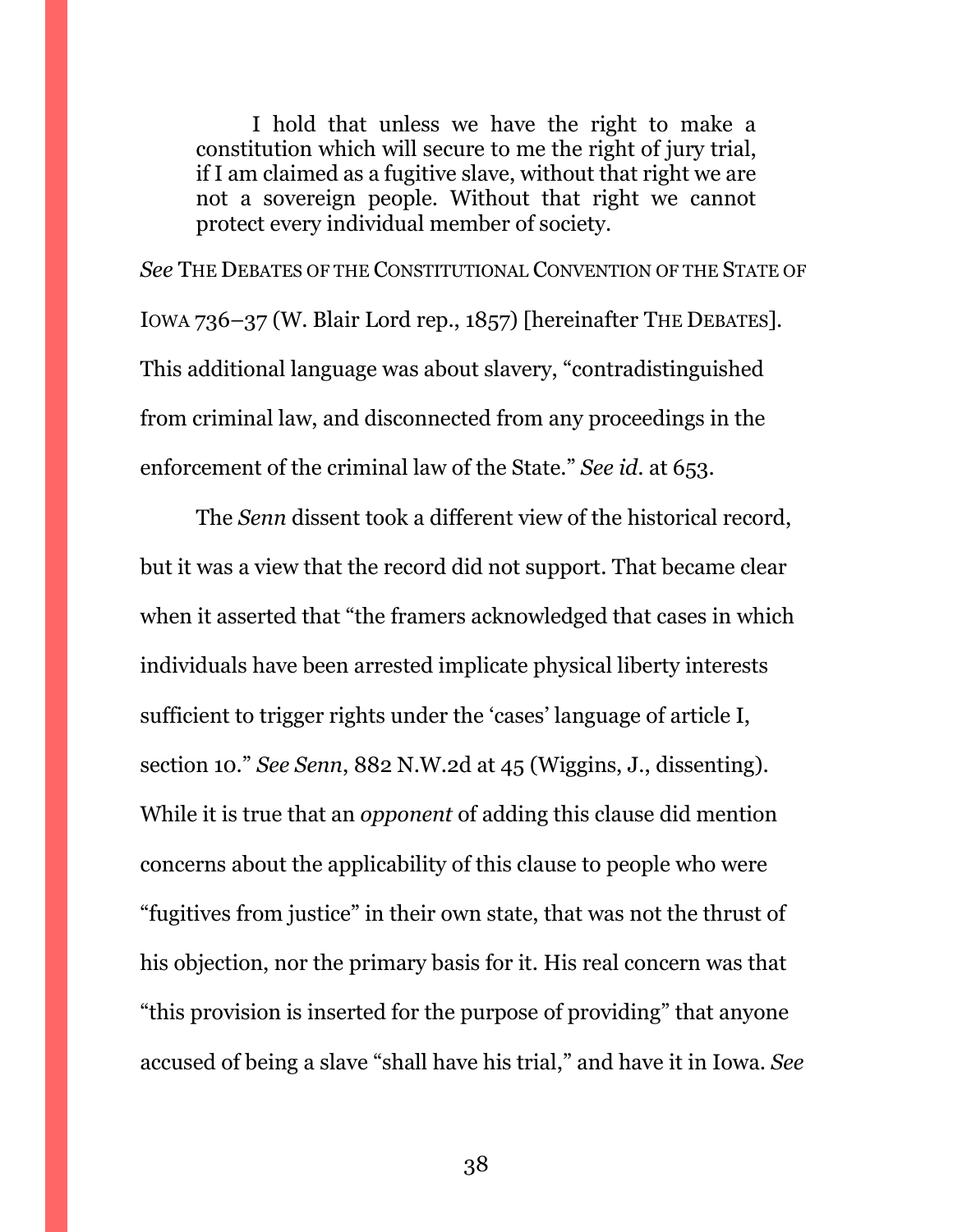I hold that unless we have the right to make a constitution which will secure to me the right of jury trial, if I am claimed as a fugitive slave, without that right we are not a sovereign people. Without that right we cannot protect every individual member of society.

*See* THE DEBATES OF THE CONSTITUTIONAL CONVENTION OF THE STATE OF IOWA 736–37 (W. Blair Lord rep., 1857) [hereinafter THE DEBATES]. This additional language was about slavery, "contradistinguished from criminal law, and disconnected from any proceedings in the enforcement of the criminal law of the State." *See id.* at 653.

The *Senn* dissent took a different view of the historical record, but it was a view that the record did not support. That became clear when it asserted that "the framers acknowledged that cases in which individuals have been arrested implicate physical liberty interests sufficient to trigger rights under the 'cases' language of article I, section 10." *See Senn*, 882 N.W.2d at 45 (Wiggins, J., dissenting). While it is true that an *opponent* of adding this clause did mention concerns about the applicability of this clause to people who were "fugitives from justice" in their own state, that was not the thrust of his objection, nor the primary basis for it. His real concern was that "this provision is inserted for the purpose of providing" that anyone accused of being a slave "shall have his trial," and have it in Iowa. *See*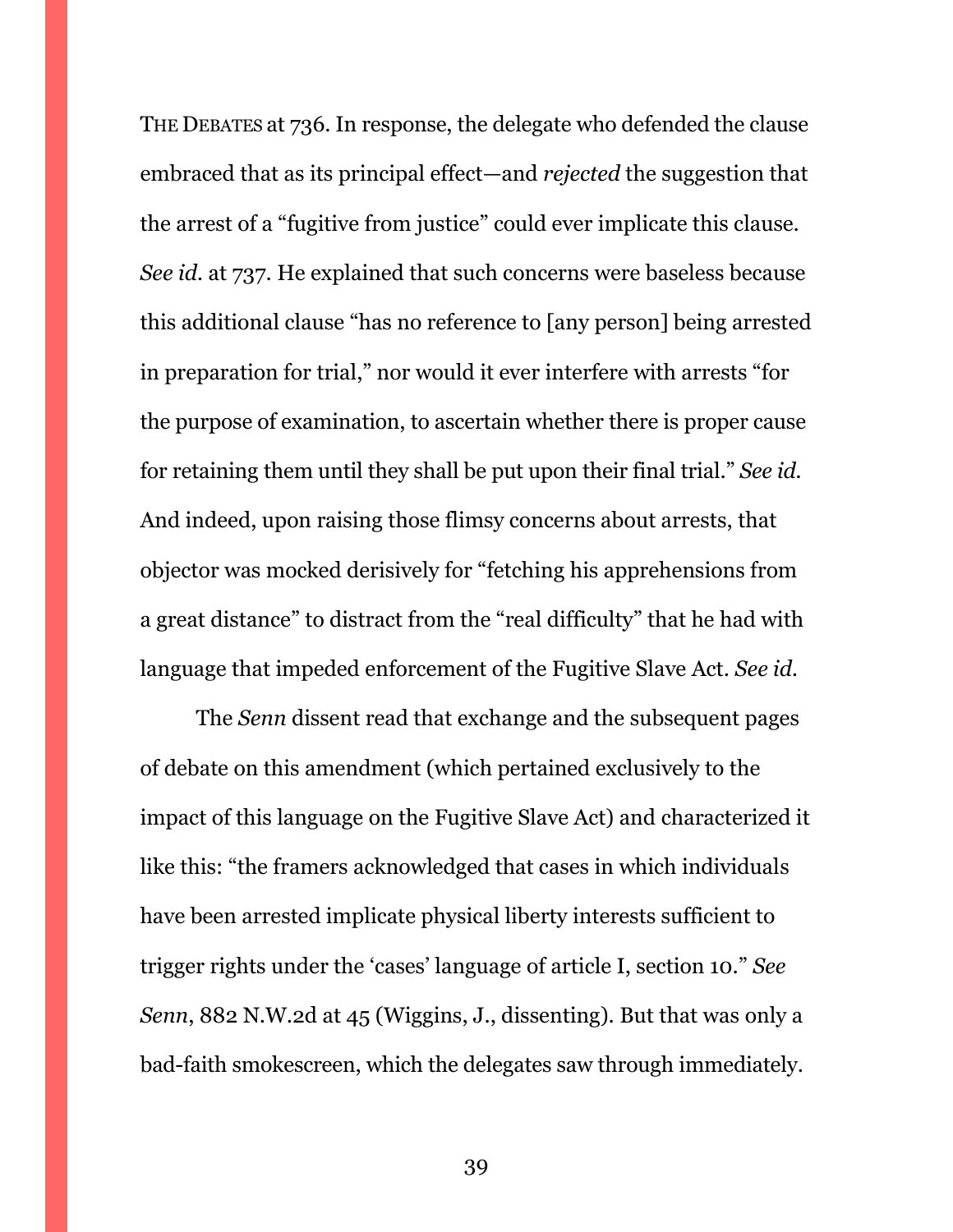THE DEBATES at 736. In response, the delegate who defended the clause embraced that as its principal effect—and *rejected* the suggestion that the arrest of a "fugitive from justice" could ever implicate this clause. *See id.* at 737. He explained that such concerns were baseless because this additional clause "has no reference to [any person] being arrested in preparation for trial," nor would it ever interfere with arrests "for the purpose of examination, to ascertain whether there is proper cause for retaining them until they shall be put upon their final trial." *See id.* And indeed, upon raising those flimsy concerns about arrests, that objector was mocked derisively for "fetching his apprehensions from a great distance" to distract from the "real difficulty" that he had with language that impeded enforcement of the Fugitive Slave Act. *See id.* 

The *Senn* dissent read that exchange and the subsequent pages of debate on this amendment (which pertained exclusively to the impact of this language on the Fugitive Slave Act) and characterized it like this: "the framers acknowledged that cases in which individuals have been arrested implicate physical liberty interests sufficient to trigger rights under the 'cases' language of article I, section 10." *See Senn*, 882 N.W.2d at 45 (Wiggins, J., dissenting). But that was only a bad-faith smokescreen, which the delegates saw through immediately.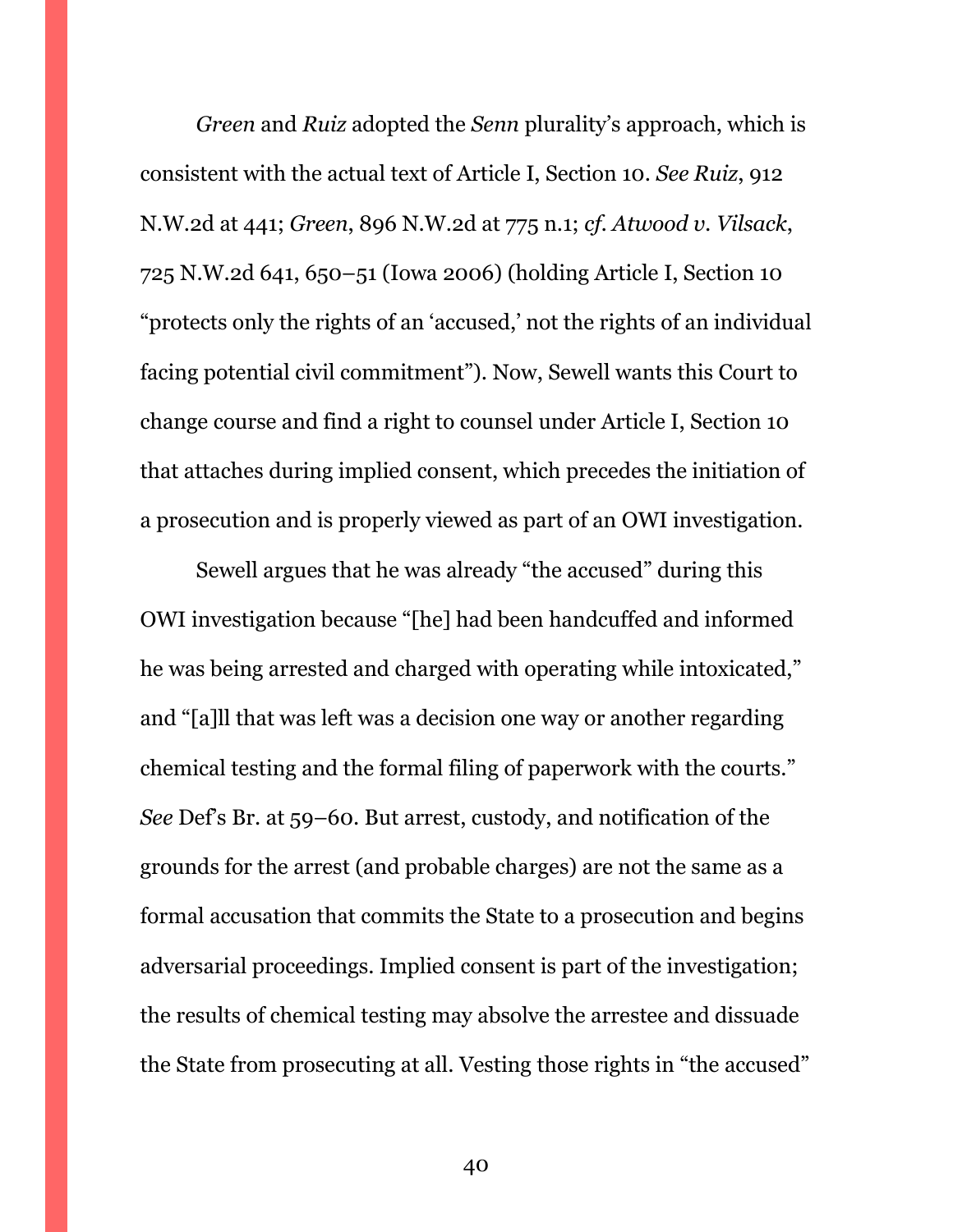*Green* and *Ruiz* adopted the *Senn* plurality's approach, which is consistent with the actual text of Article I, Section 10. *See Ruiz*, 912 N.W.2d at 441; *Green*, 896 N.W.2d at 775 n.1; *cf. Atwood v. Vilsack*, 725 N.W.2d 641, 650–51 (Iowa 2006) (holding Article I, Section 10 "protects only the rights of an 'accused,' not the rights of an individual facing potential civil commitment"). Now, Sewell wants this Court to change course and find a right to counsel under Article I, Section 10 that attaches during implied consent, which precedes the initiation of a prosecution and is properly viewed as part of an OWI investigation.

Sewell argues that he was already "the accused" during this OWI investigation because "[he] had been handcuffed and informed he was being arrested and charged with operating while intoxicated," and "[a]ll that was left was a decision one way or another regarding chemical testing and the formal filing of paperwork with the courts." *See* Def's Br. at 59–60. But arrest, custody, and notification of the grounds for the arrest (and probable charges) are not the same as a formal accusation that commits the State to a prosecution and begins adversarial proceedings. Implied consent is part of the investigation; the results of chemical testing may absolve the arrestee and dissuade the State from prosecuting at all. Vesting those rights in "the accused"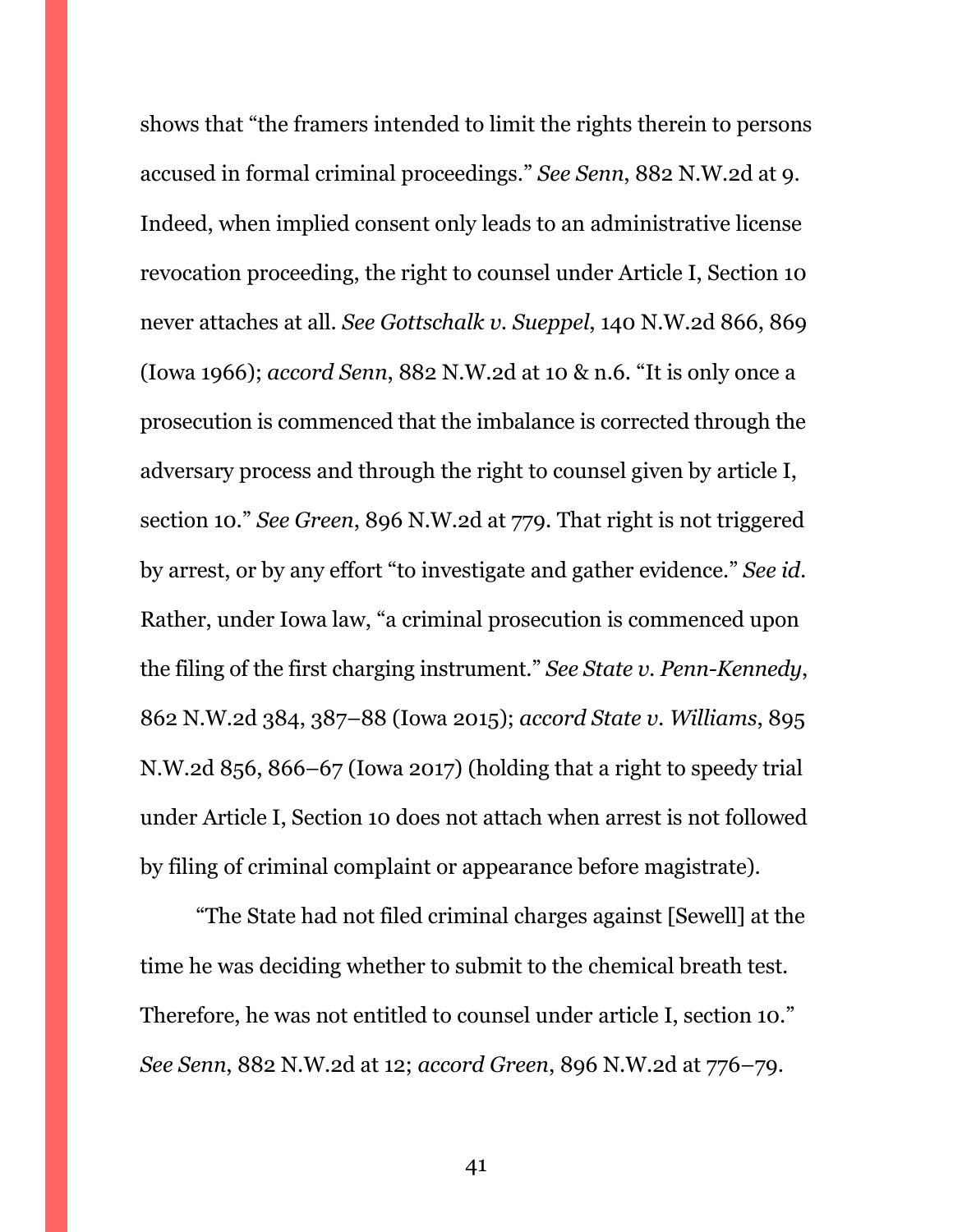shows that "the framers intended to limit the rights therein to persons accused in formal criminal proceedings." *See Senn*, 882 N.W.2d at 9. Indeed, when implied consent only leads to an administrative license revocation proceeding, the right to counsel under Article I, Section 10 never attaches at all. *See Gottschalk v. Sueppel*, 140 N.W.2d 866, 869 (Iowa 1966); *accord Senn*, 882 N.W.2d at 10 & n.6. "It is only once a prosecution is commenced that the imbalance is corrected through the adversary process and through the right to counsel given by article I, section 10." *See Green*, 896 N.W.2d at 779. That right is not triggered by arrest, or by any effort "to investigate and gather evidence." *See id.* Rather, under Iowa law, "a criminal prosecution is commenced upon the filing of the first charging instrument." *See State v. Penn-Kennedy*, 862 N.W.2d 384, 387–88 (Iowa 2015); *accord State v. Williams*, 895 N.W.2d 856, 866–67 (Iowa 2017) (holding that a right to speedy trial under Article I, Section 10 does not attach when arrest is not followed by filing of criminal complaint or appearance before magistrate).

"The State had not filed criminal charges against [Sewell] at the time he was deciding whether to submit to the chemical breath test. Therefore, he was not entitled to counsel under article I, section 10." *See Senn*, 882 N.W.2d at 12; *accord Green*, 896 N.W.2d at 776–79.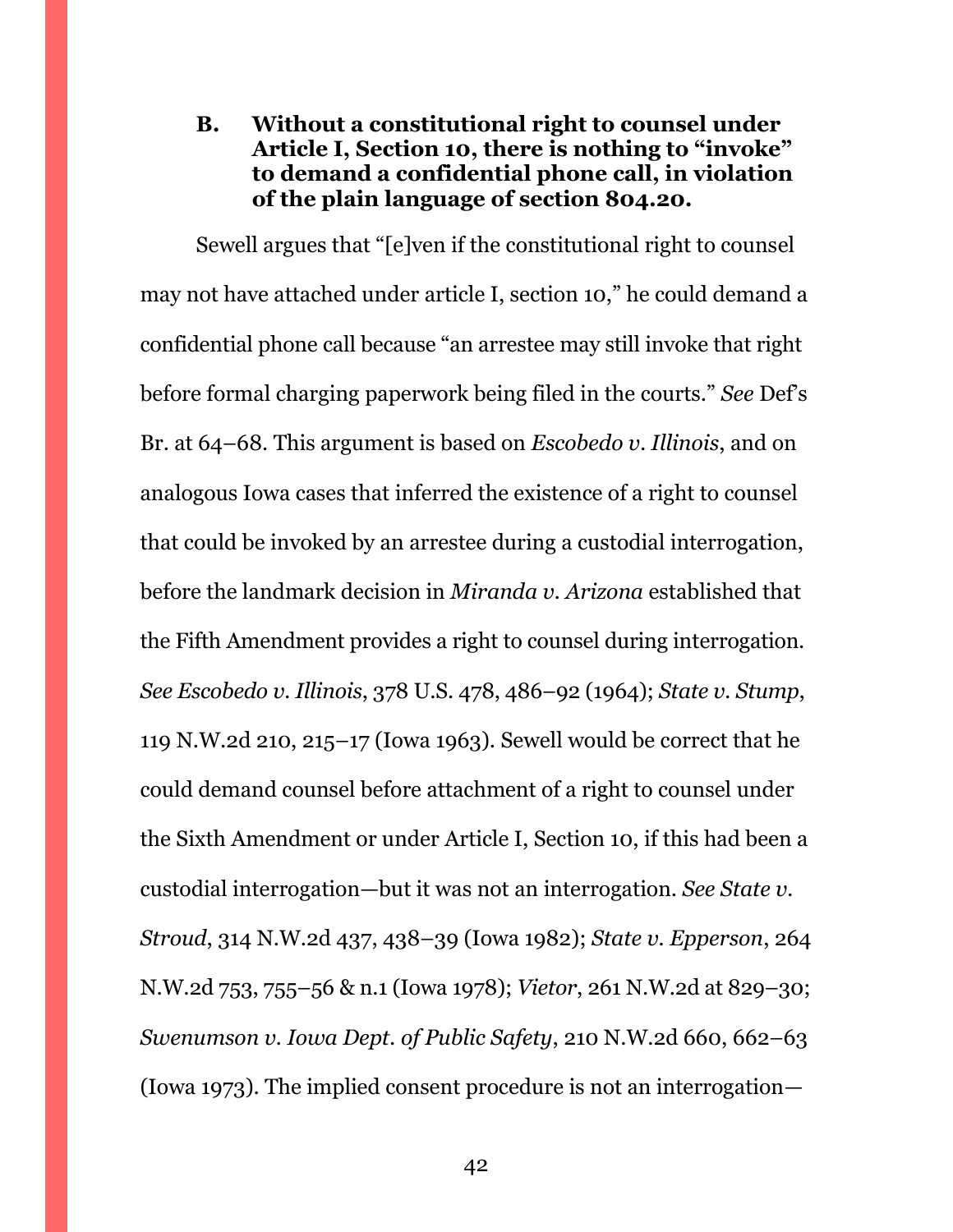# <span id="page-41-0"></span>**B. Without a constitutional right to counsel under Article I, Section 10, there is nothing to "invoke" to demand a confidential phone call, in violation of the plain language of section 804.20.**

Sewell argues that "[e]ven if the constitutional right to counsel may not have attached under article I, section 10," he could demand a confidential phone call because "an arrestee may still invoke that right before formal charging paperwork being filed in the courts." *See* Def's Br. at 64–68. This argument is based on *Escobedo v. Illinois*, and on analogous Iowa cases that inferred the existence of a right to counsel that could be invoked by an arrestee during a custodial interrogation, before the landmark decision in *Miranda v. Arizona* established that the Fifth Amendment provides a right to counsel during interrogation. *See Escobedo v. Illinois*, 378 U.S. 478, 486–92 (1964); *State v. Stump*, 119 N.W.2d 210, 215–17 (Iowa 1963). Sewell would be correct that he could demand counsel before attachment of a right to counsel under the Sixth Amendment or under Article I, Section 10, if this had been a custodial interrogation—but it was not an interrogation. *See State v. Stroud*, 314 N.W.2d 437, 438–39 (Iowa 1982); *State v. Epperson*, 264 N.W.2d 753, 755–56 & n.1 (Iowa 1978); *Vietor*, 261 N.W.2d at 829–30; *Swenumson v. Iowa Dept. of Public Safety*, 210 N.W.2d 660, 662–63 (Iowa 1973). The implied consent procedure is not an interrogation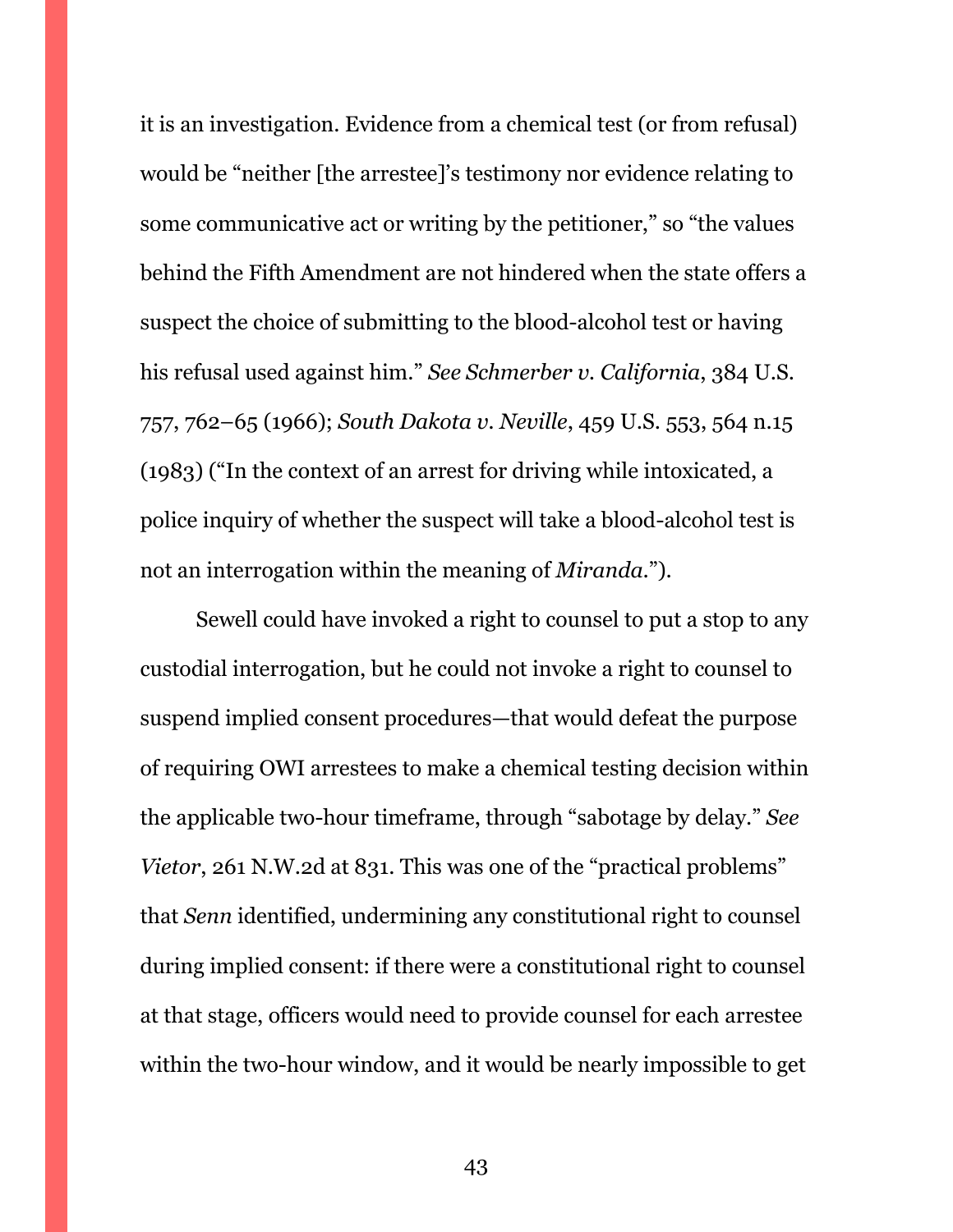it is an investigation. Evidence from a chemical test (or from refusal) would be "neither [the arrestee]'s testimony nor evidence relating to some communicative act or writing by the petitioner," so "the values behind the Fifth Amendment are not hindered when the state offers a suspect the choice of submitting to the blood-alcohol test or having his refusal used against him." *See Schmerber v. California*, 384 U.S. 757, 762–65 (1966); *South Dakota v. Neville*, 459 U.S. 553, 564 n.15 (1983) ("In the context of an arrest for driving while intoxicated, a police inquiry of whether the suspect will take a blood-alcohol test is not an interrogation within the meaning of *Miranda*.").

Sewell could have invoked a right to counsel to put a stop to any custodial interrogation, but he could not invoke a right to counsel to suspend implied consent procedures—that would defeat the purpose of requiring OWI arrestees to make a chemical testing decision within the applicable two-hour timeframe, through "sabotage by delay." *See Vietor*, 261 N.W.2d at 831. This was one of the "practical problems" that *Senn* identified, undermining any constitutional right to counsel during implied consent: if there were a constitutional right to counsel at that stage, officers would need to provide counsel for each arrestee within the two-hour window, and it would be nearly impossible to get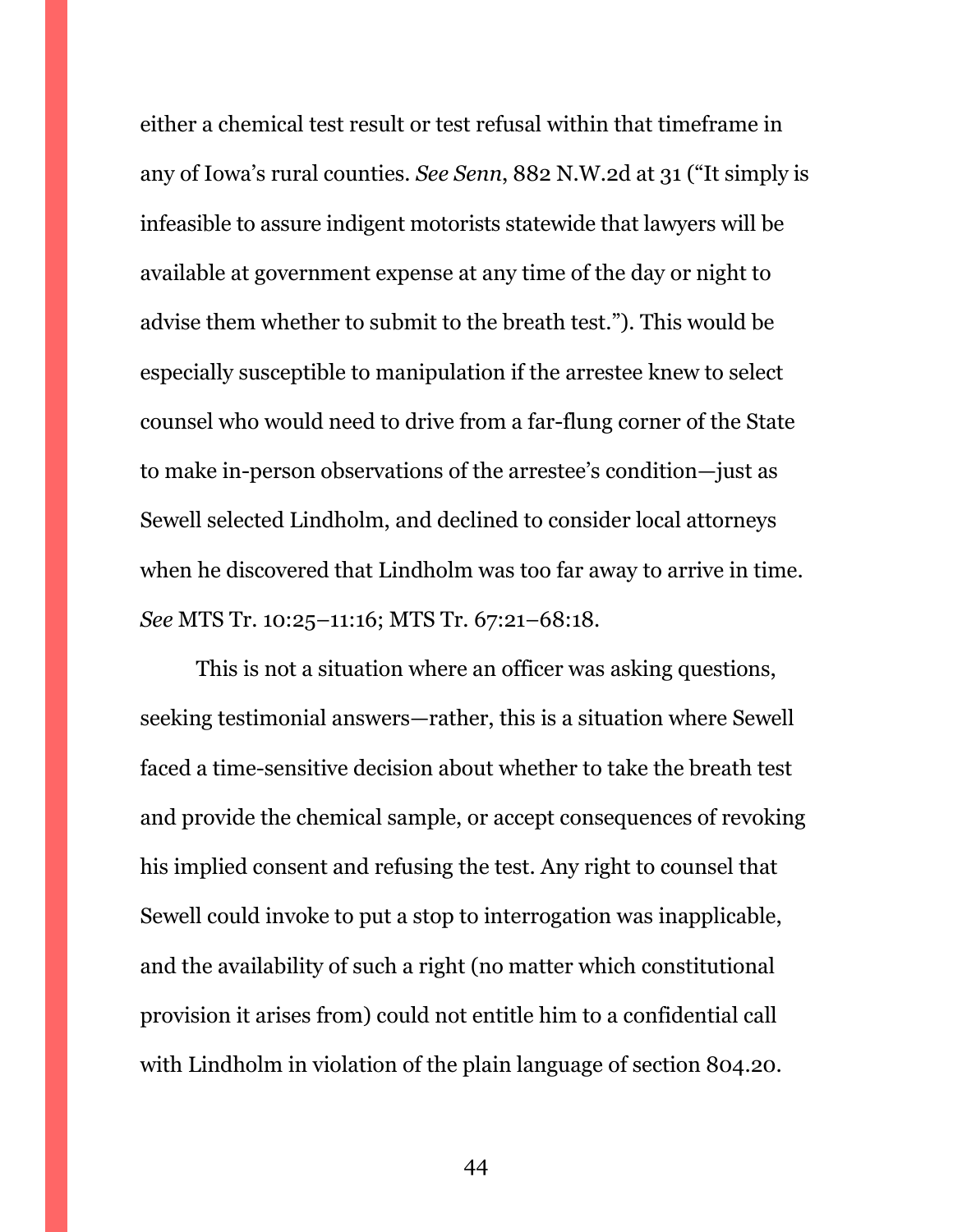either a chemical test result or test refusal within that timeframe in any of Iowa's rural counties. *See Senn*, 882 N.W.2d at 31 ("It simply is infeasible to assure indigent motorists statewide that lawyers will be available at government expense at any time of the day or night to advise them whether to submit to the breath test."). This would be especially susceptible to manipulation if the arrestee knew to select counsel who would need to drive from a far-flung corner of the State to make in-person observations of the arrestee's condition—just as Sewell selected Lindholm, and declined to consider local attorneys when he discovered that Lindholm was too far away to arrive in time. *See* MTS Tr. 10:25–11:16; MTS Tr. 67:21–68:18.

This is not a situation where an officer was asking questions, seeking testimonial answers—rather, this is a situation where Sewell faced a time-sensitive decision about whether to take the breath test and provide the chemical sample, or accept consequences of revoking his implied consent and refusing the test. Any right to counsel that Sewell could invoke to put a stop to interrogation was inapplicable, and the availability of such a right (no matter which constitutional provision it arises from) could not entitle him to a confidential call with Lindholm in violation of the plain language of section 804.20.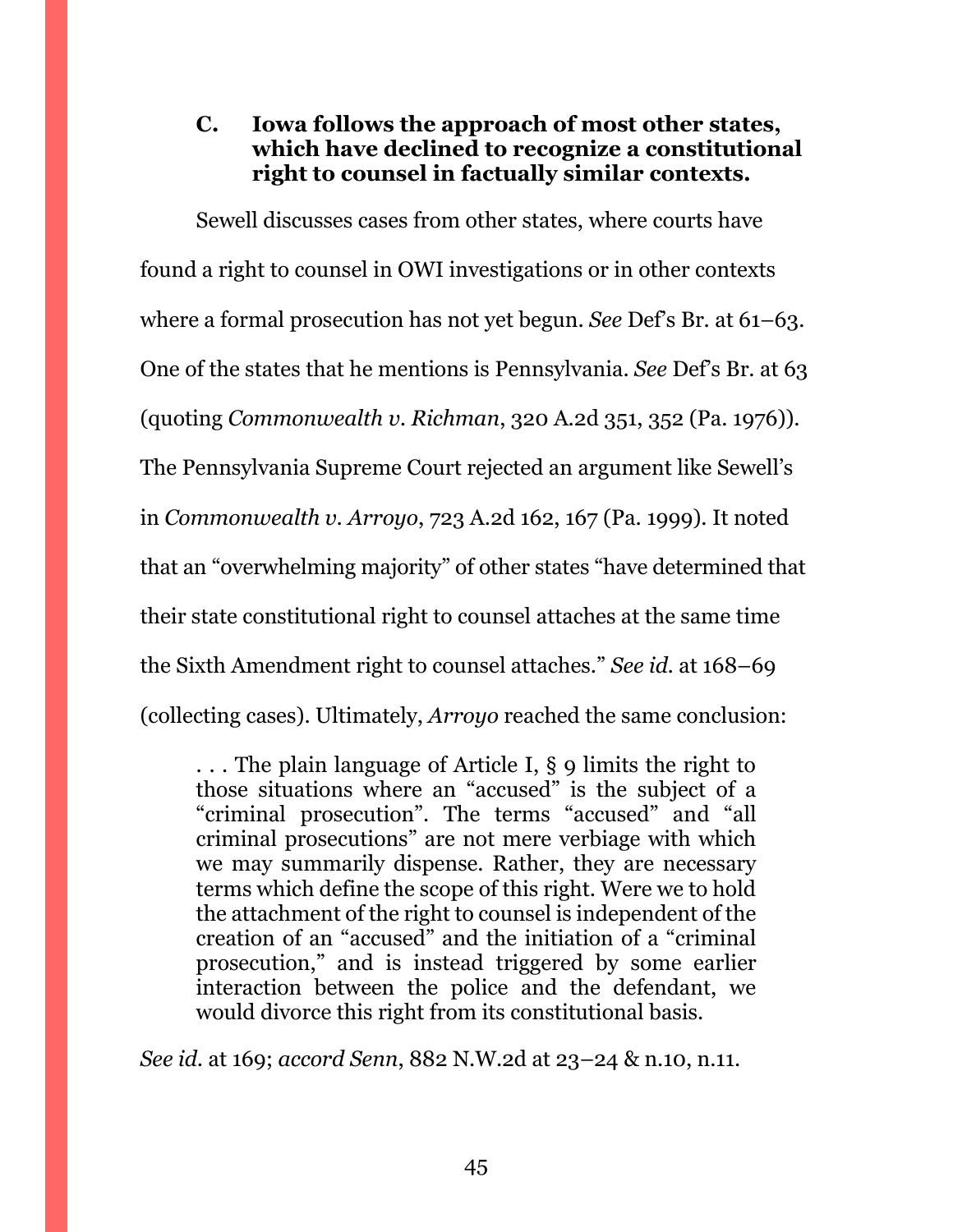# <span id="page-44-0"></span>**C. Iowa follows the approach of most other states, which have declined to recognize a constitutional right to counsel in factually similar contexts.**

Sewell discusses cases from other states, where courts have found a right to counsel in OWI investigations or in other contexts where a formal prosecution has not yet begun. *See* Def's Br. at 61–63. One of the states that he mentions is Pennsylvania. *See* Def's Br. at 63 (quoting *Commonwealth v. Richman*, 320 A.2d 351, 352 (Pa. 1976)). The Pennsylvania Supreme Court rejected an argument like Sewell's in *Commonwealth v. Arroyo*, 723 A.2d 162, 167 (Pa. 1999). It noted that an "overwhelming majority" of other states "have determined that their state constitutional right to counsel attaches at the same time the Sixth Amendment right to counsel attaches." *See id.* at 168–69 (collecting cases). Ultimately, *Arroyo* reached the same conclusion:

. . . The plain language of Article I, § 9 limits the right to those situations where an "accused" is the subject of a "criminal prosecution". The terms "accused" and "all criminal prosecutions" are not mere verbiage with which we may summarily dispense. Rather, they are necessary terms which define the scope of this right. Were we to hold the attachment of the right to counsel is independent of the creation of an "accused" and the initiation of a "criminal prosecution," and is instead triggered by some earlier interaction between the police and the defendant, we would divorce this right from its constitutional basis.

*See id.* at 169; *accord Senn*, 882 N.W.2d at 23–24 & n.10, n.11.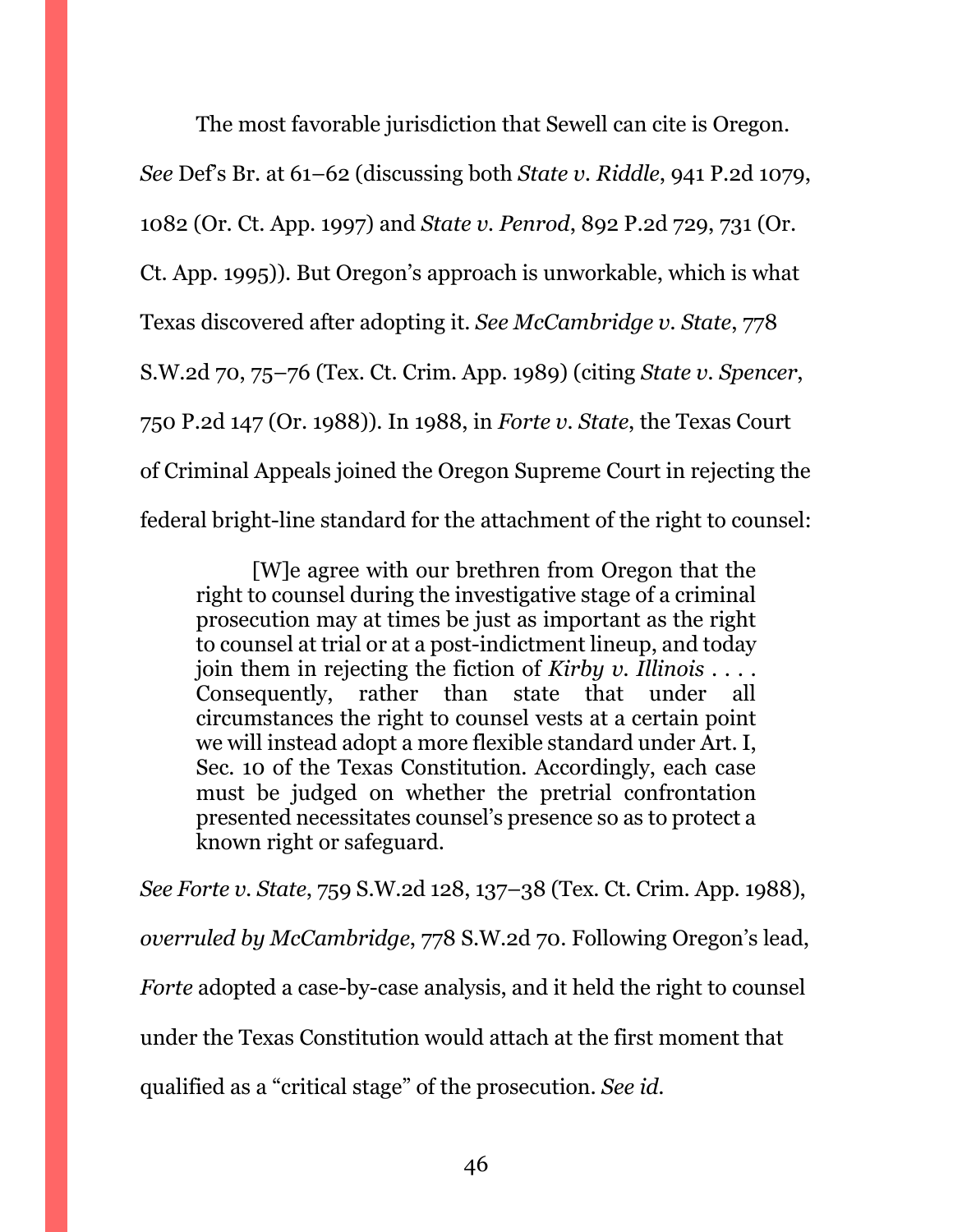The most favorable jurisdiction that Sewell can cite is Oregon.

*See* Def's Br. at 61–62 (discussing both *State v. Riddle*, 941 P.2d 1079, 1082 (Or. Ct. App. 1997) and *State v. Penrod*, 892 P.2d 729, 731 (Or. Ct. App. 1995)). But Oregon's approach is unworkable, which is what Texas discovered after adopting it. *See McCambridge v. State*, 778 S.W.2d 70, 75–76 (Tex. Ct. Crim. App. 1989) (citing *State v. Spencer*, 750 P.2d 147 (Or. 1988)). In 1988, in *Forte v. State*, the Texas Court of Criminal Appeals joined the Oregon Supreme Court in rejecting the federal bright-line standard for the attachment of the right to counsel:

[W]e agree with our brethren from Oregon that the right to counsel during the investigative stage of a criminal prosecution may at times be just as important as the right to counsel at trial or at a post-indictment lineup, and today join them in rejecting the fiction of *Kirby v. Illinois* . . . . Consequently, rather than state that under all circumstances the right to counsel vests at a certain point we will instead adopt a more flexible standard under Art. I, Sec. 10 of the Texas Constitution. Accordingly, each case must be judged on whether the pretrial confrontation presented necessitates counsel's presence so as to protect a known right or safeguard.

*See Forte v. State*, 759 S.W.2d 128, 137–38 (Tex. Ct. Crim. App. 1988), *overruled by McCambridge*, 778 S.W.2d 70. Following Oregon's lead, *Forte* adopted a case-by-case analysis, and it held the right to counsel under the Texas Constitution would attach at the first moment that qualified as a "critical stage" of the prosecution. *See id*.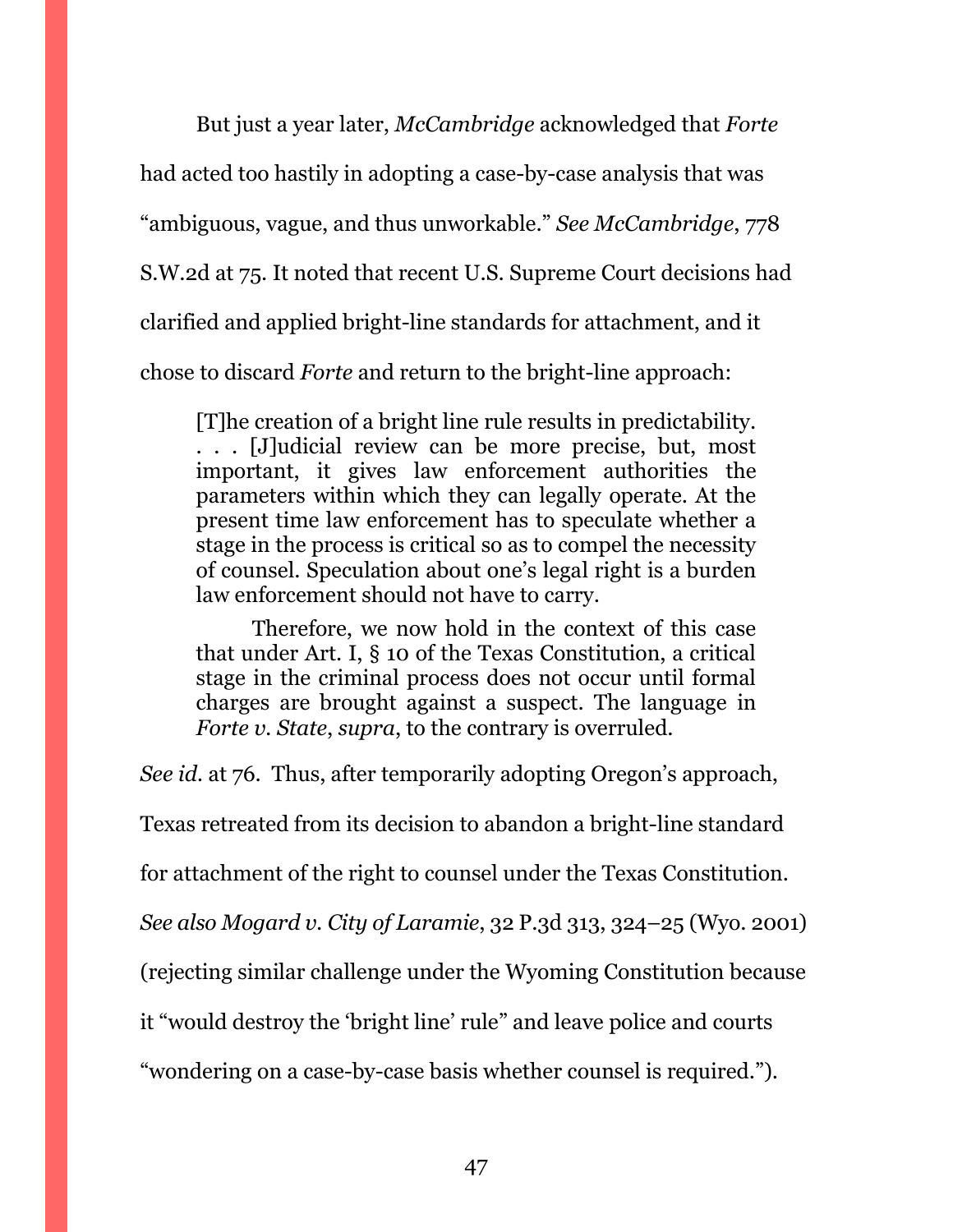But just a year later, *McCambridge* acknowledged that *Forte* 

had acted too hastily in adopting a case-by-case analysis that was

"ambiguous, vague, and thus unworkable." *See McCambridge*, 778

S.W.2d at 75. It noted that recent U.S. Supreme Court decisions had

clarified and applied bright-line standards for attachment, and it

chose to discard *Forte* and return to the bright-line approach:

[T]he creation of a bright line rule results in predictability. . . . [J]udicial review can be more precise, but, most important, it gives law enforcement authorities the parameters within which they can legally operate. At the present time law enforcement has to speculate whether a stage in the process is critical so as to compel the necessity of counsel. Speculation about one's legal right is a burden law enforcement should not have to carry.

Therefore, we now hold in the context of this case that under Art. I, § 10 of the Texas Constitution, a critical stage in the criminal process does not occur until formal charges are brought against a suspect. The language in *Forte v. State*, *supra*, to the contrary is overruled.

*See id.* at 76. Thus, after temporarily adopting Oregon's approach,

Texas retreated from its decision to abandon a bright-line standard

for attachment of the right to counsel under the Texas Constitution.

*See also Mogard v. City of Laramie*, 32 P.3d 313, 324–25 (Wyo. 2001)

(rejecting similar challenge under the Wyoming Constitution because

it "would destroy the 'bright line' rule" and leave police and courts

"wondering on a case-by-case basis whether counsel is required.").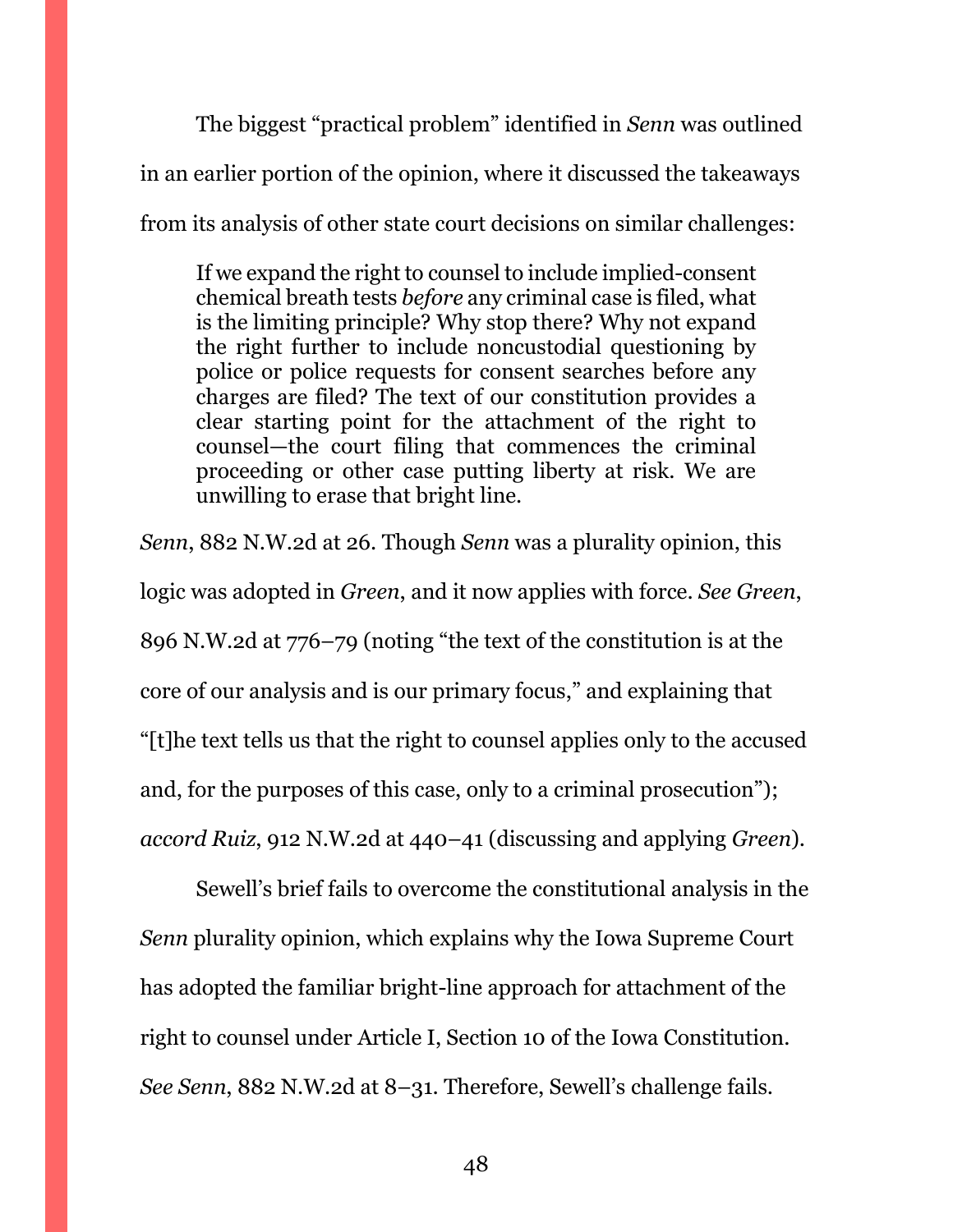The biggest "practical problem" identified in *Senn* was outlined in an earlier portion of the opinion, where it discussed the takeaways from its analysis of other state court decisions on similar challenges:

If we expand the right to counsel to include implied-consent chemical breath tests *before* any criminal case is filed, what is the limiting principle? Why stop there? Why not expand the right further to include noncustodial questioning by police or police requests for consent searches before any charges are filed? The text of our constitution provides a clear starting point for the attachment of the right to counsel—the court filing that commences the criminal proceeding or other case putting liberty at risk. We are unwilling to erase that bright line.

*Senn*, 882 N.W.2d at 26. Though *Senn* was a plurality opinion, this logic was adopted in *Green*, and it now applies with force. *See Green*, 896 N.W.2d at 776–79 (noting "the text of the constitution is at the core of our analysis and is our primary focus," and explaining that "[t]he text tells us that the right to counsel applies only to the accused and, for the purposes of this case, only to a criminal prosecution"); *accord Ruiz*, 912 N.W.2d at 440–41 (discussing and applying *Green*).

Sewell's brief fails to overcome the constitutional analysis in the *Senn* plurality opinion, which explains why the Iowa Supreme Court has adopted the familiar bright-line approach for attachment of the right to counsel under Article I, Section 10 of the Iowa Constitution. *See Senn*, 882 N.W.2d at 8–31. Therefore, Sewell's challenge fails.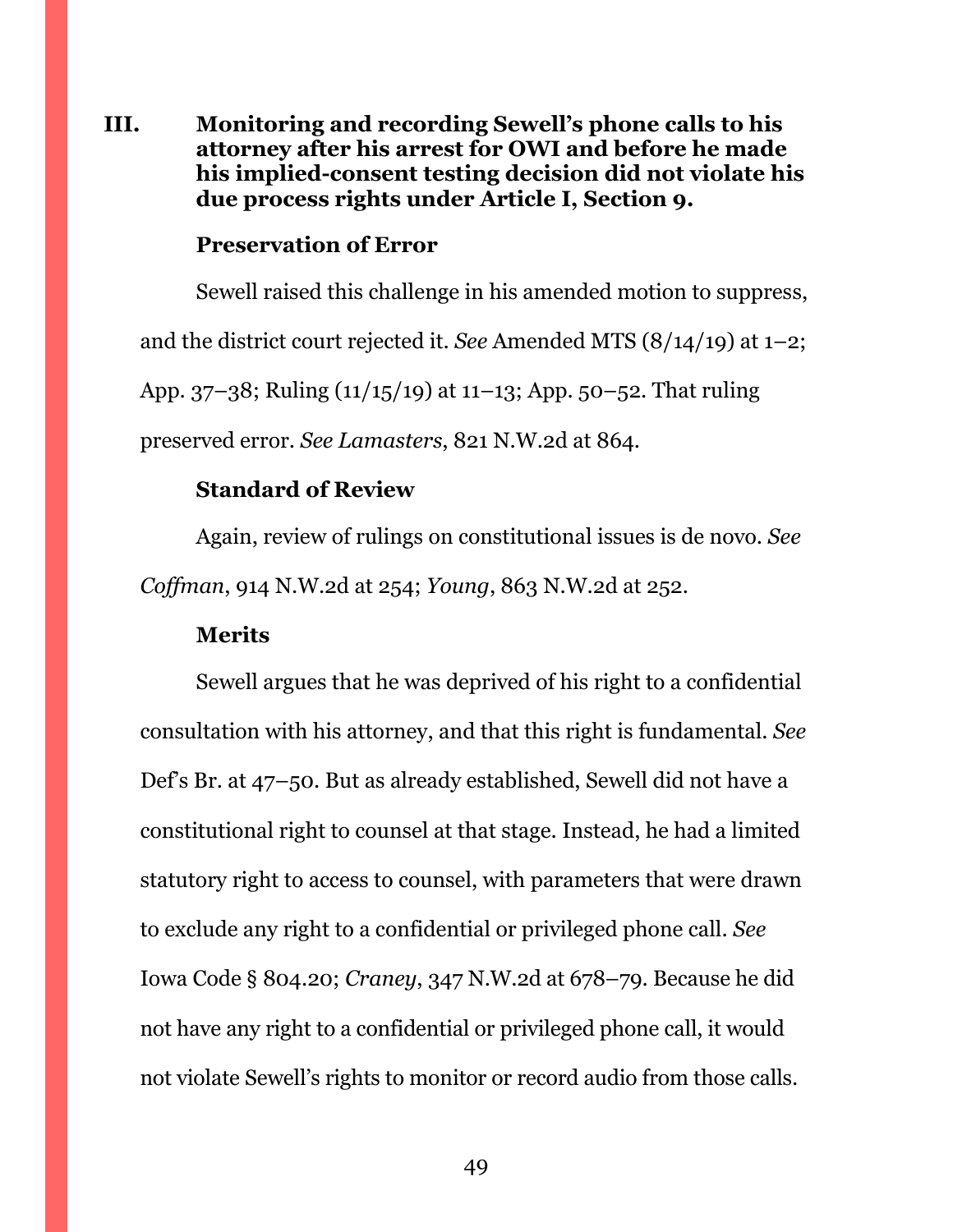# <span id="page-48-0"></span>**III. Monitoring and recording Sewell's phone calls to his attorney after his arrest for OWI and before he made his implied-consent testing decision did not violate his due process rights under Article I, Section 9.**

# **Preservation of Error**

Sewell raised this challenge in his amended motion to suppress, and the district court rejected it. *See* Amended MTS (8/14/19) at 1–2; App. 37–38; Ruling (11/15/19) at 11–13; App. 50–52. That ruling preserved error. *See Lamasters*, 821 N.W.2d at 864.

# **Standard of Review**

Again, review of rulings on constitutional issues is de novo. *See Coffman*, 914 N.W.2d at 254; *Young*, 863 N.W.2d at 252.

## **Merits**

Sewell argues that he was deprived of his right to a confidential consultation with his attorney, and that this right is fundamental. *See*  Def's Br. at 47–50. But as already established, Sewell did not have a constitutional right to counsel at that stage. Instead, he had a limited statutory right to access to counsel, with parameters that were drawn to exclude any right to a confidential or privileged phone call. *See*  Iowa Code § 804.20; *Craney*, 347 N.W.2d at 678–79. Because he did not have any right to a confidential or privileged phone call, it would not violate Sewell's rights to monitor or record audio from those calls.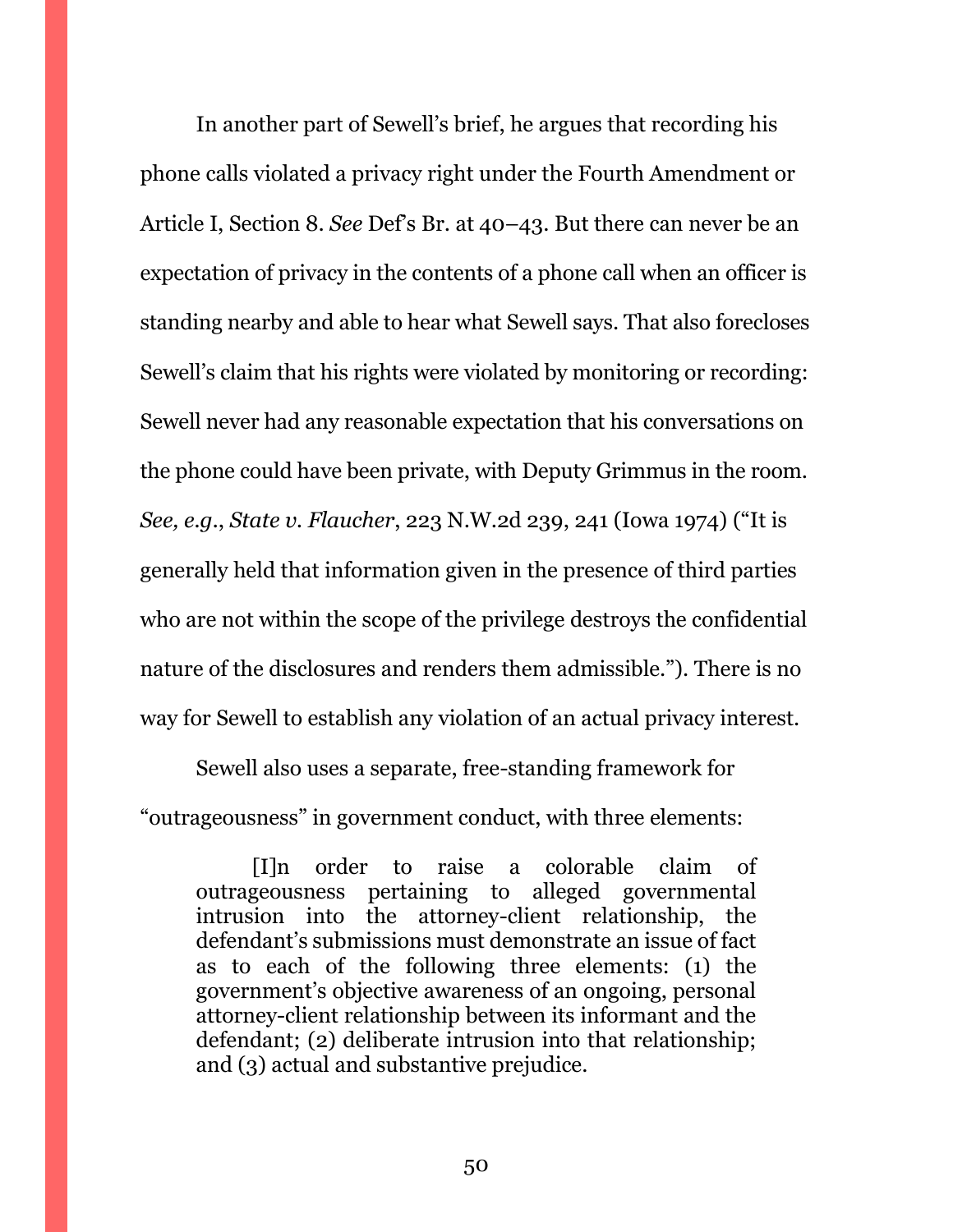In another part of Sewell's brief, he argues that recording his phone calls violated a privacy right under the Fourth Amendment or Article I, Section 8. *See* Def's Br. at 40–43. But there can never be an expectation of privacy in the contents of a phone call when an officer is standing nearby and able to hear what Sewell says. That also forecloses Sewell's claim that his rights were violated by monitoring or recording: Sewell never had any reasonable expectation that his conversations on the phone could have been private, with Deputy Grimmus in the room. *See, e.g.*, *State v. Flaucher*, 223 N.W.2d 239, 241 (Iowa 1974) ("It is generally held that information given in the presence of third parties who are not within the scope of the privilege destroys the confidential nature of the disclosures and renders them admissible."). There is no way for Sewell to establish any violation of an actual privacy interest.

Sewell also uses a separate, free-standing framework for "outrageousness" in government conduct, with three elements:

[I]n order to raise a colorable claim of outrageousness pertaining to alleged governmental intrusion into the attorney-client relationship, the defendant's submissions must demonstrate an issue of fact as to each of the following three elements: (1) the government's objective awareness of an ongoing, personal attorney-client relationship between its informant and the defendant; (2) deliberate intrusion into that relationship; and (3) actual and substantive prejudice.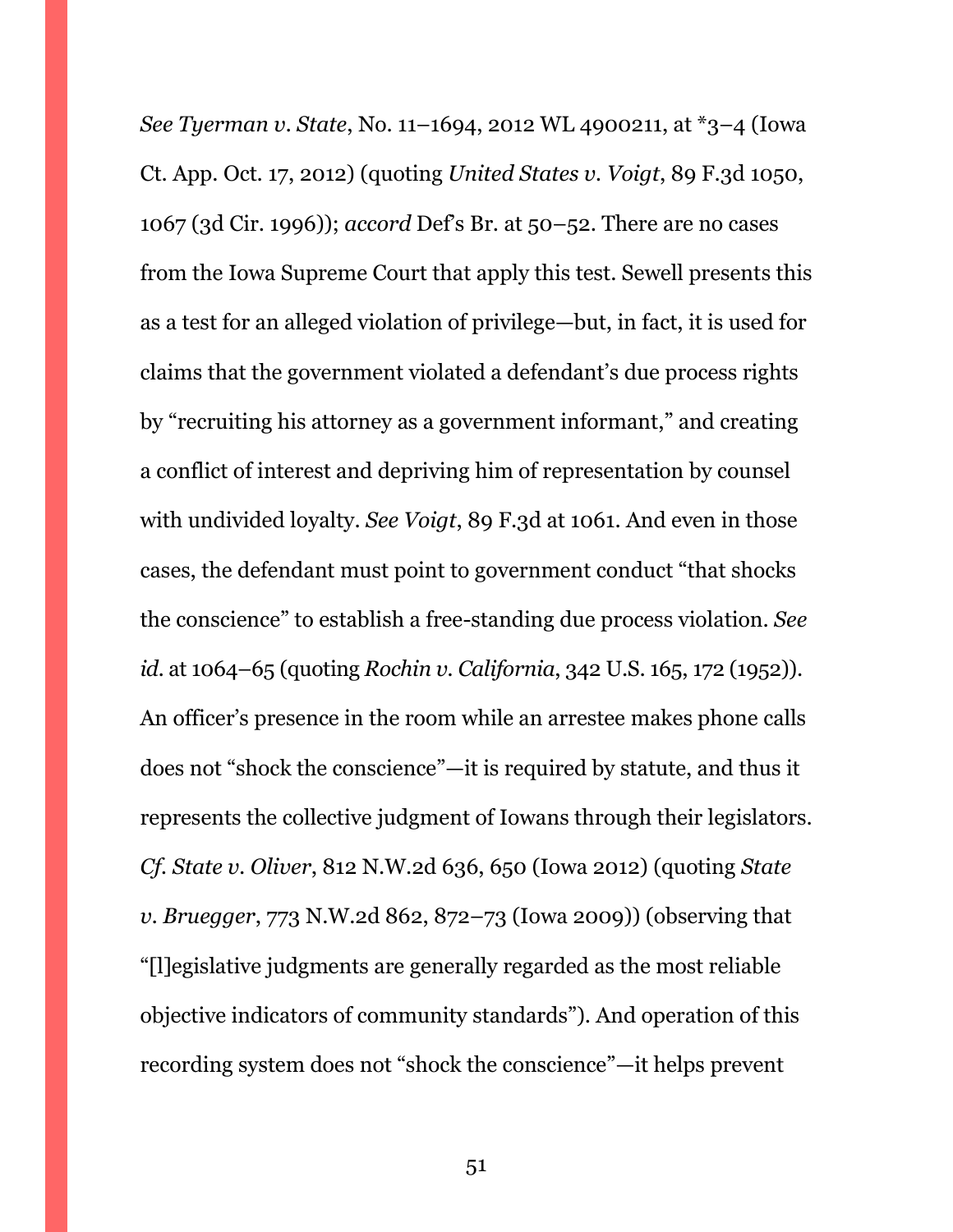*See Tyerman v. State*, No. 11–1694, 2012 WL 4900211, at \*3–4 (Iowa Ct. App. Oct. 17, 2012) (quoting *United States v. Voigt*, 89 F.3d 1050, 1067 (3d Cir. 1996)); *accord* Def's Br. at 50–52. There are no cases from the Iowa Supreme Court that apply this test. Sewell presents this as a test for an alleged violation of privilege—but, in fact, it is used for claims that the government violated a defendant's due process rights by "recruiting his attorney as a government informant," and creating a conflict of interest and depriving him of representation by counsel with undivided loyalty. *See Voigt*, 89 F.3d at 1061. And even in those cases, the defendant must point to government conduct "that shocks the conscience" to establish a free-standing due process violation. *See id.* at 1064–65 (quoting *Rochin v. California*, 342 U.S. 165, 172 (1952)). An officer's presence in the room while an arrestee makes phone calls does not "shock the conscience"—it is required by statute, and thus it represents the collective judgment of Iowans through their legislators. *Cf. State v. Oliver*, 812 N.W.2d 636, 650 (Iowa 2012) (quoting *State v. Bruegger*, 773 N.W.2d 862, 872–73 (Iowa 2009)) (observing that "[l]egislative judgments are generally regarded as the most reliable objective indicators of community standards"). And operation of this recording system does not "shock the conscience"—it helps prevent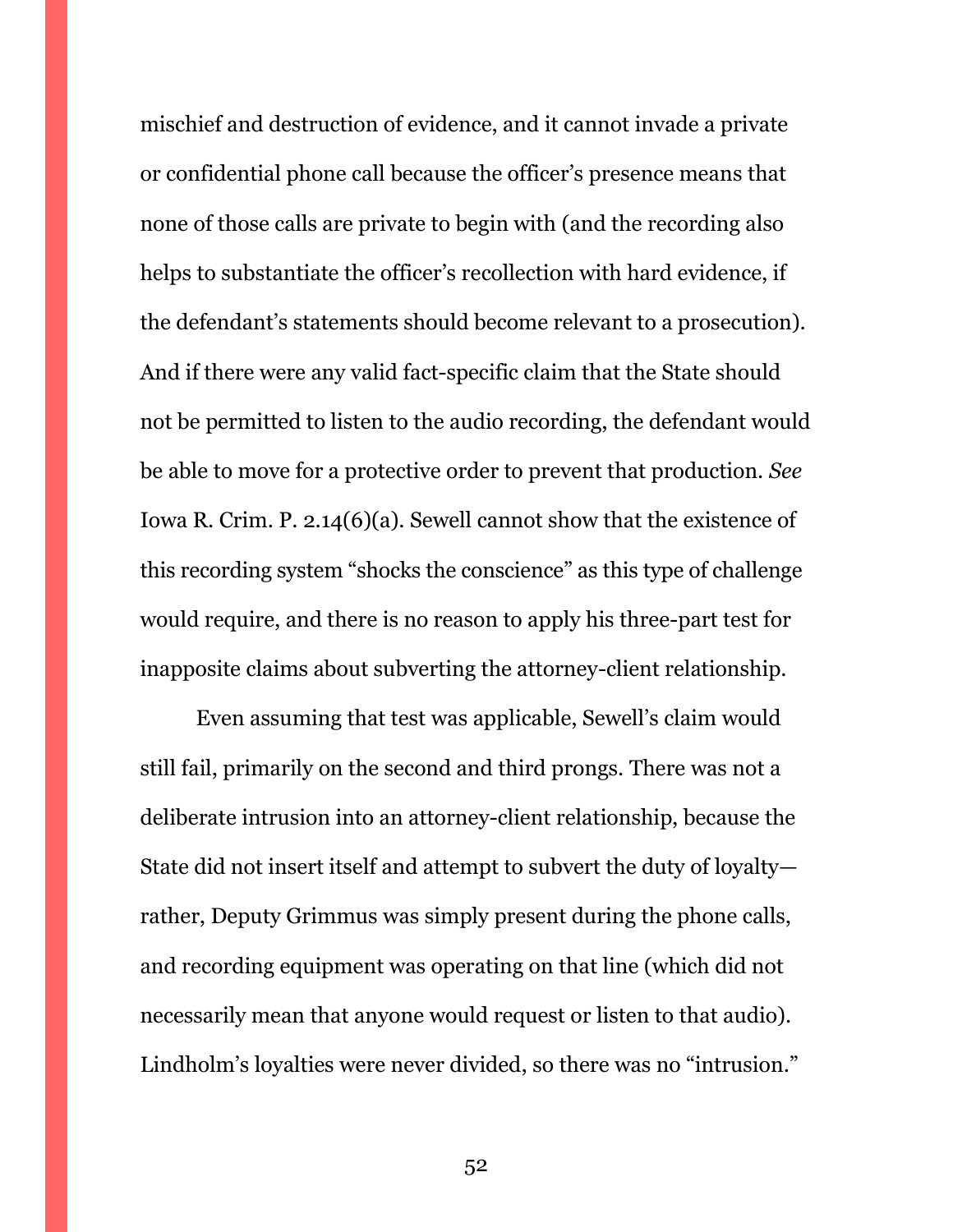mischief and destruction of evidence, and it cannot invade a private or confidential phone call because the officer's presence means that none of those calls are private to begin with (and the recording also helps to substantiate the officer's recollection with hard evidence, if the defendant's statements should become relevant to a prosecution). And if there were any valid fact-specific claim that the State should not be permitted to listen to the audio recording, the defendant would be able to move for a protective order to prevent that production. *See*  Iowa R. Crim. P. 2.14(6)(a). Sewell cannot show that the existence of this recording system "shocks the conscience" as this type of challenge would require, and there is no reason to apply his three-part test for inapposite claims about subverting the attorney-client relationship.

Even assuming that test was applicable, Sewell's claim would still fail, primarily on the second and third prongs. There was not a deliberate intrusion into an attorney-client relationship, because the State did not insert itself and attempt to subvert the duty of loyalty rather, Deputy Grimmus was simply present during the phone calls, and recording equipment was operating on that line (which did not necessarily mean that anyone would request or listen to that audio). Lindholm's loyalties were never divided, so there was no "intrusion."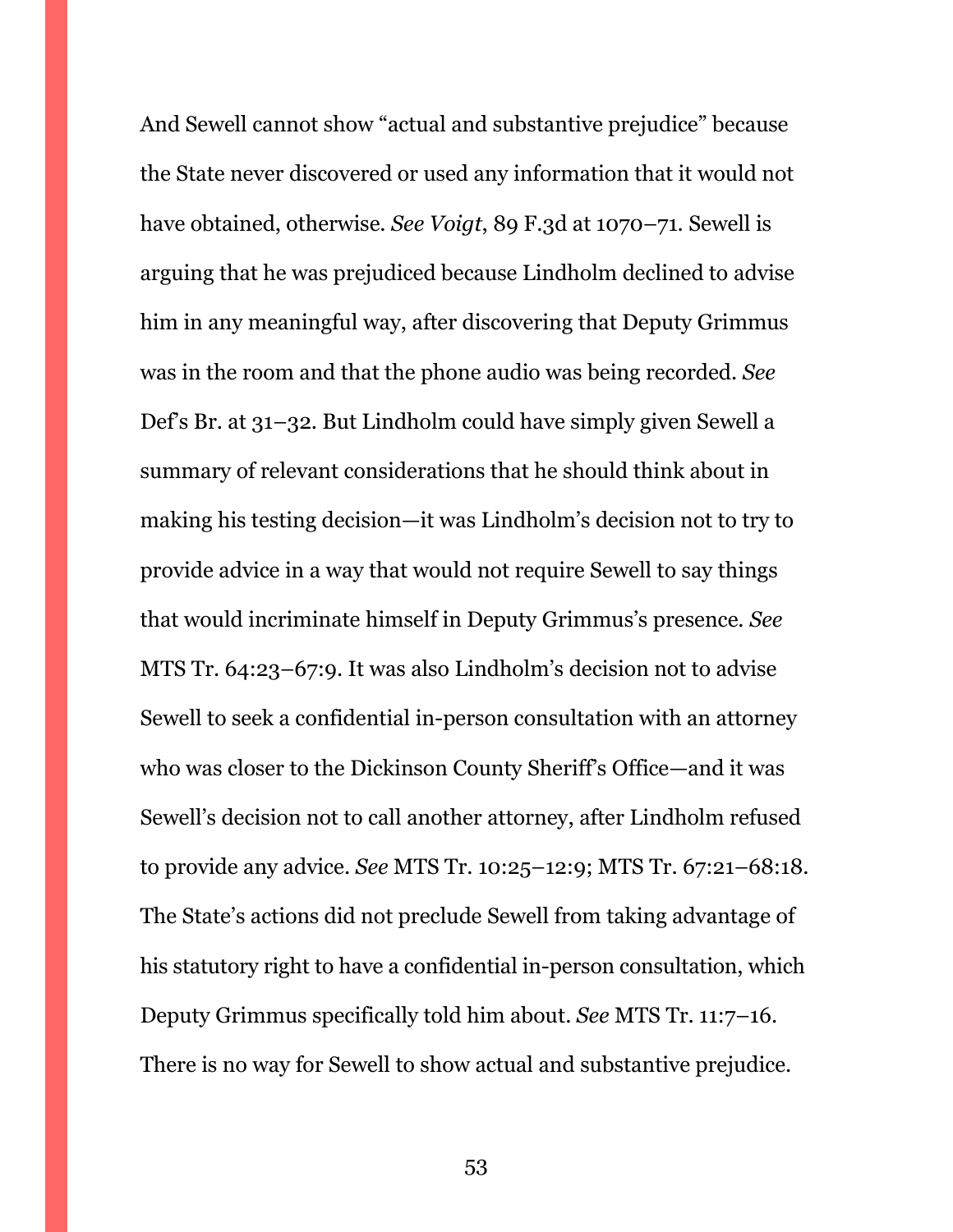And Sewell cannot show "actual and substantive prejudice" because the State never discovered or used any information that it would not have obtained, otherwise. *See Voigt*, 89 F.3d at 1070–71. Sewell is arguing that he was prejudiced because Lindholm declined to advise him in any meaningful way, after discovering that Deputy Grimmus was in the room and that the phone audio was being recorded. *See*  Def's Br. at 31–32. But Lindholm could have simply given Sewell a summary of relevant considerations that he should think about in making his testing decision—it was Lindholm's decision not to try to provide advice in a way that would not require Sewell to say things that would incriminate himself in Deputy Grimmus's presence. *See*  MTS Tr. 64:23–67:9. It was also Lindholm's decision not to advise Sewell to seek a confidential in-person consultation with an attorney who was closer to the Dickinson County Sheriff's Office—and it was Sewell's decision not to call another attorney, after Lindholm refused to provide any advice. *See* MTS Tr. 10:25–12:9; MTS Tr. 67:21–68:18. The State's actions did not preclude Sewell from taking advantage of his statutory right to have a confidential in-person consultation, which Deputy Grimmus specifically told him about. *See* MTS Tr. 11:7–16. There is no way for Sewell to show actual and substantive prejudice.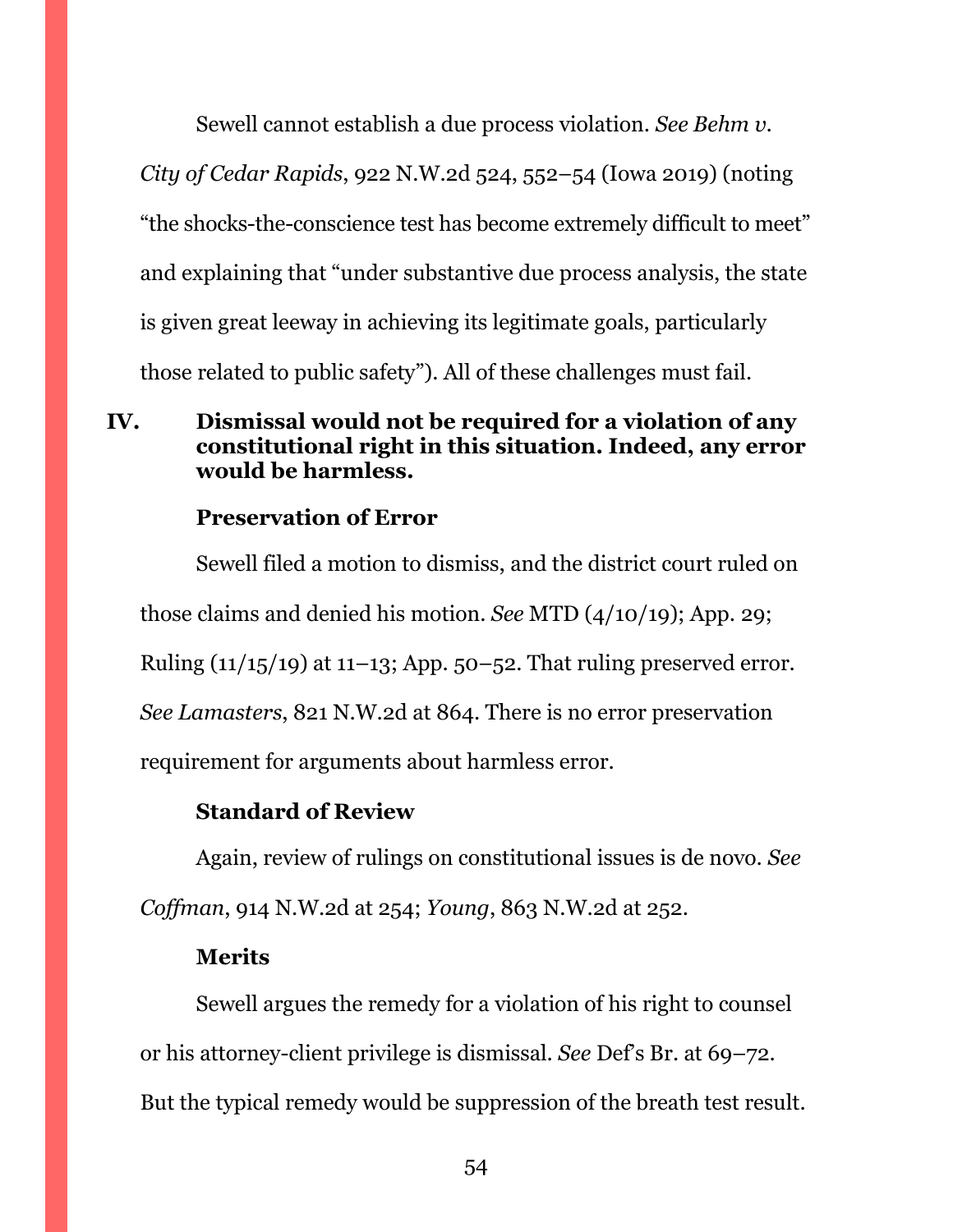Sewell cannot establish a due process violation. *See Behm v.* 

*City of Cedar Rapids*, 922 N.W.2d 524, 552–54 (Iowa 2019) (noting "the shocks-the-conscience test has become extremely difficult to meet" and explaining that "under substantive due process analysis, the state is given great leeway in achieving its legitimate goals, particularly those related to public safety"). All of these challenges must fail.

# <span id="page-53-0"></span>**IV. Dismissal would not be required for a violation of any constitutional right in this situation. Indeed, any error would be harmless.**

# **Preservation of Error**

Sewell filed a motion to dismiss, and the district court ruled on those claims and denied his motion. *See* MTD (4/10/19); App. 29; Ruling  $(11/15/19)$  at  $11-13$ ; App. 50–52. That ruling preserved error. *See Lamasters*, 821 N.W.2d at 864. There is no error preservation requirement for arguments about harmless error.

# **Standard of Review**

Again, review of rulings on constitutional issues is de novo. *See Coffman*, 914 N.W.2d at 254; *Young*, 863 N.W.2d at 252.

# **Merits**

Sewell argues the remedy for a violation of his right to counsel or his attorney-client privilege is dismissal. *See* Def's Br. at 69–72. But the typical remedy would be suppression of the breath test result.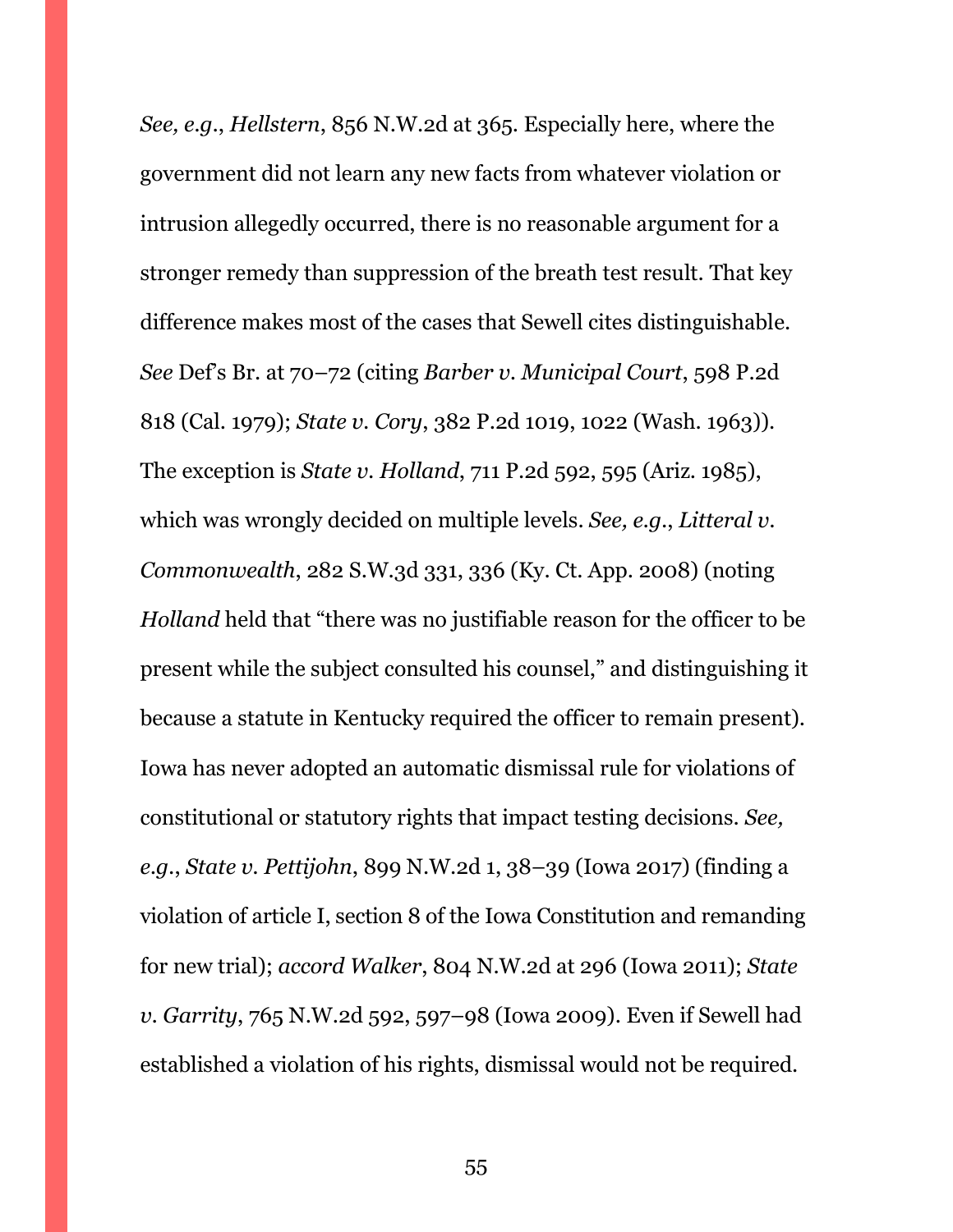*See, e.g.*, *Hellstern*, 856 N.W.2d at 365. Especially here, where the government did not learn any new facts from whatever violation or intrusion allegedly occurred, there is no reasonable argument for a stronger remedy than suppression of the breath test result. That key difference makes most of the cases that Sewell cites distinguishable. *See* Def's Br. at 70–72 (citing *Barber v. Municipal Court*, 598 P.2d 818 (Cal. 1979); *State v. Cory*, 382 P.2d 1019, 1022 (Wash. 1963)). The exception is *State v. Holland*, 711 P.2d 592, 595 (Ariz. 1985), which was wrongly decided on multiple levels. *See, e.g.*, *Litteral v. Commonwealth*, 282 S.W.3d 331, 336 (Ky. Ct. App. 2008) (noting *Holland* held that "there was no justifiable reason for the officer to be present while the subject consulted his counsel," and distinguishing it because a statute in Kentucky required the officer to remain present). Iowa has never adopted an automatic dismissal rule for violations of constitutional or statutory rights that impact testing decisions. *See, e.g.*, *State v. Pettijohn*, 899 N.W.2d 1, 38–39 (Iowa 2017) (finding a violation of article I, section 8 of the Iowa Constitution and remanding for new trial); *accord Walker*, 804 N.W.2d at 296 (Iowa 2011); *State v. Garrity*, 765 N.W.2d 592, 597–98 (Iowa 2009). Even if Sewell had established a violation of his rights, dismissal would not be required.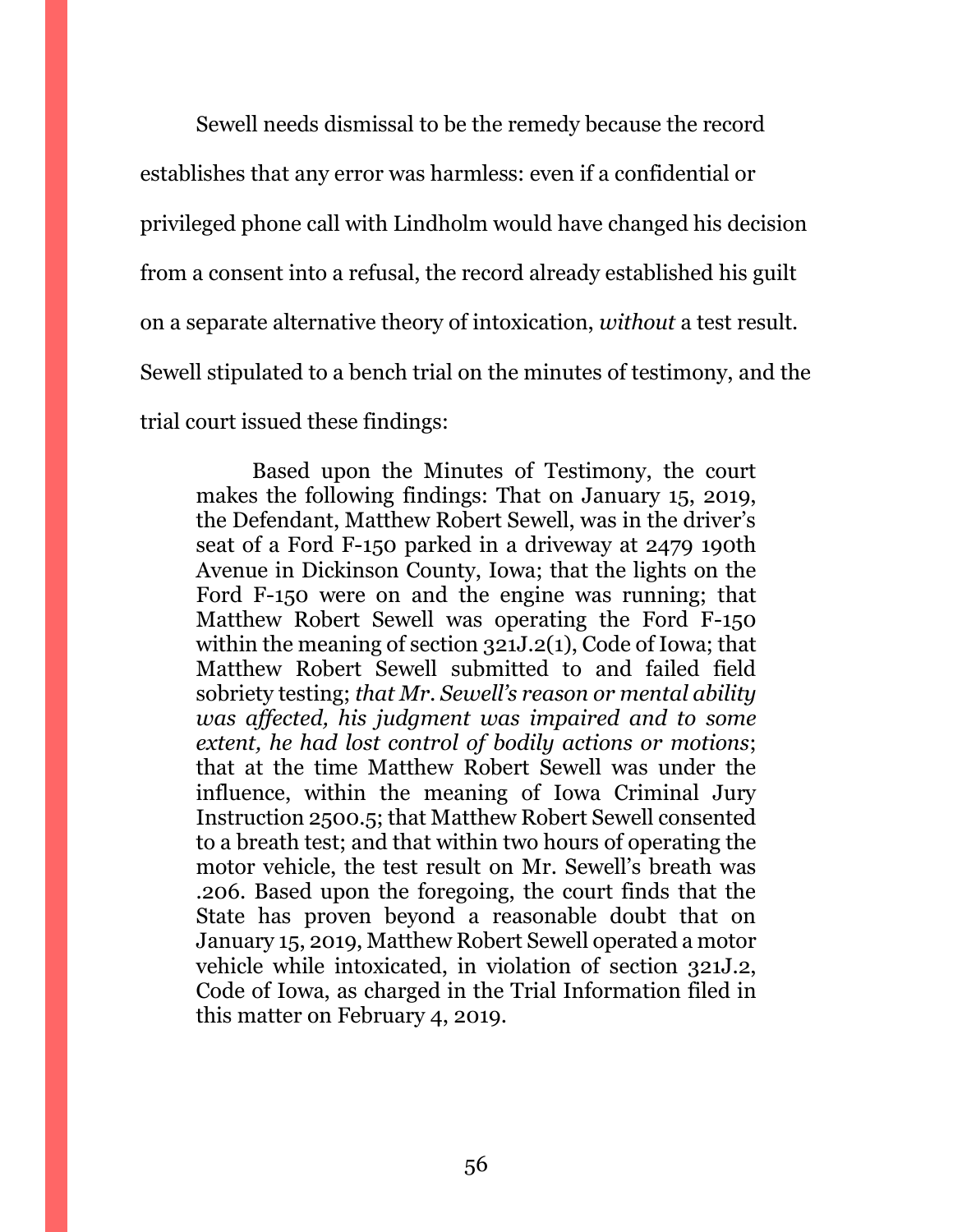Sewell needs dismissal to be the remedy because the record establishes that any error was harmless: even if a confidential or privileged phone call with Lindholm would have changed his decision from a consent into a refusal, the record already established his guilt on a separate alternative theory of intoxication, *without* a test result. Sewell stipulated to a bench trial on the minutes of testimony, and the trial court issued these findings:

Based upon the Minutes of Testimony, the court makes the following findings: That on January 15, 2019, the Defendant, Matthew Robert Sewell, was in the driver's seat of a Ford F-150 parked in a driveway at 2479 190th Avenue in Dickinson County, Iowa; that the lights on the Ford F-150 were on and the engine was running; that Matthew Robert Sewell was operating the Ford F-150 within the meaning of section 321J.2(1), Code of Iowa; that Matthew Robert Sewell submitted to and failed field sobriety testing; *that Mr. Sewell's reason or mental ability was affected, his judgment was impaired and to some extent, he had lost control of bodily actions or motions*; that at the time Matthew Robert Sewell was under the influence, within the meaning of Iowa Criminal Jury Instruction 2500.5; that Matthew Robert Sewell consented to a breath test; and that within two hours of operating the motor vehicle, the test result on Mr. Sewell's breath was .206. Based upon the foregoing, the court finds that the State has proven beyond a reasonable doubt that on January 15, 2019, Matthew Robert Sewell operated a motor vehicle while intoxicated, in violation of section 321J.2, Code of Iowa, as charged in the Trial Information filed in this matter on February 4, 2019.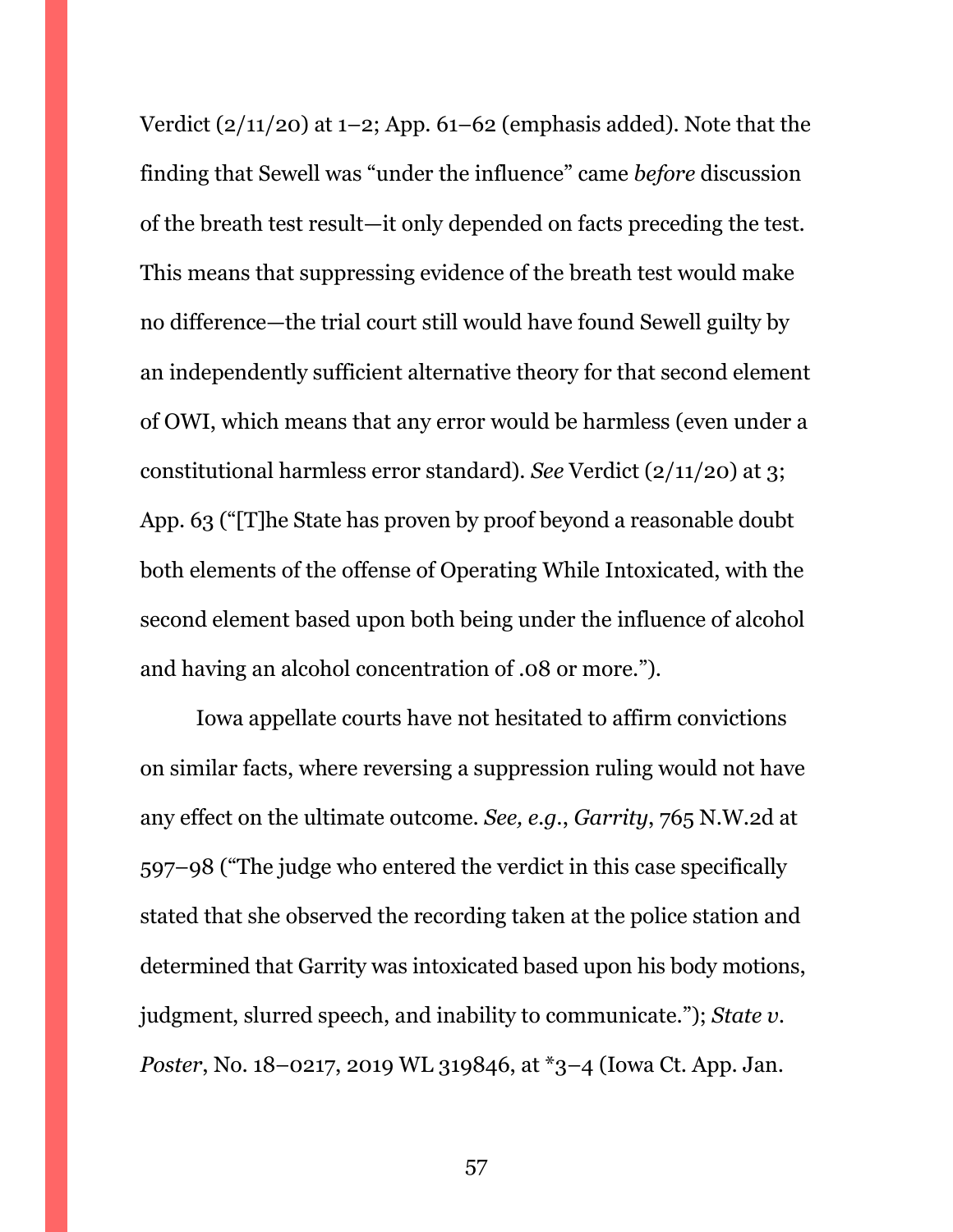Verdict  $\left(\frac{2}{11/20}\right)$  at 1–2; App. 61–62 (emphasis added). Note that the finding that Sewell was "under the influence" came *before* discussion of the breath test result—it only depended on facts preceding the test. This means that suppressing evidence of the breath test would make no difference—the trial court still would have found Sewell guilty by an independently sufficient alternative theory for that second element of OWI, which means that any error would be harmless (even under a constitutional harmless error standard). *See* Verdict (2/11/20) at 3; App. 63 ("[T]he State has proven by proof beyond a reasonable doubt both elements of the offense of Operating While Intoxicated, with the second element based upon both being under the influence of alcohol and having an alcohol concentration of .08 or more.").

Iowa appellate courts have not hesitated to affirm convictions on similar facts, where reversing a suppression ruling would not have any effect on the ultimate outcome. *See, e.g.*, *Garrity*, 765 N.W.2d at 597–98 ("The judge who entered the verdict in this case specifically stated that she observed the recording taken at the police station and determined that Garrity was intoxicated based upon his body motions, judgment, slurred speech, and inability to communicate."); *State v. Poster*, No. 18–0217, 2019 WL 319846, at \*3–4 (Iowa Ct. App. Jan.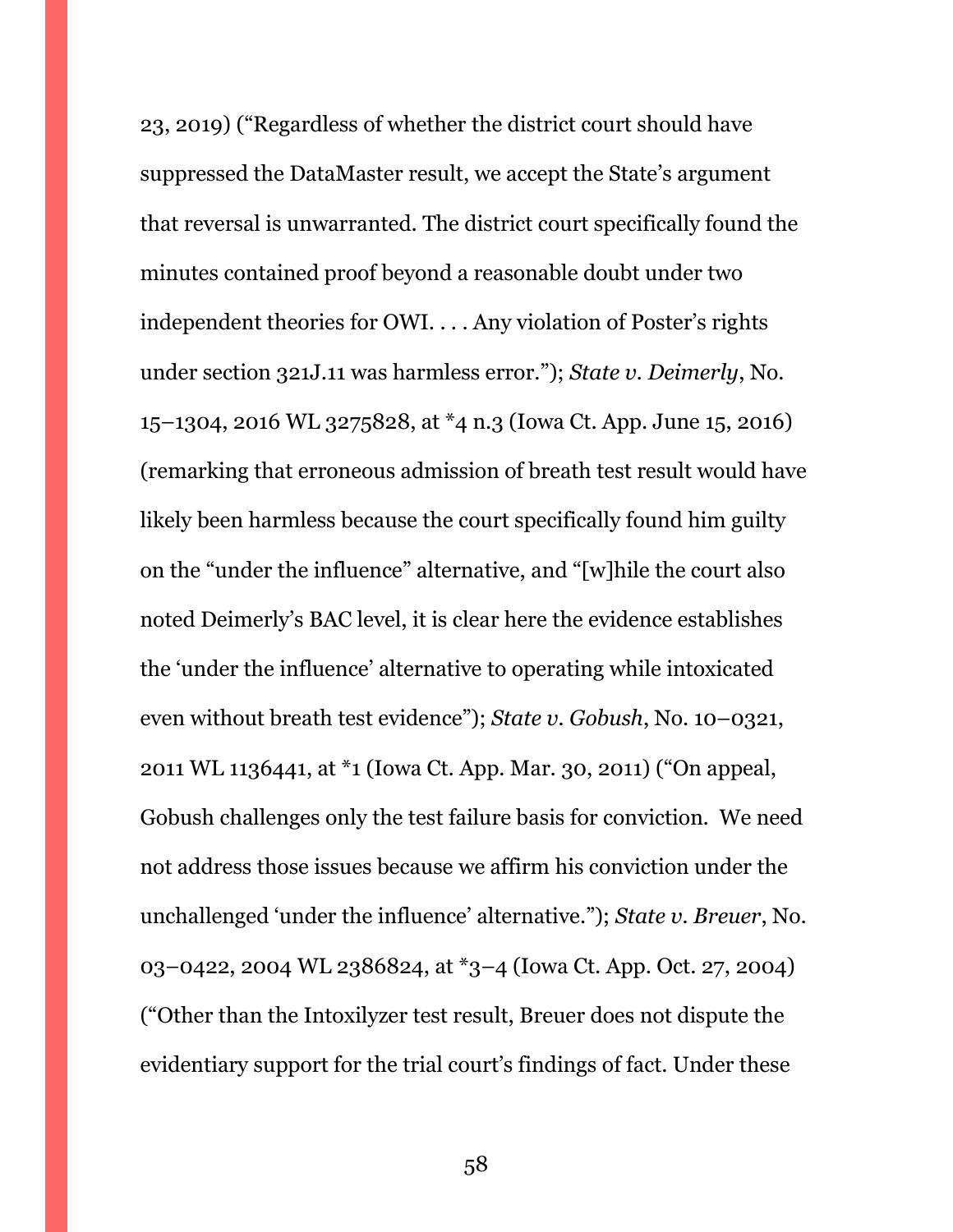23, 2019) ("Regardless of whether the district court should have suppressed the DataMaster result, we accept the State's argument that reversal is unwarranted. The district court specifically found the minutes contained proof beyond a reasonable doubt under two independent theories for OWI. . . . Any violation of Poster's rights under section 321J.11 was harmless error."); *State v. Deimerly*, No. 15–1304, 2016 WL 3275828, at \*4 n.3 (Iowa Ct. App. June 15, 2016) (remarking that erroneous admission of breath test result would have likely been harmless because the court specifically found him guilty on the "under the influence" alternative, and "[w]hile the court also noted Deimerly's BAC level, it is clear here the evidence establishes the 'under the influence' alternative to operating while intoxicated even without breath test evidence"); *State v. Gobush*, No. 10–0321, 2011 WL 1136441, at \*1 (Iowa Ct. App. Mar. 30, 2011) ("On appeal, Gobush challenges only the test failure basis for conviction. We need not address those issues because we affirm his conviction under the unchallenged 'under the influence' alternative."); *State v. Breuer*, No. 03–0422, 2004 WL 2386824, at \*3–4 (Iowa Ct. App. Oct. 27, 2004) ("Other than the Intoxilyzer test result, Breuer does not dispute the evidentiary support for the trial court's findings of fact. Under these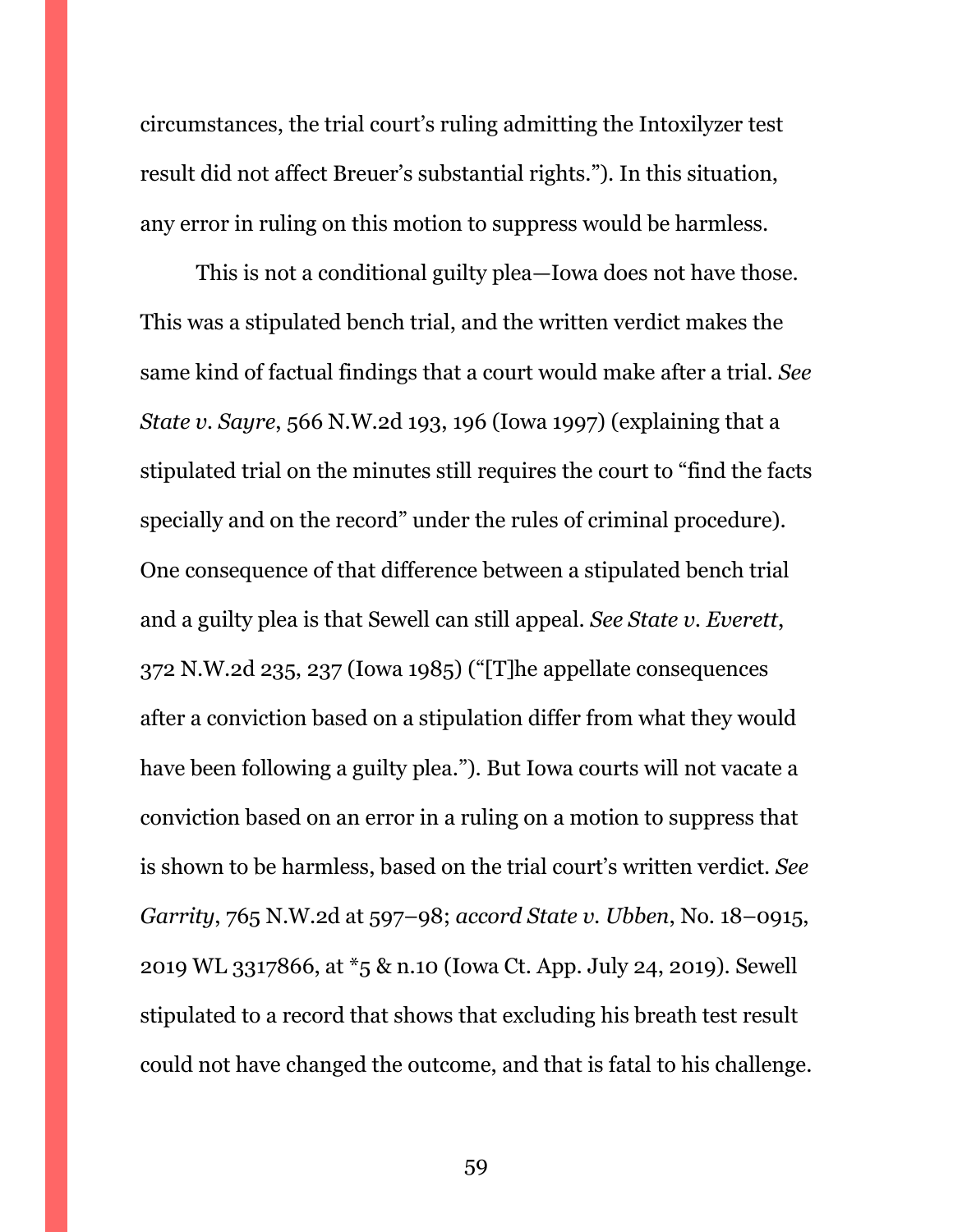circumstances, the trial court's ruling admitting the Intoxilyzer test result did not affect Breuer's substantial rights."). In this situation, any error in ruling on this motion to suppress would be harmless.

This is not a conditional guilty plea—Iowa does not have those. This was a stipulated bench trial, and the written verdict makes the same kind of factual findings that a court would make after a trial. *See State v. Sayre*, 566 N.W.2d 193, 196 (Iowa 1997) (explaining that a stipulated trial on the minutes still requires the court to "find the facts specially and on the record" under the rules of criminal procedure). One consequence of that difference between a stipulated bench trial and a guilty plea is that Sewell can still appeal. *See State v. Everett*, 372 N.W.2d 235, 237 (Iowa 1985) ("[T]he appellate consequences after a conviction based on a stipulation differ from what they would have been following a guilty plea."). But Iowa courts will not vacate a conviction based on an error in a ruling on a motion to suppress that is shown to be harmless, based on the trial court's written verdict. *See Garrity*, 765 N.W.2d at 597–98; *accord State v. Ubben*, No. 18–0915, 2019 WL 3317866, at \*5 & n.10 (Iowa Ct. App. July 24, 2019). Sewell stipulated to a record that shows that excluding his breath test result could not have changed the outcome, and that is fatal to his challenge.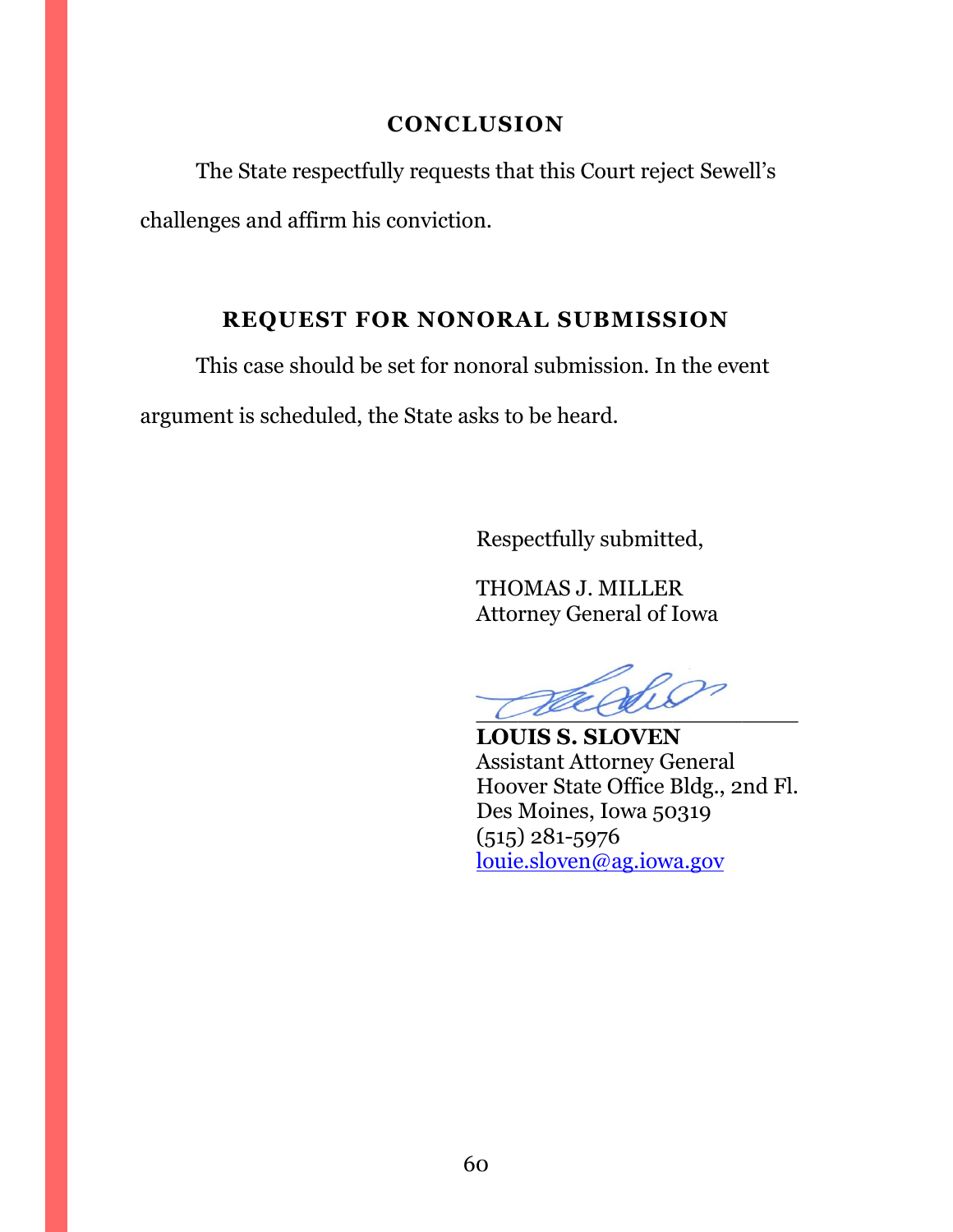# **CONCLUSION**

<span id="page-59-0"></span>The State respectfully requests that this Court reject Sewell's challenges and affirm his conviction.

# **REQUEST FOR NONORAL SUBMISSION**

<span id="page-59-1"></span>This case should be set for nonoral submission. In the event argument is scheduled, the State asks to be heard.

Respectfully submitted,

THOMAS J. MILLER Attorney General of Iowa

 $\angle$  deceded

**LOUIS S. SLOVEN** Assistant Attorney General Hoover State Office Bldg., 2nd Fl. Des Moines, Iowa 50319 (515) 281-5976 [louie.sloven@ag.iowa.gov](mailto:louie.sloven@ag.iowa.gov)